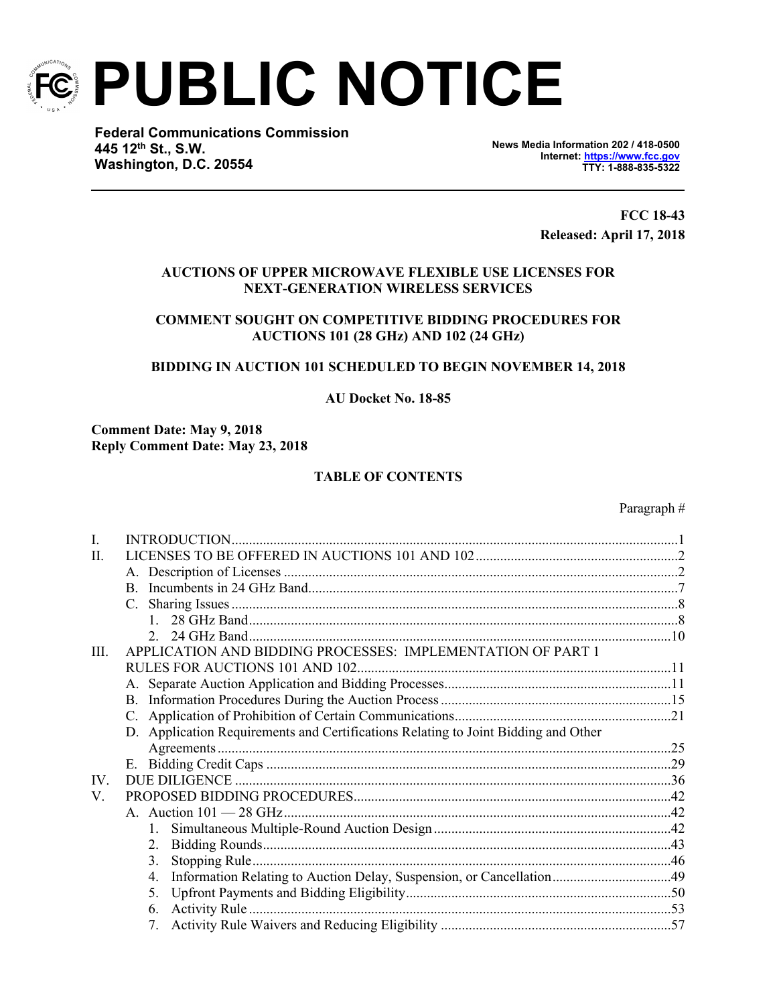

**PUBLIC NOTICE** 

**Federal Communications Commission 445 12th Street, SW St., S.W. Washington, DC 20554 Washington, D.C. 20554**

**News Media Information 202 / 418-0500 Internet: [https://www.fcc.gov](https://www.fcc.gov/) TTY: 1-888-835-5322**

> **FCC 18-43 Released: April 17, 2018**

# **AUCTIONS OF UPPER MICROWAVE FLEXIBLE USE LICENSES FOR NEXT-GENERATION WIRELESS SERVICES**

# **COMMENT SOUGHT ON COMPETITIVE BIDDING PROCEDURES FOR AUCTIONS 101 (28 GHz) AND 102 (24 GHz)**

# **BIDDING IN AUCTION 101 SCHEDULED TO BEGIN NOVEMBER 14, 2018**

**AU Docket No. 18-85** 

**Comment Date: May 9, 2018 Reply Comment Date: May 23, 2018**

# **TABLE OF CONTENTS**

#### Paragraph #

| L            |                                                                                    |  |
|--------------|------------------------------------------------------------------------------------|--|
| $\mathbf{H}$ |                                                                                    |  |
|              |                                                                                    |  |
|              | <sub>R</sub>                                                                       |  |
|              | $C_{\cdot}$                                                                        |  |
|              |                                                                                    |  |
|              | $\mathcal{D}$                                                                      |  |
| III          | APPLICATION AND BIDDING PROCESSES: IMPLEMENTATION OF PART 1                        |  |
|              |                                                                                    |  |
|              |                                                                                    |  |
|              |                                                                                    |  |
|              |                                                                                    |  |
|              | D. Application Requirements and Certifications Relating to Joint Bidding and Other |  |
|              |                                                                                    |  |
|              |                                                                                    |  |
| IV           |                                                                                    |  |
| V.           |                                                                                    |  |
|              |                                                                                    |  |
|              |                                                                                    |  |
|              | 2.                                                                                 |  |
|              | 3.                                                                                 |  |
|              | 4.                                                                                 |  |
|              | 5.                                                                                 |  |
|              | 6.                                                                                 |  |
|              | 7.                                                                                 |  |
|              |                                                                                    |  |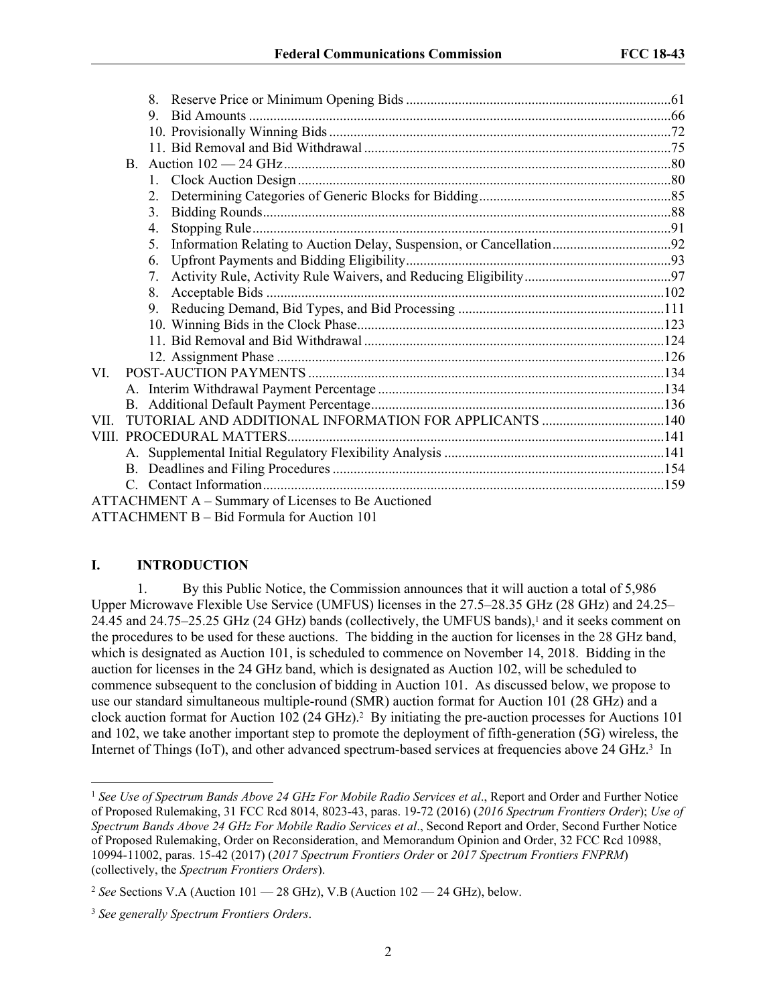| 9                                                                                                                                                                                                                                                                                   |  |
|-------------------------------------------------------------------------------------------------------------------------------------------------------------------------------------------------------------------------------------------------------------------------------------|--|
|                                                                                                                                                                                                                                                                                     |  |
|                                                                                                                                                                                                                                                                                     |  |
|                                                                                                                                                                                                                                                                                     |  |
|                                                                                                                                                                                                                                                                                     |  |
|                                                                                                                                                                                                                                                                                     |  |
| $\mathcal{E}$                                                                                                                                                                                                                                                                       |  |
| 4.                                                                                                                                                                                                                                                                                  |  |
| 5.                                                                                                                                                                                                                                                                                  |  |
| 6.                                                                                                                                                                                                                                                                                  |  |
| $7_{\scriptscriptstyle{\ddots}}$                                                                                                                                                                                                                                                    |  |
|                                                                                                                                                                                                                                                                                     |  |
|                                                                                                                                                                                                                                                                                     |  |
|                                                                                                                                                                                                                                                                                     |  |
|                                                                                                                                                                                                                                                                                     |  |
|                                                                                                                                                                                                                                                                                     |  |
| VI.                                                                                                                                                                                                                                                                                 |  |
|                                                                                                                                                                                                                                                                                     |  |
|                                                                                                                                                                                                                                                                                     |  |
| VII.                                                                                                                                                                                                                                                                                |  |
|                                                                                                                                                                                                                                                                                     |  |
|                                                                                                                                                                                                                                                                                     |  |
|                                                                                                                                                                                                                                                                                     |  |
|                                                                                                                                                                                                                                                                                     |  |
| ATTACHMENT A – Summary of Licenses to Be Auctioned                                                                                                                                                                                                                                  |  |
| $\frac{1}{2}$ at the theory is the set of $\frac{1}{2}$ and $\frac{1}{2}$ and $\frac{1}{2}$ and $\frac{1}{2}$ and $\frac{1}{2}$ and $\frac{1}{2}$ and $\frac{1}{2}$ and $\frac{1}{2}$ and $\frac{1}{2}$ and $\frac{1}{2}$ and $\frac{1}{2}$ and $\frac{1}{2}$ and $\frac{1}{2}$ and |  |

ATTACHMENT B – Bid Formula for Auction 101

#### **I. INTRODUCTION**

1. By this Public Notice, the Commission announces that it will auction a total of 5,986 Upper Microwave Flexible Use Service (UMFUS) licenses in the 27.5–28.35 GHz (28 GHz) and 24.25– 24.45 and 24.75–25.25 GHz (24 GHz) bands (collectively, the UMFUS bands),<sup>1</sup> and it seeks comment on the procedures to be used for these auctions. The bidding in the auction for licenses in the 28 GHz band, which is designated as Auction 101, is scheduled to commence on November 14, 2018. Bidding in the auction for licenses in the 24 GHz band, which is designated as Auction 102, will be scheduled to commence subsequent to the conclusion of bidding in Auction 101. As discussed below, we propose to use our standard simultaneous multiple-round (SMR) auction format for Auction 101 (28 GHz) and a clock auction format for Auction 102 (24 GHz).<sup>2</sup> By initiating the pre-auction processes for Auctions 101 and 102, we take another important step to promote the deployment of fifth-generation (5G) wireless, the Internet of Things (IoT), and other advanced spectrum-based services at frequencies above 24 GHz.<sup>3</sup> In

<sup>1</sup> *See Use of Spectrum Bands Above 24 GHz For Mobile Radio Services et al*., Report and Order and Further Notice of Proposed Rulemaking, 31 FCC Rcd 8014, 8023-43, paras. 19-72 (2016) (*2016 Spectrum Frontiers Order*); *Use of Spectrum Bands Above 24 GHz For Mobile Radio Services et al*., Second Report and Order, Second Further Notice of Proposed Rulemaking, Order on Reconsideration, and Memorandum Opinion and Order, 32 FCC Rcd 10988, 10994-11002, paras. 15-42 (2017) (*2017 Spectrum Frontiers Order* or *2017 Spectrum Frontiers FNPRM*) (collectively, the *Spectrum Frontiers Orders*).

<sup>2</sup> *See* Sections V.A (Auction 101 — 28 GHz), V.B (Auction 102 — 24 GHz), below.

<sup>3</sup> *See generally Spectrum Frontiers Orders*.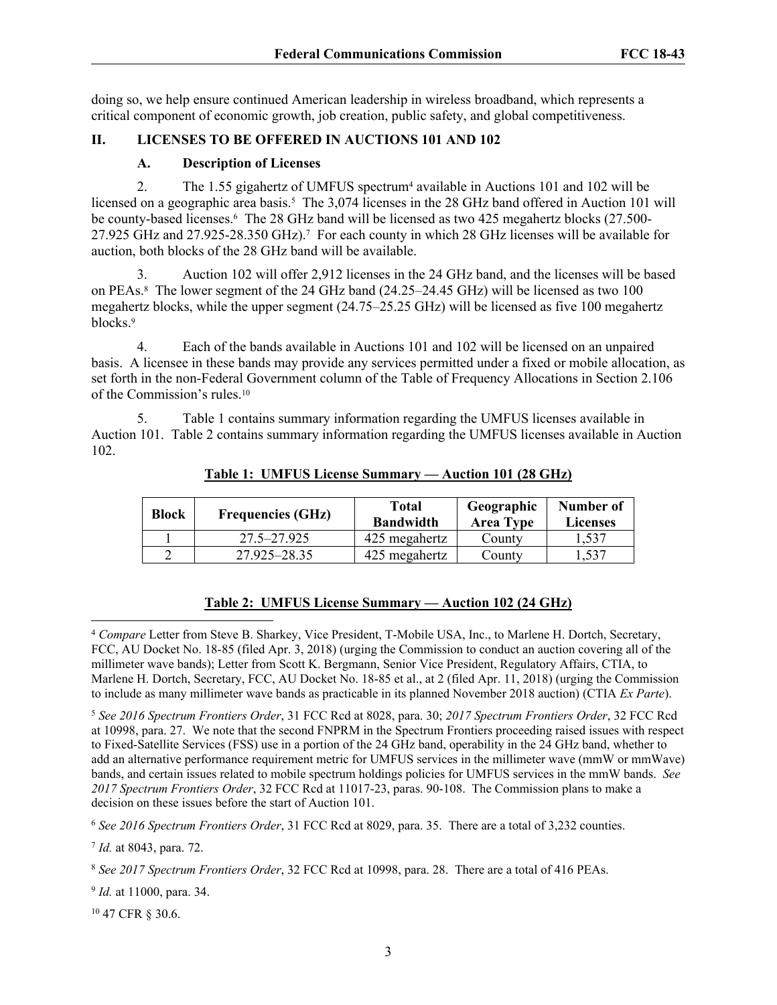doing so, we help ensure continued American leadership in wireless broadband, which represents a critical component of economic growth, job creation, public safety, and global competitiveness.

# **II. LICENSES TO BE OFFERED IN AUCTIONS 101 AND 102**

## **A. Description of Licenses**

2. The 1.55 gigahertz of UMFUS spectrum<sup>4</sup> available in Auctions 101 and 102 will be licensed on a geographic area basis.<sup>5</sup> The 3,074 licenses in the 28 GHz band offered in Auction 101 will be county-based licenses.<sup>6</sup> The 28 GHz band will be licensed as two 425 megahertz blocks (27.500-27.925 GHz and 27.925-28.350 GHz).<sup>7</sup> For each county in which 28 GHz licenses will be available for auction, both blocks of the 28 GHz band will be available.

3. Auction 102 will offer 2,912 licenses in the 24 GHz band, and the licenses will be based on PEAs.<sup>8</sup> The lower segment of the 24 GHz band (24.25–24.45 GHz) will be licensed as two 100 megahertz blocks, while the upper segment (24.75–25.25 GHz) will be licensed as five 100 megahertz blocks.<sup>9</sup>

4. Each of the bands available in Auctions 101 and 102 will be licensed on an unpaired basis. A licensee in these bands may provide any services permitted under a fixed or mobile allocation, as set forth in the non-Federal Government column of the Table of Frequency Allocations in Section 2.106 of the Commission's rules.<sup>10</sup>

5. Table 1 contains summary information regarding the UMFUS licenses available in Auction 101. Table 2 contains summary information regarding the UMFUS licenses available in Auction 102.

| <b>Block</b><br><b>Frequencies (GHz)</b> |              | Total<br>Geographic<br><b>Bandwidth</b><br><b>Area Type</b> |        | Number of<br><b>Licenses</b> |
|------------------------------------------|--------------|-------------------------------------------------------------|--------|------------------------------|
|                                          | 27.5–27.925  | 425 megahertz                                               | County | 1,537                        |
|                                          | 27.925–28.35 | 425 megahertz                                               | County | .537                         |

#### **Table 1: UMFUS License Summary — Auction 101 (28 GHz)**

## **Table 2: UMFUS License Summary — Auction 102 (24 GHz)**

<sup>5</sup> *See 2016 Spectrum Frontiers Order*, 31 FCC Rcd at 8028, para. 30; *2017 Spectrum Frontiers Order*, 32 FCC Rcd at 10998, para. 27. We note that the second FNPRM in the Spectrum Frontiers proceeding raised issues with respect to Fixed-Satellite Services (FSS) use in a portion of the 24 GHz band, operability in the 24 GHz band, whether to add an alternative performance requirement metric for UMFUS services in the millimeter wave (mmW or mmWave) bands, and certain issues related to mobile spectrum holdings policies for UMFUS services in the mmW bands. *See 2017 Spectrum Frontiers Order*, 32 FCC Rcd at 11017-23, paras. 90-108. The Commission plans to make a decision on these issues before the start of Auction 101.

<sup>6</sup> *See 2016 Spectrum Frontiers Order*, 31 FCC Rcd at 8029, para. 35. There are a total of 3,232 counties.

7 *Id.* at 8043, para. 72.

9 *Id.* at 11000, para. 34.

10 47 CFR § 30.6.

<sup>4</sup> *Compare* Letter from Steve B. Sharkey, Vice President, T-Mobile USA, Inc., to Marlene H. Dortch, Secretary, FCC, AU Docket No. 18-85 (filed Apr. 3, 2018) (urging the Commission to conduct an auction covering all of the millimeter wave bands); Letter from Scott K. Bergmann, Senior Vice President, Regulatory Affairs, CTIA, to Marlene H. Dortch, Secretary, FCC, AU Docket No. 18-85 et al., at 2 (filed Apr. 11, 2018) (urging the Commission to include as many millimeter wave bands as practicable in its planned November 2018 auction) (CTIA *Ex Parte*).

<sup>8</sup> *See 2017 Spectrum Frontiers Order*, 32 FCC Rcd at 10998, para. 28. There are a total of 416 PEAs.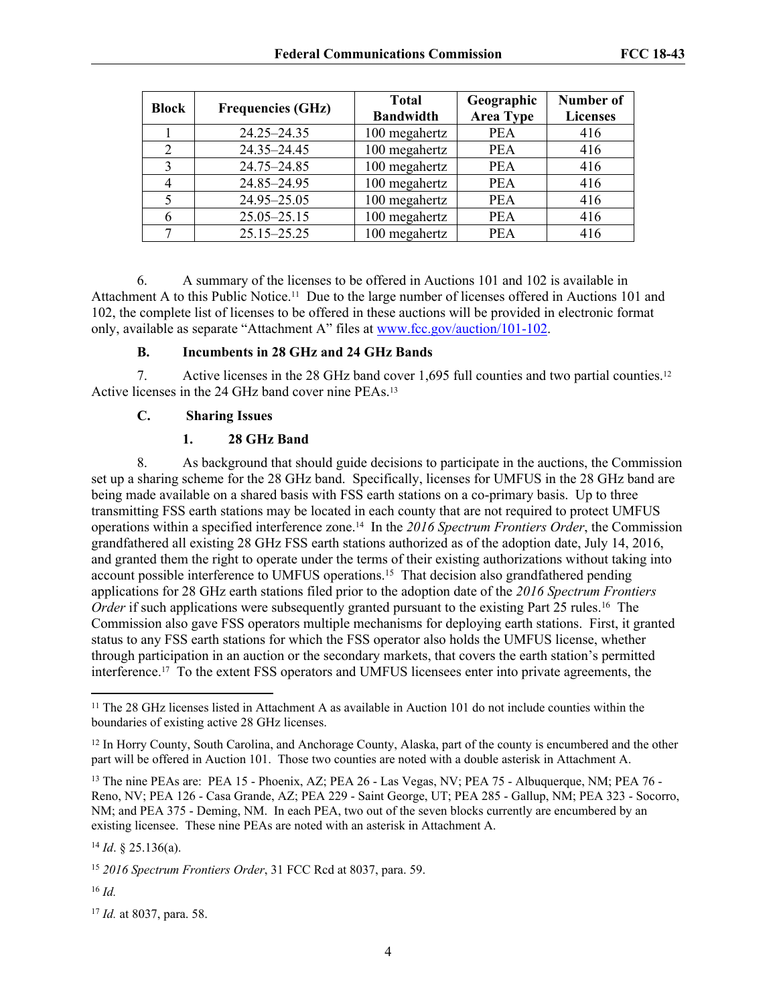| <b>Block</b> | <b>Frequencies (GHz)</b> | <b>Total</b><br><b>Bandwidth</b> | Geographic<br><b>Area Type</b> | <b>Number of</b><br><b>Licenses</b> |
|--------------|--------------------------|----------------------------------|--------------------------------|-------------------------------------|
|              | 24.25-24.35              | 100 megahertz                    | <b>PEA</b>                     | 416                                 |
| 2            | 24.35-24.45              | 100 megahertz                    | <b>PEA</b>                     | 416                                 |
| 3            | 24.75-24.85              | 100 megahertz                    | <b>PEA</b>                     | 416                                 |
|              | 24.85-24.95              | 100 megahertz                    | <b>PEA</b>                     | 416                                 |
| 5            | 24.95-25.05              | 100 megahertz                    | <b>PEA</b>                     | 416                                 |
| 6            | $25.05 - 25.15$          | 100 megahertz                    | <b>PEA</b>                     | 416                                 |
|              | 25.15-25.25              | 100 megahertz                    | <b>PEA</b>                     | 416                                 |

6. A summary of the licenses to be offered in Auctions 101 and 102 is available in Attachment A to this Public Notice.11 Due to the large number of licenses offered in Auctions 101 and 102, the complete list of licenses to be offered in these auctions will be provided in electronic format only, available as separate "Attachment A" files at [www.fcc.gov/auction/101-102.](https://www.fcc.gov/auction/101-102)

# **B. Incumbents in 28 GHz and 24 GHz Bands**

7. Active licenses in the 28 GHz band cover 1,695 full counties and two partial counties.<sup>12</sup> Active licenses in the 24 GHz band cover nine PEAs.<sup>13</sup>

# **C. Sharing Issues**

# **1. 28 GHz Band**

8. As background that should guide decisions to participate in the auctions, the Commission set up a sharing scheme for the 28 GHz band. Specifically, licenses for UMFUS in the 28 GHz band are being made available on a shared basis with FSS earth stations on a co-primary basis. Up to three transmitting FSS earth stations may be located in each county that are not required to protect UMFUS operations within a specified interference zone.14 In the *2016 Spectrum Frontiers Order*, the Commission grandfathered all existing 28 GHz FSS earth stations authorized as of the adoption date, July 14, 2016, and granted them the right to operate under the terms of their existing authorizations without taking into account possible interference to UMFUS operations.<sup>15</sup> That decision also grandfathered pending applications for 28 GHz earth stations filed prior to the adoption date of the *2016 Spectrum Frontiers Order* if such applications were subsequently granted pursuant to the existing Part 25 rules.<sup>16</sup> The Commission also gave FSS operators multiple mechanisms for deploying earth stations. First, it granted status to any FSS earth stations for which the FSS operator also holds the UMFUS license, whether through participation in an auction or the secondary markets, that covers the earth station's permitted interference.17 To the extent FSS operators and UMFUS licensees enter into private agreements, the

<sup>16</sup> *Id.*

<sup>&</sup>lt;sup>11</sup> The 28 GHz licenses listed in Attachment A as available in Auction 101 do not include counties within the boundaries of existing active 28 GHz licenses.

<sup>&</sup>lt;sup>12</sup> In Horry County, South Carolina, and Anchorage County, Alaska, part of the county is encumbered and the other part will be offered in Auction 101. Those two counties are noted with a double asterisk in Attachment A.

<sup>13</sup> The nine PEAs are: PEA 15 - Phoenix, AZ; PEA 26 - Las Vegas, NV; PEA 75 - Albuquerque, NM; PEA 76 - Reno, NV; PEA 126 - Casa Grande, AZ; PEA 229 - Saint George, UT; PEA 285 - Gallup, NM; PEA 323 - Socorro, NM; and PEA 375 - Deming, NM. In each PEA, two out of the seven blocks currently are encumbered by an existing licensee. These nine PEAs are noted with an asterisk in Attachment A.

<sup>14</sup> *Id*. § 25.136(a).

<sup>15</sup> *2016 Spectrum Frontiers Order*, 31 FCC Rcd at 8037, para. 59.

<sup>17</sup> *Id.* at 8037, para. 58.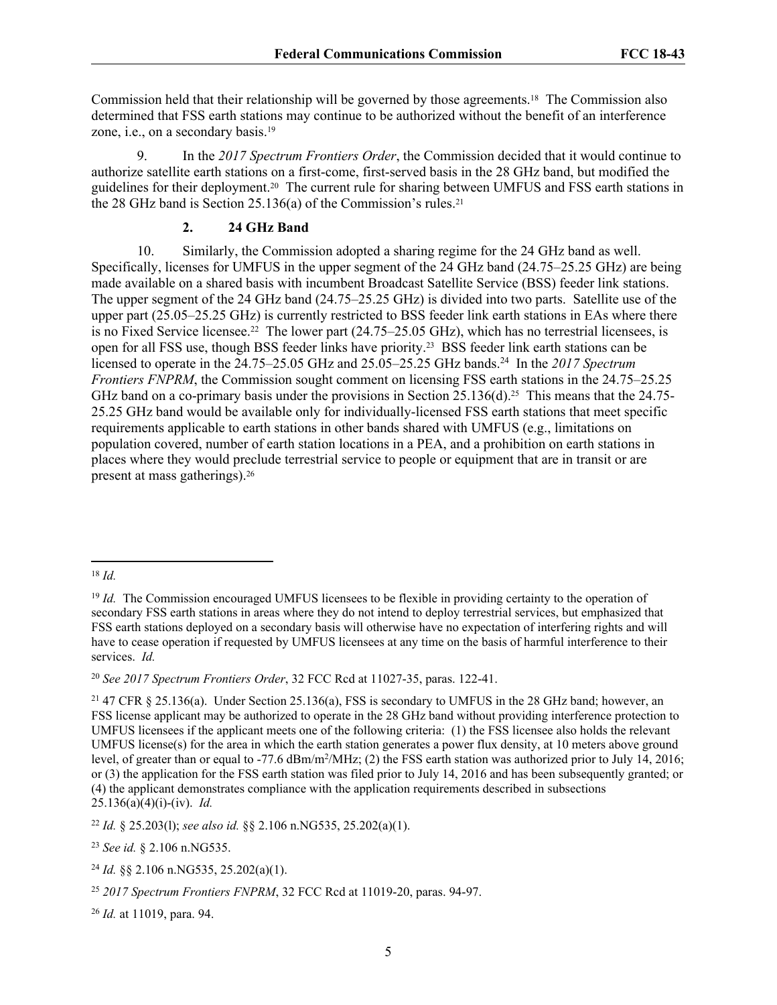Commission held that their relationship will be governed by those agreements.18 The Commission also determined that FSS earth stations may continue to be authorized without the benefit of an interference zone, i.e., on a secondary basis.<sup>19</sup>

9. In the *2017 Spectrum Frontiers Order*, the Commission decided that it would continue to authorize satellite earth stations on a first-come, first-served basis in the 28 GHz band, but modified the guidelines for their deployment.20 The current rule for sharing between UMFUS and FSS earth stations in the 28 GHz band is Section 25.136(a) of the Commission's rules.<sup>21</sup>

## **2. 24 GHz Band**

10. Similarly, the Commission adopted a sharing regime for the 24 GHz band as well. Specifically, licenses for UMFUS in the upper segment of the 24 GHz band (24.75–25.25 GHz) are being made available on a shared basis with incumbent Broadcast Satellite Service (BSS) feeder link stations. The upper segment of the 24 GHz band (24.75–25.25 GHz) is divided into two parts. Satellite use of the upper part (25.05–25.25 GHz) is currently restricted to BSS feeder link earth stations in EAs where there is no Fixed Service licensee.<sup>22</sup> The lower part  $(24.75-25.05 \text{ GHz})$ , which has no terrestrial licensees, is open for all FSS use, though BSS feeder links have priority.23 BSS feeder link earth stations can be licensed to operate in the 24.75–25.05 GHz and 25.05–25.25 GHz bands.<sup>24</sup> In the *2017 Spectrum Frontiers FNPRM*, the Commission sought comment on licensing FSS earth stations in the 24.75–25.25 GHz band on a co-primary basis under the provisions in Section 25.136(d).<sup>25</sup> This means that the 24.75-25.25 GHz band would be available only for individually-licensed FSS earth stations that meet specific requirements applicable to earth stations in other bands shared with UMFUS (e.g., limitations on population covered, number of earth station locations in a PEA, and a prohibition on earth stations in places where they would preclude terrestrial service to people or equipment that are in transit or are present at mass gatherings).<sup>26</sup>

<sup>18</sup> *Id.*

<sup>&</sup>lt;sup>19</sup> *Id.* The Commission encouraged UMFUS licensees to be flexible in providing certainty to the operation of secondary FSS earth stations in areas where they do not intend to deploy terrestrial services, but emphasized that FSS earth stations deployed on a secondary basis will otherwise have no expectation of interfering rights and will have to cease operation if requested by UMFUS licensees at any time on the basis of harmful interference to their services. *Id.*

<sup>20</sup> *See 2017 Spectrum Frontiers Order*, 32 FCC Rcd at 11027-35, paras. 122-41.

<sup>21</sup> 47 CFR § 25.136(a). Under Section 25.136(a), FSS is secondary to UMFUS in the 28 GHz band; however, an FSS license applicant may be authorized to operate in the 28 GHz band without providing interference protection to UMFUS licensees if the applicant meets one of the following criteria: (1) the FSS licensee also holds the relevant UMFUS license(s) for the area in which the earth station generates a power flux density, at 10 meters above ground level, of greater than or equal to  $-77.6$  dBm/m<sup>2</sup>/MHz; (2) the FSS earth station was authorized prior to July 14, 2016; or (3) the application for the FSS earth station was filed prior to July 14, 2016 and has been subsequently granted; or (4) the applicant demonstrates compliance with the application requirements described in subsections 25.136(a)(4)(i)-(iv). *Id.*

<sup>22</sup> *Id.* § 25.203(l); *see also id.* §§ 2.106 n.NG535, 25.202(a)(1).

<sup>23</sup> *See id.* § 2.106 n.NG535.

<sup>24</sup> *Id.* §§ 2.106 n.NG535, 25.202(a)(1).

<sup>25</sup> *2017 Spectrum Frontiers FNPRM*, 32 FCC Rcd at 11019-20, paras. 94-97.

<sup>26</sup> *Id.* at 11019, para. 94.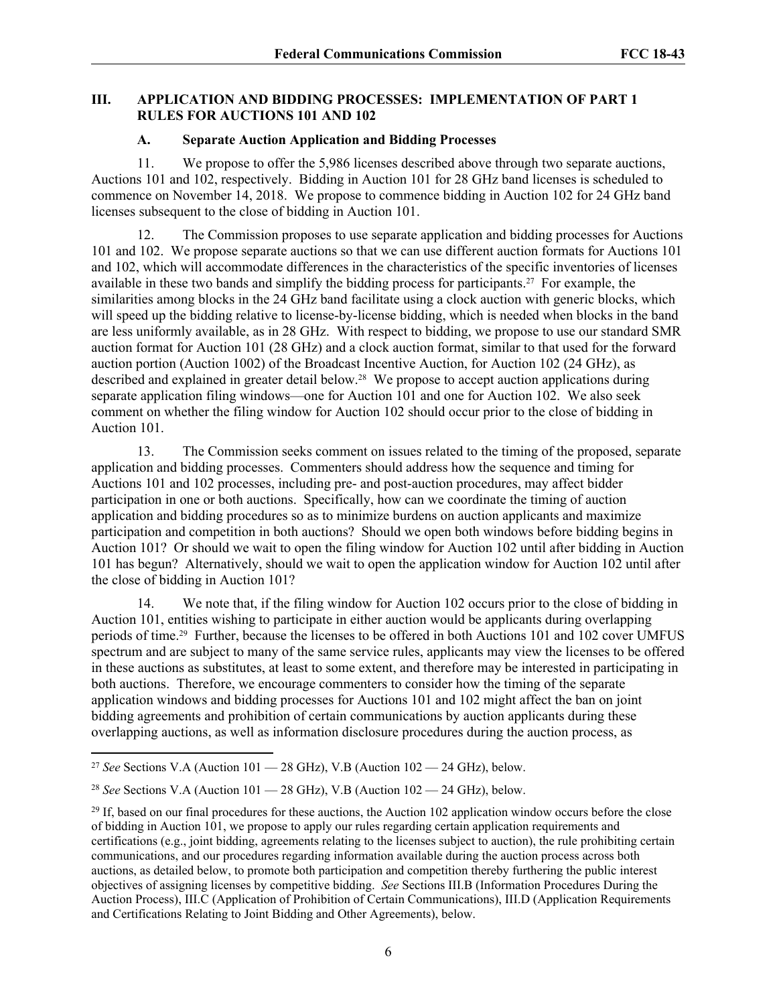## **III. APPLICATION AND BIDDING PROCESSES: IMPLEMENTATION OF PART 1 RULES FOR AUCTIONS 101 AND 102**

#### **A. Separate Auction Application and Bidding Processes**

11. We propose to offer the 5,986 licenses described above through two separate auctions, Auctions 101 and 102, respectively. Bidding in Auction 101 for 28 GHz band licenses is scheduled to commence on November 14, 2018. We propose to commence bidding in Auction 102 for 24 GHz band licenses subsequent to the close of bidding in Auction 101.

12. The Commission proposes to use separate application and bidding processes for Auctions 101 and 102. We propose separate auctions so that we can use different auction formats for Auctions 101 and 102, which will accommodate differences in the characteristics of the specific inventories of licenses available in these two bands and simplify the bidding process for participants.27 For example, the similarities among blocks in the 24 GHz band facilitate using a clock auction with generic blocks, which will speed up the bidding relative to license-by-license bidding, which is needed when blocks in the band are less uniformly available, as in 28 GHz. With respect to bidding, we propose to use our standard SMR auction format for Auction 101 (28 GHz) and a clock auction format, similar to that used for the forward auction portion (Auction 1002) of the Broadcast Incentive Auction, for Auction 102 (24 GHz), as described and explained in greater detail below.28 We propose to accept auction applications during separate application filing windows—one for Auction 101 and one for Auction 102. We also seek comment on whether the filing window for Auction 102 should occur prior to the close of bidding in Auction 101.

13. The Commission seeks comment on issues related to the timing of the proposed, separate application and bidding processes. Commenters should address how the sequence and timing for Auctions 101 and 102 processes, including pre- and post-auction procedures, may affect bidder participation in one or both auctions. Specifically, how can we coordinate the timing of auction application and bidding procedures so as to minimize burdens on auction applicants and maximize participation and competition in both auctions? Should we open both windows before bidding begins in Auction 101? Or should we wait to open the filing window for Auction 102 until after bidding in Auction 101 has begun? Alternatively, should we wait to open the application window for Auction 102 until after the close of bidding in Auction 101?

14. We note that, if the filing window for Auction 102 occurs prior to the close of bidding in Auction 101, entities wishing to participate in either auction would be applicants during overlapping periods of time.29 Further, because the licenses to be offered in both Auctions 101 and 102 cover UMFUS spectrum and are subject to many of the same service rules, applicants may view the licenses to be offered in these auctions as substitutes, at least to some extent, and therefore may be interested in participating in both auctions. Therefore, we encourage commenters to consider how the timing of the separate application windows and bidding processes for Auctions 101 and 102 might affect the ban on joint bidding agreements and prohibition of certain communications by auction applicants during these overlapping auctions, as well as information disclosure procedures during the auction process, as

<sup>27</sup> *See* Sections V.A (Auction 101 — 28 GHz), V.B (Auction 102 — 24 GHz), below.

<sup>28</sup> *See* Sections V.A (Auction 101 — 28 GHz), V.B (Auction 102 — 24 GHz), below.

 $29$  If, based on our final procedures for these auctions, the Auction 102 application window occurs before the close of bidding in Auction 101, we propose to apply our rules regarding certain application requirements and certifications (e.g., joint bidding, agreements relating to the licenses subject to auction), the rule prohibiting certain communications, and our procedures regarding information available during the auction process across both auctions, as detailed below, to promote both participation and competition thereby furthering the public interest objectives of assigning licenses by competitive bidding. *See* Sections III.B (Information Procedures During the Auction Process), III.C (Application of Prohibition of Certain Communications), III.D (Application Requirements and Certifications Relating to Joint Bidding and Other Agreements), below.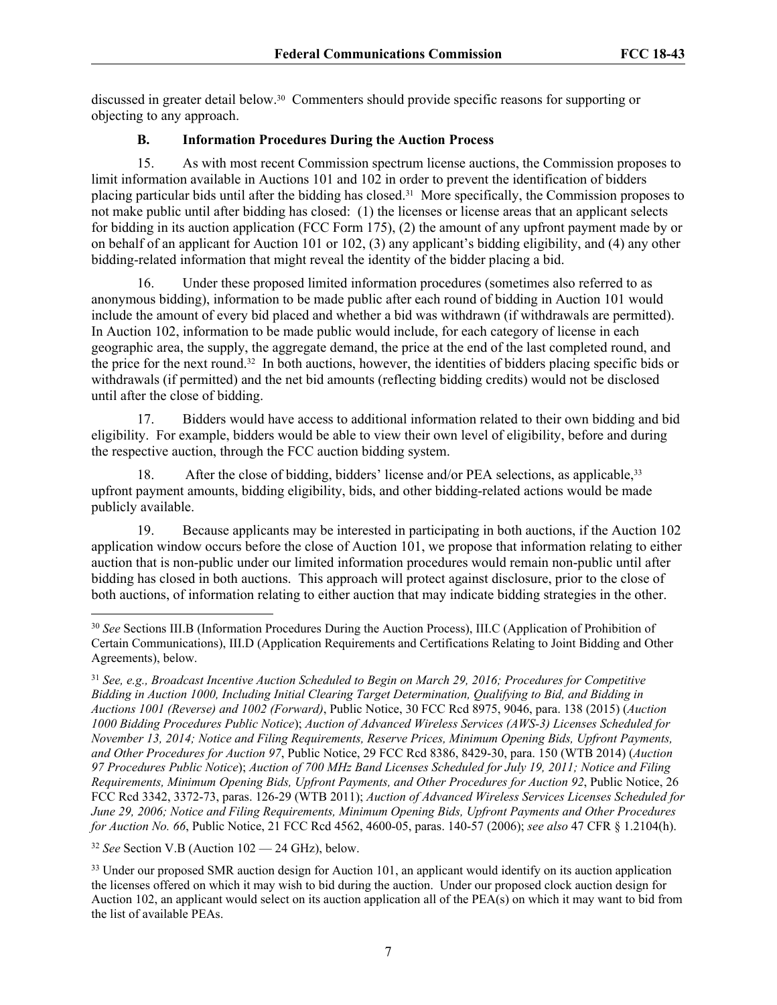discussed in greater detail below.30 Commenters should provide specific reasons for supporting or objecting to any approach.

# **B. Information Procedures During the Auction Process**

15. As with most recent Commission spectrum license auctions, the Commission proposes to limit information available in Auctions 101 and 102 in order to prevent the identification of bidders placing particular bids until after the bidding has closed.31 More specifically, the Commission proposes to not make public until after bidding has closed: (1) the licenses or license areas that an applicant selects for bidding in its auction application (FCC Form 175), (2) the amount of any upfront payment made by or on behalf of an applicant for Auction 101 or 102, (3) any applicant's bidding eligibility, and (4) any other bidding-related information that might reveal the identity of the bidder placing a bid.

16. Under these proposed limited information procedures (sometimes also referred to as anonymous bidding), information to be made public after each round of bidding in Auction 101 would include the amount of every bid placed and whether a bid was withdrawn (if withdrawals are permitted). In Auction 102, information to be made public would include, for each category of license in each geographic area, the supply, the aggregate demand, the price at the end of the last completed round, and the price for the next round.32 In both auctions, however, the identities of bidders placing specific bids or withdrawals (if permitted) and the net bid amounts (reflecting bidding credits) would not be disclosed until after the close of bidding.

17. Bidders would have access to additional information related to their own bidding and bid eligibility. For example, bidders would be able to view their own level of eligibility, before and during the respective auction, through the FCC auction bidding system.

18. After the close of bidding, bidders' license and/or PEA selections, as applicable,<sup>33</sup> upfront payment amounts, bidding eligibility, bids, and other bidding-related actions would be made publicly available.

19. Because applicants may be interested in participating in both auctions, if the Auction 102 application window occurs before the close of Auction 101, we propose that information relating to either auction that is non-public under our limited information procedures would remain non-public until after bidding has closed in both auctions. This approach will protect against disclosure, prior to the close of both auctions, of information relating to either auction that may indicate bidding strategies in the other.

<sup>32</sup> *See* Section V.B (Auction 102 — 24 GHz), below.

<sup>33</sup> Under our proposed SMR auction design for Auction 101, an applicant would identify on its auction application the licenses offered on which it may wish to bid during the auction. Under our proposed clock auction design for Auction 102, an applicant would select on its auction application all of the PEA(s) on which it may want to bid from the list of available PEAs.

<sup>30</sup> *See* Sections III.B (Information Procedures During the Auction Process), III.C (Application of Prohibition of Certain Communications), III.D (Application Requirements and Certifications Relating to Joint Bidding and Other Agreements), below.

<sup>31</sup> *See, e.g., Broadcast Incentive Auction Scheduled to Begin on March 29, 2016; Procedures for Competitive Bidding in Auction 1000, Including Initial Clearing Target Determination, Qualifying to Bid, and Bidding in Auctions 1001 (Reverse) and 1002 (Forward)*, Public Notice, 30 FCC Rcd 8975, 9046, para. 138 (2015) (*Auction 1000 Bidding Procedures Public Notice*); *Auction of Advanced Wireless Services (AWS-3) Licenses Scheduled for November 13, 2014; Notice and Filing Requirements, Reserve Prices, Minimum Opening Bids, Upfront Payments, and Other Procedures for Auction 97*, Public Notice, 29 FCC Rcd 8386, 8429-30, para. 150 (WTB 2014) (*Auction 97 Procedures Public Notice*); *Auction of 700 MHz Band Licenses Scheduled for July 19, 2011; Notice and Filing Requirements, Minimum Opening Bids, Upfront Payments, and Other Procedures for Auction 92*, Public Notice, 26 FCC Rcd 3342, 3372-73, paras. 126-29 (WTB 2011); *Auction of Advanced Wireless Services Licenses Scheduled for June 29, 2006; Notice and Filing Requirements, Minimum Opening Bids, Upfront Payments and Other Procedures for Auction No. 66*, Public Notice, 21 FCC Rcd 4562, 4600-05, paras. 140-57 (2006); *see also* 47 CFR § 1.2104(h).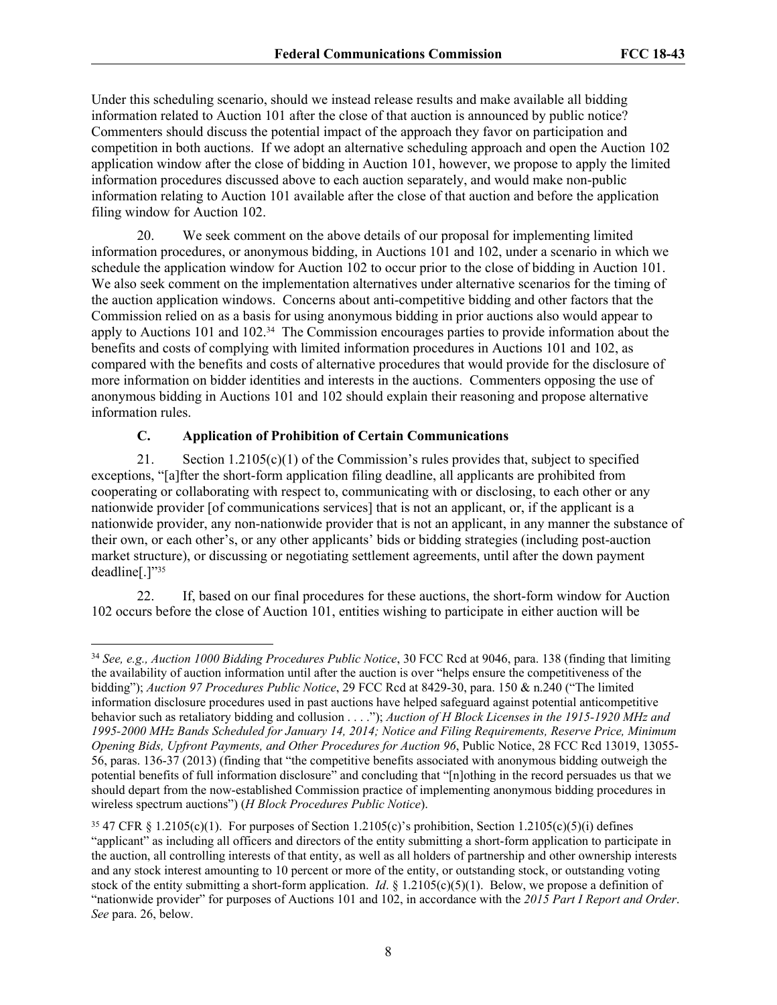Under this scheduling scenario, should we instead release results and make available all bidding information related to Auction 101 after the close of that auction is announced by public notice? Commenters should discuss the potential impact of the approach they favor on participation and competition in both auctions. If we adopt an alternative scheduling approach and open the Auction 102 application window after the close of bidding in Auction 101, however, we propose to apply the limited information procedures discussed above to each auction separately, and would make non-public information relating to Auction 101 available after the close of that auction and before the application filing window for Auction 102.

20. We seek comment on the above details of our proposal for implementing limited information procedures, or anonymous bidding, in Auctions 101 and 102, under a scenario in which we schedule the application window for Auction 102 to occur prior to the close of bidding in Auction 101. We also seek comment on the implementation alternatives under alternative scenarios for the timing of the auction application windows. Concerns about anti-competitive bidding and other factors that the Commission relied on as a basis for using anonymous bidding in prior auctions also would appear to apply to Auctions 101 and 102.34 The Commission encourages parties to provide information about the benefits and costs of complying with limited information procedures in Auctions 101 and 102, as compared with the benefits and costs of alternative procedures that would provide for the disclosure of more information on bidder identities and interests in the auctions. Commenters opposing the use of anonymous bidding in Auctions 101 and 102 should explain their reasoning and propose alternative information rules.

# **C. Application of Prohibition of Certain Communications**

21. Section 1.2105(c)(1) of the Commission's rules provides that, subject to specified exceptions, "[a]fter the short-form application filing deadline, all applicants are prohibited from cooperating or collaborating with respect to, communicating with or disclosing, to each other or any nationwide provider [of communications services] that is not an applicant, or, if the applicant is a nationwide provider, any non-nationwide provider that is not an applicant, in any manner the substance of their own, or each other's, or any other applicants' bids or bidding strategies (including post-auction market structure), or discussing or negotiating settlement agreements, until after the down payment deadline[.]"<sup>35</sup>

22. If, based on our final procedures for these auctions, the short-form window for Auction 102 occurs before the close of Auction 101, entities wishing to participate in either auction will be

<sup>34</sup> *See, e.g., Auction 1000 Bidding Procedures Public Notice*, 30 FCC Rcd at 9046, para. 138 (finding that limiting the availability of auction information until after the auction is over "helps ensure the competitiveness of the bidding"); *Auction 97 Procedures Public Notice*, 29 FCC Rcd at 8429-30, para. 150 & n.240 ("The limited information disclosure procedures used in past auctions have helped safeguard against potential anticompetitive behavior such as retaliatory bidding and collusion . . . ."); *Auction of H Block Licenses in the 1915-1920 MHz and 1995-2000 MHz Bands Scheduled for January 14, 2014; Notice and Filing Requirements, Reserve Price, Minimum Opening Bids, Upfront Payments, and Other Procedures for Auction 96*, Public Notice, 28 FCC Rcd 13019, 13055- 56, paras. 136-37 (2013) (finding that "the competitive benefits associated with anonymous bidding outweigh the potential benefits of full information disclosure" and concluding that "[n]othing in the record persuades us that we should depart from the now-established Commission practice of implementing anonymous bidding procedures in wireless spectrum auctions") (*H Block Procedures Public Notice*).

<sup>&</sup>lt;sup>35</sup> 47 CFR § 1.2105(c)(1). For purposes of Section 1.2105(c)'s prohibition, Section 1.2105(c)(5)(i) defines "applicant" as including all officers and directors of the entity submitting a short-form application to participate in the auction, all controlling interests of that entity, as well as all holders of partnership and other ownership interests and any stock interest amounting to 10 percent or more of the entity, or outstanding stock, or outstanding voting stock of the entity submitting a short-form application. *Id*. § 1.2105(c)(5)(1). Below, we propose a definition of "nationwide provider" for purposes of Auctions 101 and 102, in accordance with the *2015 Part I Report and Order*. *See* para. 26, below.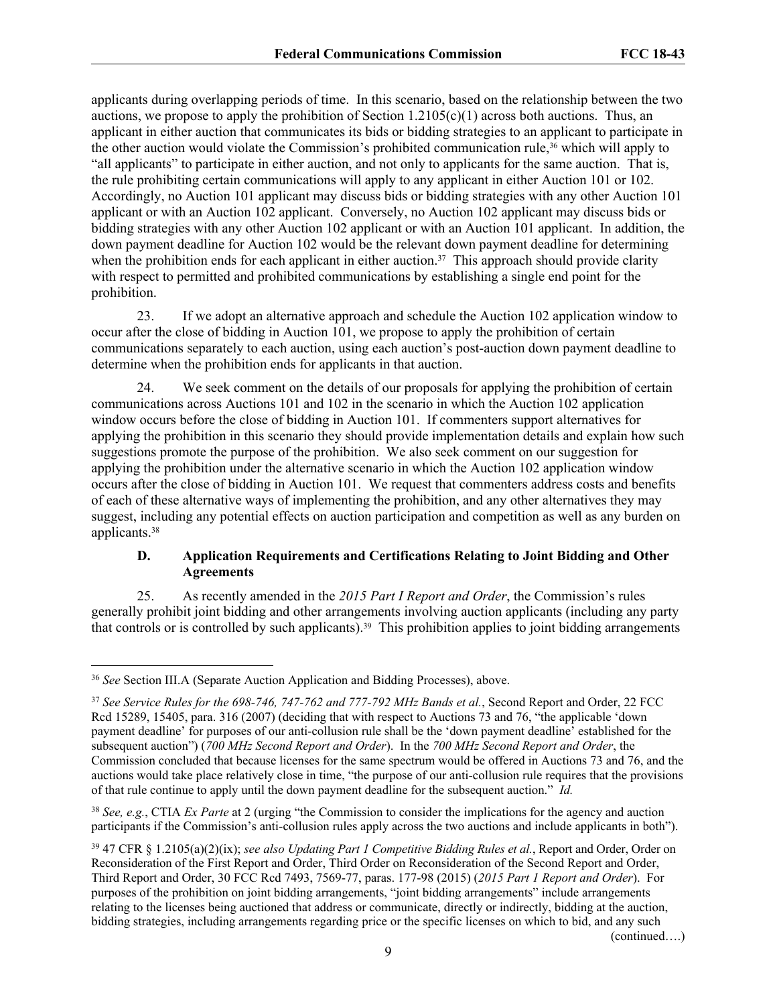applicants during overlapping periods of time. In this scenario, based on the relationship between the two auctions, we propose to apply the prohibition of Section 1.2105(c)(1) across both auctions. Thus, an applicant in either auction that communicates its bids or bidding strategies to an applicant to participate in the other auction would violate the Commission's prohibited communication rule,36 which will apply to "all applicants" to participate in either auction, and not only to applicants for the same auction. That is, the rule prohibiting certain communications will apply to any applicant in either Auction 101 or 102. Accordingly, no Auction 101 applicant may discuss bids or bidding strategies with any other Auction 101 applicant or with an Auction 102 applicant. Conversely, no Auction 102 applicant may discuss bids or bidding strategies with any other Auction 102 applicant or with an Auction 101 applicant. In addition, the down payment deadline for Auction 102 would be the relevant down payment deadline for determining when the prohibition ends for each applicant in either auction.<sup>37</sup> This approach should provide clarity with respect to permitted and prohibited communications by establishing a single end point for the prohibition.

23. If we adopt an alternative approach and schedule the Auction 102 application window to occur after the close of bidding in Auction 101, we propose to apply the prohibition of certain communications separately to each auction, using each auction's post-auction down payment deadline to determine when the prohibition ends for applicants in that auction.

24. We seek comment on the details of our proposals for applying the prohibition of certain communications across Auctions 101 and 102 in the scenario in which the Auction 102 application window occurs before the close of bidding in Auction 101. If commenters support alternatives for applying the prohibition in this scenario they should provide implementation details and explain how such suggestions promote the purpose of the prohibition. We also seek comment on our suggestion for applying the prohibition under the alternative scenario in which the Auction 102 application window occurs after the close of bidding in Auction 101. We request that commenters address costs and benefits of each of these alternative ways of implementing the prohibition, and any other alternatives they may suggest, including any potential effects on auction participation and competition as well as any burden on applicants.<sup>38</sup>

## **D. Application Requirements and Certifications Relating to Joint Bidding and Other Agreements**

25. As recently amended in the *2015 Part I Report and Order*, the Commission's rules generally prohibit joint bidding and other arrangements involving auction applicants (including any party that controls or is controlled by such applicants).<sup>39</sup> This prohibition applies to joint bidding arrangements

<sup>38</sup> *See, e.g.*, CTIA *Ex Parte* at 2 (urging "the Commission to consider the implications for the agency and auction participants if the Commission's anti-collusion rules apply across the two auctions and include applicants in both").

(continued….)

<sup>36</sup> *See* Section III.A (Separate Auction Application and Bidding Processes), above.

<sup>37</sup> *See Service Rules for the 698-746, 747-762 and 777-792 MHz Bands et al.*, Second Report and Order, 22 FCC Rcd 15289, 15405, para. 316 (2007) (deciding that with respect to Auctions 73 and 76, "the applicable 'down payment deadline' for purposes of our anti-collusion rule shall be the 'down payment deadline' established for the subsequent auction") (*700 MHz Second Report and Order*). In the *700 MHz Second Report and Order*, the Commission concluded that because licenses for the same spectrum would be offered in Auctions 73 and 76, and the auctions would take place relatively close in time, "the purpose of our anti-collusion rule requires that the provisions of that rule continue to apply until the down payment deadline for the subsequent auction." *Id.*

<sup>39</sup> 47 CFR § 1.2105(a)(2)(ix); *see also Updating Part 1 Competitive Bidding Rules et al.*, Report and Order, Order on Reconsideration of the First Report and Order, Third Order on Reconsideration of the Second Report and Order, Third Report and Order, 30 FCC Rcd 7493, 7569-77, paras. 177-98 (2015) (*2015 Part 1 Report and Order*). For purposes of the prohibition on joint bidding arrangements, "joint bidding arrangements" include arrangements relating to the licenses being auctioned that address or communicate, directly or indirectly, bidding at the auction, bidding strategies, including arrangements regarding price or the specific licenses on which to bid, and any such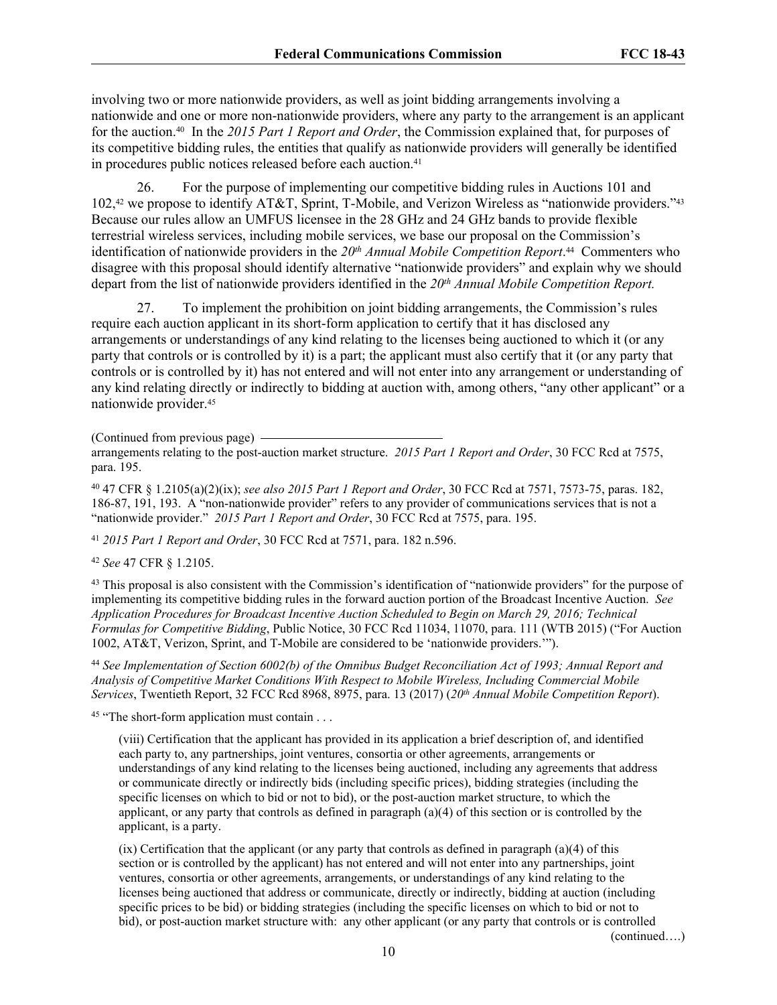involving two or more nationwide providers, as well as joint bidding arrangements involving a nationwide and one or more non-nationwide providers, where any party to the arrangement is an applicant for the auction.40 In the *2015 Part 1 Report and Order*, the Commission explained that, for purposes of its competitive bidding rules, the entities that qualify as nationwide providers will generally be identified in procedures public notices released before each auction.<sup>41</sup>

26. For the purpose of implementing our competitive bidding rules in Auctions 101 and 102,<sup>42</sup> we propose to identify AT&T, Sprint, T-Mobile, and Verizon Wireless as "nationwide providers."<sup>43</sup> Because our rules allow an UMFUS licensee in the 28 GHz and 24 GHz bands to provide flexible terrestrial wireless services, including mobile services, we base our proposal on the Commission's identification of nationwide providers in the *20th Annual Mobile Competition Report*. <sup>44</sup> Commenters who disagree with this proposal should identify alternative "nationwide providers" and explain why we should depart from the list of nationwide providers identified in the *20th Annual Mobile Competition Report.*

27. To implement the prohibition on joint bidding arrangements, the Commission's rules require each auction applicant in its short-form application to certify that it has disclosed any arrangements or understandings of any kind relating to the licenses being auctioned to which it (or any party that controls or is controlled by it) is a part; the applicant must also certify that it (or any party that controls or is controlled by it) has not entered and will not enter into any arrangement or understanding of any kind relating directly or indirectly to bidding at auction with, among others, "any other applicant" or a nationwide provider.<sup>45</sup>

(Continued from previous page)

arrangements relating to the post-auction market structure. *2015 Part 1 Report and Order*, 30 FCC Rcd at 7575, para. 195.

<sup>40</sup> 47 CFR § 1.2105(a)(2)(ix); *see also 2015 Part 1 Report and Order*, 30 FCC Rcd at 7571, 7573-75, paras. 182, 186-87, 191, 193. A "non-nationwide provider" refers to any provider of communications services that is not a "nationwide provider." *2015 Part 1 Report and Order*, 30 FCC Rcd at 7575, para. 195.

<sup>41</sup> *2015 Part 1 Report and Order*, 30 FCC Rcd at 7571, para. 182 n.596.

<sup>42</sup> *See* 47 CFR § 1.2105.

<sup>43</sup> This proposal is also consistent with the Commission's identification of "nationwide providers" for the purpose of implementing its competitive bidding rules in the forward auction portion of the Broadcast Incentive Auction. *See Application Procedures for Broadcast Incentive Auction Scheduled to Begin on March 29, 2016; Technical Formulas for Competitive Bidding*, Public Notice, 30 FCC Rcd 11034, 11070, para. 111 (WTB 2015) ("For Auction 1002, AT&T, Verizon, Sprint, and T-Mobile are considered to be 'nationwide providers.'").

<sup>44</sup> *See Implementation of Section 6002(b) of the Omnibus Budget Reconciliation Act of 1993; Annual Report and Analysis of Competitive Market Conditions With Respect to Mobile Wireless, Including Commercial Mobile Services*, Twentieth Report, 32 FCC Rcd 8968, 8975, para. 13 (2017) (*20th Annual Mobile Competition Report*).

<sup>45</sup> "The short-form application must contain . . .

(viii) Certification that the applicant has provided in its application a brief description of, and identified each party to, any partnerships, joint ventures, consortia or other agreements, arrangements or understandings of any kind relating to the licenses being auctioned, including any agreements that address or communicate directly or indirectly bids (including specific prices), bidding strategies (including the specific licenses on which to bid or not to bid), or the post-auction market structure, to which the applicant, or any party that controls as defined in paragraph (a)(4) of this section or is controlled by the applicant, is a party.

(ix) Certification that the applicant (or any party that controls as defined in paragraph (a)(4) of this section or is controlled by the applicant) has not entered and will not enter into any partnerships, joint ventures, consortia or other agreements, arrangements, or understandings of any kind relating to the licenses being auctioned that address or communicate, directly or indirectly, bidding at auction (including specific prices to be bid) or bidding strategies (including the specific licenses on which to bid or not to bid), or post-auction market structure with: any other applicant (or any party that controls or is controlled

(continued….)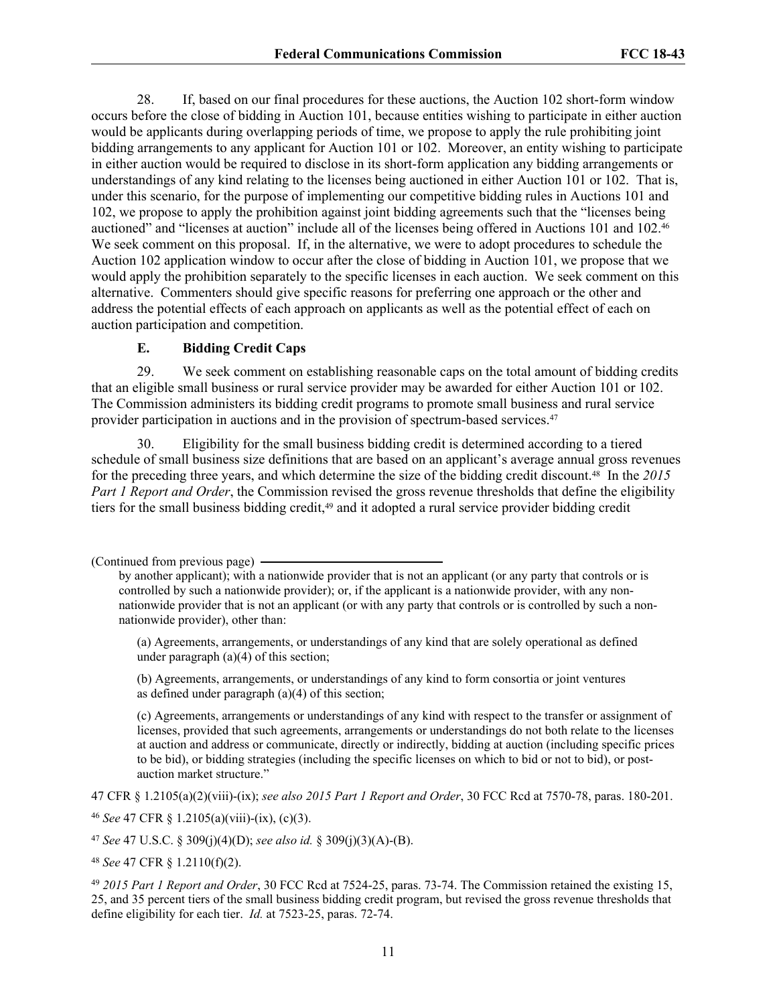28. If, based on our final procedures for these auctions, the Auction 102 short-form window occurs before the close of bidding in Auction 101, because entities wishing to participate in either auction would be applicants during overlapping periods of time, we propose to apply the rule prohibiting joint bidding arrangements to any applicant for Auction 101 or 102. Moreover, an entity wishing to participate in either auction would be required to disclose in its short-form application any bidding arrangements or understandings of any kind relating to the licenses being auctioned in either Auction 101 or 102. That is, under this scenario, for the purpose of implementing our competitive bidding rules in Auctions 101 and 102, we propose to apply the prohibition against joint bidding agreements such that the "licenses being auctioned" and "licenses at auction" include all of the licenses being offered in Auctions 101 and 102.<sup>46</sup> We seek comment on this proposal. If, in the alternative, we were to adopt procedures to schedule the Auction 102 application window to occur after the close of bidding in Auction 101, we propose that we would apply the prohibition separately to the specific licenses in each auction. We seek comment on this alternative. Commenters should give specific reasons for preferring one approach or the other and address the potential effects of each approach on applicants as well as the potential effect of each on auction participation and competition.

## **E. Bidding Credit Caps**

29. We seek comment on establishing reasonable caps on the total amount of bidding credits that an eligible small business or rural service provider may be awarded for either Auction 101 or 102. The Commission administers its bidding credit programs to promote small business and rural service provider participation in auctions and in the provision of spectrum-based services.<sup>47</sup>

30. Eligibility for the small business bidding credit is determined according to a tiered schedule of small business size definitions that are based on an applicant's average annual gross revenues for the preceding three years, and which determine the size of the bidding credit discount.48 In the *2015 Part 1 Report and Order*, the Commission revised the gross revenue thresholds that define the eligibility tiers for the small business bidding credit,<sup>49</sup> and it adopted a rural service provider bidding credit

(b) Agreements, arrangements, or understandings of any kind to form consortia or joint ventures as defined under paragraph (a)(4) of this section;

(c) Agreements, arrangements or understandings of any kind with respect to the transfer or assignment of licenses, provided that such agreements, arrangements or understandings do not both relate to the licenses at auction and address or communicate, directly or indirectly, bidding at auction (including specific prices to be bid), or bidding strategies (including the specific licenses on which to bid or not to bid), or postauction market structure."

47 CFR § 1.2105(a)(2)(viii)-(ix); *see also 2015 Part 1 Report and Order*, 30 FCC Rcd at 7570-78, paras. 180-201.

<sup>46</sup> *See* 47 CFR § 1.2105(a)(viii)-(ix), (c)(3).

<sup>47</sup> *See* 47 U.S.C. § 309(j)(4)(D); *see also id.* § 309(j)(3)(A)-(B).

<sup>48</sup> *See* 47 CFR § 1.2110(f)(2).

<sup>49</sup> *2015 Part 1 Report and Order*, 30 FCC Rcd at 7524-25, paras. 73-74. The Commission retained the existing 15, 25, and 35 percent tiers of the small business bidding credit program, but revised the gross revenue thresholds that define eligibility for each tier. *Id.* at 7523-25, paras. 72-74.

<sup>(</sup>Continued from previous page)

by another applicant); with a nationwide provider that is not an applicant (or any party that controls or is controlled by such a nationwide provider); or, if the applicant is a nationwide provider, with any nonnationwide provider that is not an applicant (or with any party that controls or is controlled by such a nonnationwide provider), other than:

<sup>(</sup>a) Agreements, arrangements, or understandings of any kind that are solely operational as defined under paragraph (a)(4) of this section;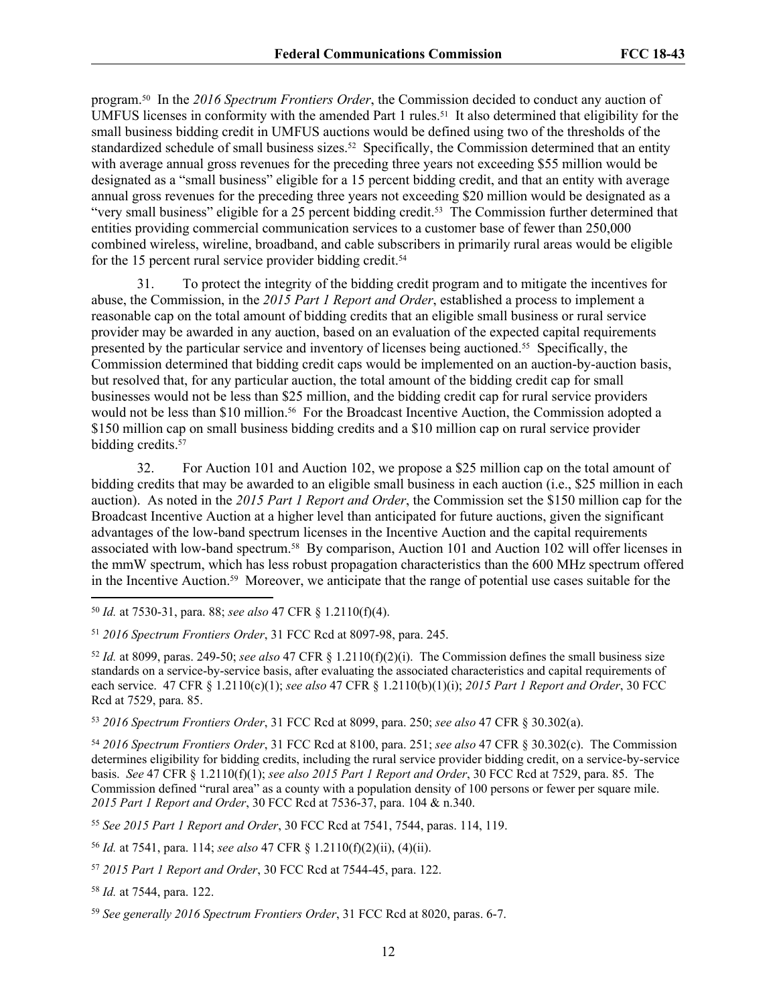program.50 In the *2016 Spectrum Frontiers Order*, the Commission decided to conduct any auction of UMFUS licenses in conformity with the amended Part 1 rules.<sup>51</sup> It also determined that eligibility for the small business bidding credit in UMFUS auctions would be defined using two of the thresholds of the standardized schedule of small business sizes.<sup>52</sup> Specifically, the Commission determined that an entity with average annual gross revenues for the preceding three years not exceeding \$55 million would be designated as a "small business" eligible for a 15 percent bidding credit, and that an entity with average annual gross revenues for the preceding three years not exceeding \$20 million would be designated as a "very small business" eligible for a 25 percent bidding credit.<sup>53</sup> The Commission further determined that entities providing commercial communication services to a customer base of fewer than 250,000 combined wireless, wireline, broadband, and cable subscribers in primarily rural areas would be eligible for the 15 percent rural service provider bidding credit.<sup>54</sup>

31. To protect the integrity of the bidding credit program and to mitigate the incentives for abuse, the Commission, in the *2015 Part 1 Report and Order*, established a process to implement a reasonable cap on the total amount of bidding credits that an eligible small business or rural service provider may be awarded in any auction, based on an evaluation of the expected capital requirements presented by the particular service and inventory of licenses being auctioned.55 Specifically, the Commission determined that bidding credit caps would be implemented on an auction-by-auction basis, but resolved that, for any particular auction, the total amount of the bidding credit cap for small businesses would not be less than \$25 million, and the bidding credit cap for rural service providers would not be less than \$10 million.<sup>56</sup> For the Broadcast Incentive Auction, the Commission adopted a \$150 million cap on small business bidding credits and a \$10 million cap on rural service provider bidding credits.<sup>57</sup>

32. For Auction 101 and Auction 102, we propose a \$25 million cap on the total amount of bidding credits that may be awarded to an eligible small business in each auction (i.e., \$25 million in each auction). As noted in the *2015 Part 1 Report and Order*, the Commission set the \$150 million cap for the Broadcast Incentive Auction at a higher level than anticipated for future auctions, given the significant advantages of the low-band spectrum licenses in the Incentive Auction and the capital requirements associated with low-band spectrum.58 By comparison, Auction 101 and Auction 102 will offer licenses in the mmW spectrum, which has less robust propagation characteristics than the 600 MHz spectrum offered in the Incentive Auction.59 Moreover, we anticipate that the range of potential use cases suitable for the

 $52$  *Id.* at 8099, paras. 249-50; *see also* 47 CFR  $\S$  1.2110(f)(2)(i). The Commission defines the small business size standards on a service-by-service basis, after evaluating the associated characteristics and capital requirements of each service. 47 CFR § 1.2110(c)(1); *see also* 47 CFR § 1.2110(b)(1)(i); *2015 Part 1 Report and Order*, 30 FCC Rcd at 7529, para. 85.

<sup>53</sup> *2016 Spectrum Frontiers Order*, 31 FCC Rcd at 8099, para. 250; *see also* 47 CFR § 30.302(a).

<sup>54</sup> *2016 Spectrum Frontiers Order*, 31 FCC Rcd at 8100, para. 251; *see also* 47 CFR § 30.302(c). The Commission determines eligibility for bidding credits, including the rural service provider bidding credit, on a service-by-service basis. *See* 47 CFR § 1.2110(f)(1); *see also 2015 Part 1 Report and Order*, 30 FCC Rcd at 7529, para. 85. The Commission defined "rural area" as a county with a population density of 100 persons or fewer per square mile. *2015 Part 1 Report and Order*, 30 FCC Rcd at 7536-37, para. 104 & n.340.

<sup>55</sup> *See 2015 Part 1 Report and Order*, 30 FCC Rcd at 7541, 7544, paras. 114, 119.

<sup>56</sup> *Id.* at 7541, para. 114; *see also* 47 CFR § 1.2110(f)(2)(ii), (4)(ii).

<sup>57</sup> *2015 Part 1 Report and Order*, 30 FCC Rcd at 7544-45, para. 122.

<sup>58</sup> *Id.* at 7544, para. 122.

<sup>50</sup> *Id.* at 7530-31, para. 88; *see also* 47 CFR § 1.2110(f)(4).

<sup>51</sup> *2016 Spectrum Frontiers Order*, 31 FCC Rcd at 8097-98, para. 245.

<sup>59</sup> *See generally 2016 Spectrum Frontiers Order*, 31 FCC Rcd at 8020, paras. 6-7.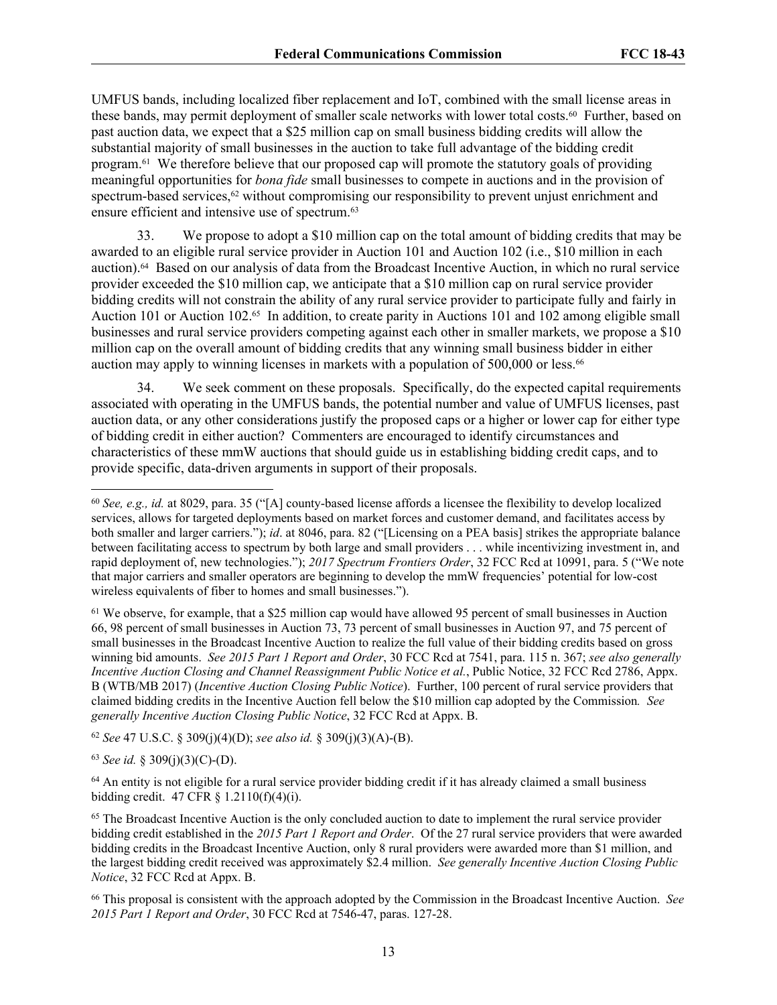UMFUS bands, including localized fiber replacement and IoT, combined with the small license areas in these bands, may permit deployment of smaller scale networks with lower total costs.<sup>60</sup> Further, based on past auction data, we expect that a \$25 million cap on small business bidding credits will allow the substantial majority of small businesses in the auction to take full advantage of the bidding credit program.61 We therefore believe that our proposed cap will promote the statutory goals of providing meaningful opportunities for *bona fide* small businesses to compete in auctions and in the provision of spectrum-based services,<sup>62</sup> without compromising our responsibility to prevent unjust enrichment and ensure efficient and intensive use of spectrum.<sup>63</sup>

33. We propose to adopt a \$10 million cap on the total amount of bidding credits that may be awarded to an eligible rural service provider in Auction 101 and Auction 102 (i.e., \$10 million in each auction).64 Based on our analysis of data from the Broadcast Incentive Auction, in which no rural service provider exceeded the \$10 million cap, we anticipate that a \$10 million cap on rural service provider bidding credits will not constrain the ability of any rural service provider to participate fully and fairly in Auction 101 or Auction 102.65 In addition, to create parity in Auctions 101 and 102 among eligible small businesses and rural service providers competing against each other in smaller markets, we propose a \$10 million cap on the overall amount of bidding credits that any winning small business bidder in either auction may apply to winning licenses in markets with a population of 500,000 or less.<sup>66</sup>

34. We seek comment on these proposals. Specifically, do the expected capital requirements associated with operating in the UMFUS bands, the potential number and value of UMFUS licenses, past auction data, or any other considerations justify the proposed caps or a higher or lower cap for either type of bidding credit in either auction? Commenters are encouraged to identify circumstances and characteristics of these mmW auctions that should guide us in establishing bidding credit caps, and to provide specific, data-driven arguments in support of their proposals.

<sup>61</sup> We observe, for example, that a \$25 million cap would have allowed 95 percent of small businesses in Auction 66, 98 percent of small businesses in Auction 73, 73 percent of small businesses in Auction 97, and 75 percent of small businesses in the Broadcast Incentive Auction to realize the full value of their bidding credits based on gross winning bid amounts. *See 2015 Part 1 Report and Order*, 30 FCC Rcd at 7541, para. 115 n. 367; *see also generally Incentive Auction Closing and Channel Reassignment Public Notice et al.*, Public Notice, 32 FCC Rcd 2786, Appx. B (WTB/MB 2017) (*Incentive Auction Closing Public Notice*). Further, 100 percent of rural service providers that claimed bidding credits in the Incentive Auction fell below the \$10 million cap adopted by the Commission*. See generally Incentive Auction Closing Public Notice*, 32 FCC Rcd at Appx. B.

<sup>62</sup> *See* 47 U.S.C. § 309(j)(4)(D); *see also id.* § 309(j)(3)(A)-(B).

<sup>63</sup> *See id.* § 309(j)(3)(C)-(D).

<sup>64</sup> An entity is not eligible for a rural service provider bidding credit if it has already claimed a small business bidding credit. 47 CFR § 1.2110(f)(4)(i).

<sup>65</sup> The Broadcast Incentive Auction is the only concluded auction to date to implement the rural service provider bidding credit established in the *2015 Part 1 Report and Order*. Of the 27 rural service providers that were awarded bidding credits in the Broadcast Incentive Auction, only 8 rural providers were awarded more than \$1 million, and the largest bidding credit received was approximately \$2.4 million. *See generally Incentive Auction Closing Public Notice*, 32 FCC Rcd at Appx. B.

<sup>66</sup> This proposal is consistent with the approach adopted by the Commission in the Broadcast Incentive Auction. *See 2015 Part 1 Report and Order*, 30 FCC Rcd at 7546-47, paras. 127-28.

<sup>60</sup> *See, e.g., id.* at 8029, para. 35 ("[A] county-based license affords a licensee the flexibility to develop localized services, allows for targeted deployments based on market forces and customer demand, and facilitates access by both smaller and larger carriers."); *id*. at 8046, para. 82 ("[Licensing on a PEA basis] strikes the appropriate balance between facilitating access to spectrum by both large and small providers . . . while incentivizing investment in, and rapid deployment of, new technologies."); *2017 Spectrum Frontiers Order*, 32 FCC Rcd at 10991, para. 5 ("We note that major carriers and smaller operators are beginning to develop the mmW frequencies' potential for low-cost wireless equivalents of fiber to homes and small businesses.").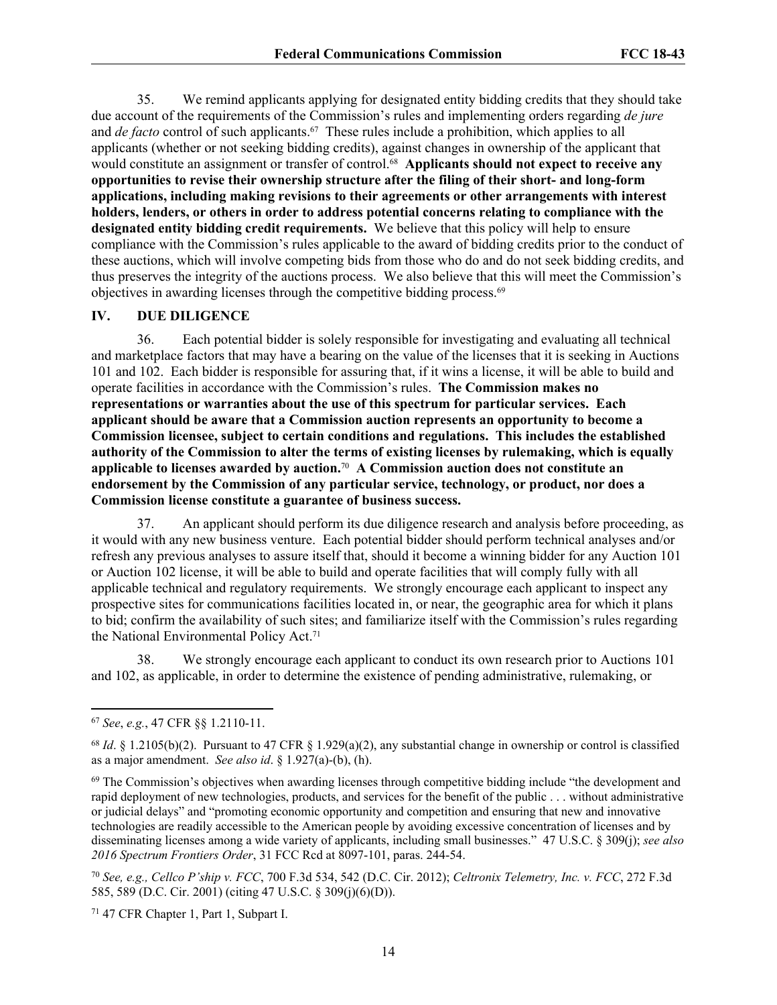35. We remind applicants applying for designated entity bidding credits that they should take due account of the requirements of the Commission's rules and implementing orders regarding *de jure* and *de facto* control of such applicants.<sup>67</sup> These rules include a prohibition, which applies to all applicants (whether or not seeking bidding credits), against changes in ownership of the applicant that would constitute an assignment or transfer of control.<sup>68</sup> Applicants should not expect to receive any **opportunities to revise their ownership structure after the filing of their short- and long-form applications, including making revisions to their agreements or other arrangements with interest holders, lenders, or others in order to address potential concerns relating to compliance with the designated entity bidding credit requirements.** We believe that this policy will help to ensure compliance with the Commission's rules applicable to the award of bidding credits prior to the conduct of these auctions, which will involve competing bids from those who do and do not seek bidding credits, and thus preserves the integrity of the auctions process. We also believe that this will meet the Commission's objectives in awarding licenses through the competitive bidding process.<sup>69</sup>

#### **IV. DUE DILIGENCE**

36. Each potential bidder is solely responsible for investigating and evaluating all technical and marketplace factors that may have a bearing on the value of the licenses that it is seeking in Auctions 101 and 102. Each bidder is responsible for assuring that, if it wins a license, it will be able to build and operate facilities in accordance with the Commission's rules. **The Commission makes no representations or warranties about the use of this spectrum for particular services. Each applicant should be aware that a Commission auction represents an opportunity to become a Commission licensee, subject to certain conditions and regulations. This includes the established authority of the Commission to alter the terms of existing licenses by rulemaking, which is equally applicable to licenses awarded by auction.**70 **A Commission auction does not constitute an endorsement by the Commission of any particular service, technology, or product, nor does a Commission license constitute a guarantee of business success.**

37. An applicant should perform its due diligence research and analysis before proceeding, as it would with any new business venture. Each potential bidder should perform technical analyses and/or refresh any previous analyses to assure itself that, should it become a winning bidder for any Auction 101 or Auction 102 license, it will be able to build and operate facilities that will comply fully with all applicable technical and regulatory requirements. We strongly encourage each applicant to inspect any prospective sites for communications facilities located in, or near, the geographic area for which it plans to bid; confirm the availability of such sites; and familiarize itself with the Commission's rules regarding the National Environmental Policy Act.<sup>71</sup>

38. We strongly encourage each applicant to conduct its own research prior to Auctions 101 and 102, as applicable, in order to determine the existence of pending administrative, rulemaking, or

71 47 CFR Chapter 1, Part 1, Subpart I.

<sup>67</sup> *See*, *e.g.*, 47 CFR §§ 1.2110-11.

<sup>68</sup> *Id*. § 1.2105(b)(2). Pursuant to 47 CFR § 1.929(a)(2), any substantial change in ownership or control is classified as a major amendment. *See also id*. § 1.927(a)-(b), (h).

<sup>&</sup>lt;sup>69</sup> The Commission's objectives when awarding licenses through competitive bidding include "the development and rapid deployment of new technologies, products, and services for the benefit of the public . . . without administrative or judicial delays" and "promoting economic opportunity and competition and ensuring that new and innovative technologies are readily accessible to the American people by avoiding excessive concentration of licenses and by disseminating licenses among a wide variety of applicants, including small businesses." 47 U.S.C. § 309(j); *see also 2016 Spectrum Frontiers Order*, 31 FCC Rcd at 8097-101, paras. 244-54.

<sup>70</sup> *See, e.g., Cellco P'ship v. FCC*, 700 F.3d 534, 542 (D.C. Cir. 2012); *Celtronix Telemetry, Inc. v. FCC*, 272 F.3d 585, 589 (D.C. Cir. 2001) (citing 47 U.S.C. § 309(j)(6)(D)).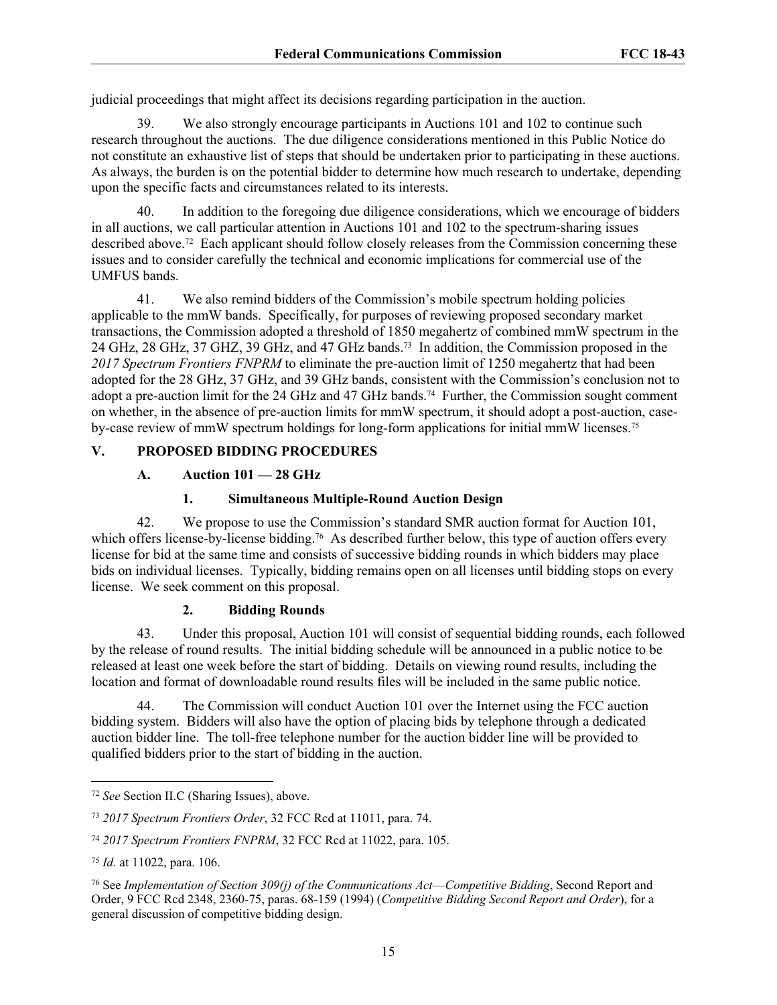judicial proceedings that might affect its decisions regarding participation in the auction.

39. We also strongly encourage participants in Auctions 101 and 102 to continue such research throughout the auctions. The due diligence considerations mentioned in this Public Notice do not constitute an exhaustive list of steps that should be undertaken prior to participating in these auctions. As always, the burden is on the potential bidder to determine how much research to undertake, depending upon the specific facts and circumstances related to its interests.

In addition to the foregoing due diligence considerations, which we encourage of bidders in all auctions, we call particular attention in Auctions 101 and 102 to the spectrum-sharing issues described above.72 Each applicant should follow closely releases from the Commission concerning these issues and to consider carefully the technical and economic implications for commercial use of the UMFUS bands.

41. We also remind bidders of the Commission's mobile spectrum holding policies applicable to the mmW bands. Specifically, for purposes of reviewing proposed secondary market transactions, the Commission adopted a threshold of 1850 megahertz of combined mmW spectrum in the 24 GHz, 28 GHz, 37 GHZ, 39 GHz, and 47 GHz bands.73 In addition, the Commission proposed in the *2017 Spectrum Frontiers FNPRM* to eliminate the pre-auction limit of 1250 megahertz that had been adopted for the 28 GHz, 37 GHz, and 39 GHz bands, consistent with the Commission's conclusion not to adopt a pre-auction limit for the 24 GHz and 47 GHz bands.<sup>74</sup> Further, the Commission sought comment on whether, in the absence of pre-auction limits for mmW spectrum, it should adopt a post-auction, caseby-case review of mmW spectrum holdings for long-form applications for initial mmW licenses.<sup>75</sup>

# **V. PROPOSED BIDDING PROCEDURES**

# **A. Auction 101 — 28 GHz**

# **1. Simultaneous Multiple-Round Auction Design**

42. We propose to use the Commission's standard SMR auction format for Auction 101, which offers license-by-license bidding.<sup>76</sup> As described further below, this type of auction offers every license for bid at the same time and consists of successive bidding rounds in which bidders may place bids on individual licenses. Typically, bidding remains open on all licenses until bidding stops on every license. We seek comment on this proposal.

## **2. Bidding Rounds**

43. Under this proposal, Auction 101 will consist of sequential bidding rounds, each followed by the release of round results. The initial bidding schedule will be announced in a public notice to be released at least one week before the start of bidding. Details on viewing round results, including the location and format of downloadable round results files will be included in the same public notice.

44. The Commission will conduct Auction 101 over the Internet using the FCC auction bidding system. Bidders will also have the option of placing bids by telephone through a dedicated auction bidder line. The toll-free telephone number for the auction bidder line will be provided to qualified bidders prior to the start of bidding in the auction.

<sup>72</sup> *See* Section II.C (Sharing Issues), above.

<sup>73</sup> *2017 Spectrum Frontiers Order*, 32 FCC Rcd at 11011, para. 74.

<sup>74</sup> *2017 Spectrum Frontiers FNPRM*, 32 FCC Rcd at 11022, para. 105.

<sup>75</sup> *Id.* at 11022, para. 106.

<sup>76</sup> See *Implementation of Section 309(j) of the Communications Act*—*Competitive Bidding*, Second Report and Order, 9 FCC Rcd 2348, 2360-75, paras. 68-159 (1994) (*Competitive Bidding Second Report and Order*), for a general discussion of competitive bidding design.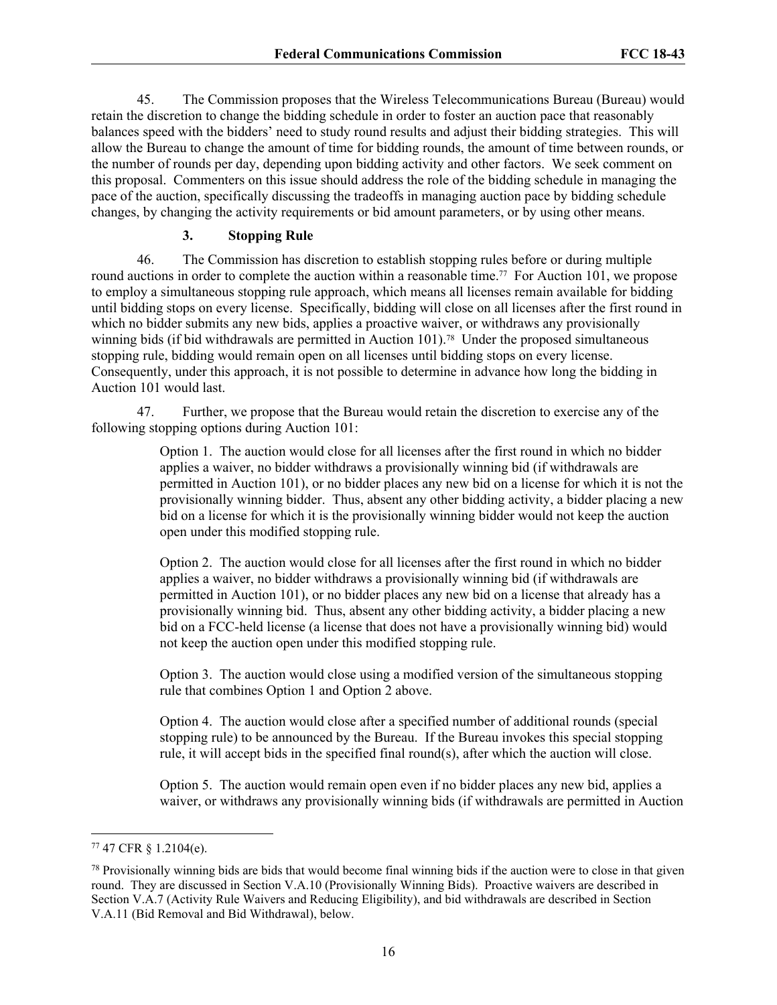45. The Commission proposes that the Wireless Telecommunications Bureau (Bureau) would retain the discretion to change the bidding schedule in order to foster an auction pace that reasonably balances speed with the bidders' need to study round results and adjust their bidding strategies. This will allow the Bureau to change the amount of time for bidding rounds, the amount of time between rounds, or the number of rounds per day, depending upon bidding activity and other factors. We seek comment on this proposal. Commenters on this issue should address the role of the bidding schedule in managing the pace of the auction, specifically discussing the tradeoffs in managing auction pace by bidding schedule changes, by changing the activity requirements or bid amount parameters, or by using other means.

#### **3. Stopping Rule**

46. The Commission has discretion to establish stopping rules before or during multiple round auctions in order to complete the auction within a reasonable time.<sup>77</sup> For Auction 101, we propose to employ a simultaneous stopping rule approach, which means all licenses remain available for bidding until bidding stops on every license. Specifically, bidding will close on all licenses after the first round in which no bidder submits any new bids, applies a proactive waiver, or withdraws any provisionally winning bids (if bid withdrawals are permitted in Auction 101).<sup>78</sup> Under the proposed simultaneous stopping rule, bidding would remain open on all licenses until bidding stops on every license. Consequently, under this approach, it is not possible to determine in advance how long the bidding in Auction 101 would last.

47. Further, we propose that the Bureau would retain the discretion to exercise any of the following stopping options during Auction 101:

> Option 1. The auction would close for all licenses after the first round in which no bidder applies a waiver, no bidder withdraws a provisionally winning bid (if withdrawals are permitted in Auction 101), or no bidder places any new bid on a license for which it is not the provisionally winning bidder. Thus, absent any other bidding activity, a bidder placing a new bid on a license for which it is the provisionally winning bidder would not keep the auction open under this modified stopping rule.

Option 2. The auction would close for all licenses after the first round in which no bidder applies a waiver, no bidder withdraws a provisionally winning bid (if withdrawals are permitted in Auction 101), or no bidder places any new bid on a license that already has a provisionally winning bid. Thus, absent any other bidding activity, a bidder placing a new bid on a FCC-held license (a license that does not have a provisionally winning bid) would not keep the auction open under this modified stopping rule.

Option 3. The auction would close using a modified version of the simultaneous stopping rule that combines Option 1 and Option 2 above.

Option 4. The auction would close after a specified number of additional rounds (special stopping rule) to be announced by the Bureau. If the Bureau invokes this special stopping rule, it will accept bids in the specified final round(s), after which the auction will close.

Option 5. The auction would remain open even if no bidder places any new bid, applies a waiver, or withdraws any provisionally winning bids (if withdrawals are permitted in Auction

<sup>77</sup> 47 CFR § 1.2104(e).

<sup>78</sup> Provisionally winning bids are bids that would become final winning bids if the auction were to close in that given round. They are discussed in Section V.A.10 (Provisionally Winning Bids). Proactive waivers are described in Section V.A.7 (Activity Rule Waivers and Reducing Eligibility), and bid withdrawals are described in Section V.A.11 (Bid Removal and Bid Withdrawal), below.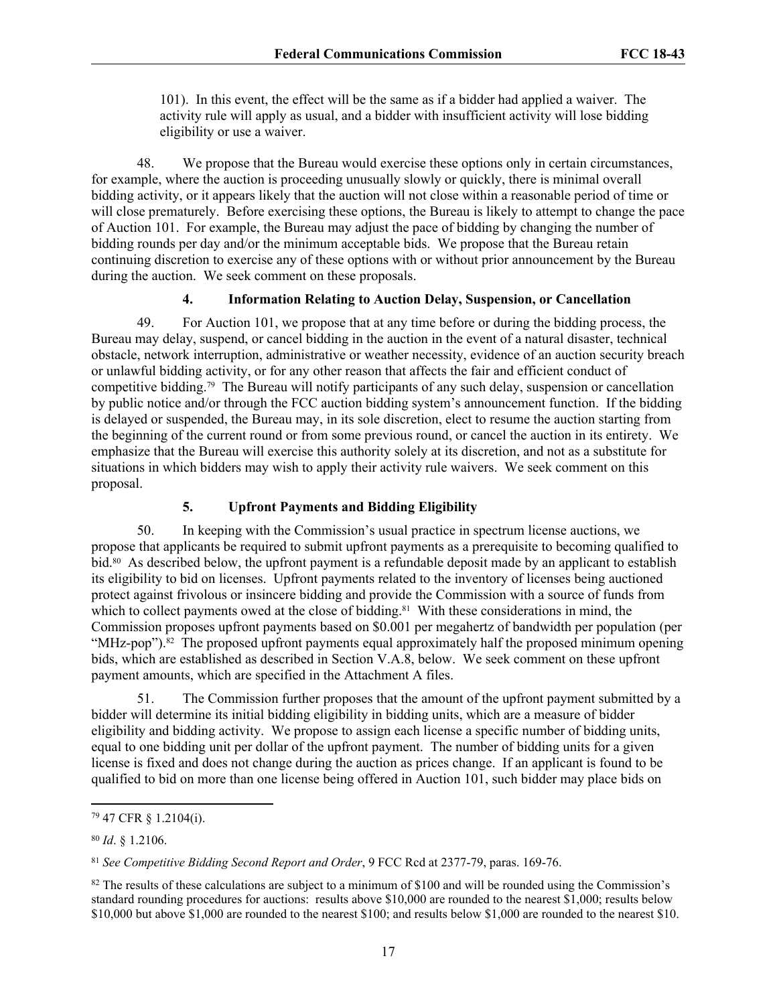101). In this event, the effect will be the same as if a bidder had applied a waiver. The activity rule will apply as usual, and a bidder with insufficient activity will lose bidding eligibility or use a waiver.

48. We propose that the Bureau would exercise these options only in certain circumstances, for example, where the auction is proceeding unusually slowly or quickly, there is minimal overall bidding activity, or it appears likely that the auction will not close within a reasonable period of time or will close prematurely. Before exercising these options, the Bureau is likely to attempt to change the pace of Auction 101. For example, the Bureau may adjust the pace of bidding by changing the number of bidding rounds per day and/or the minimum acceptable bids. We propose that the Bureau retain continuing discretion to exercise any of these options with or without prior announcement by the Bureau during the auction. We seek comment on these proposals.

#### **4. Information Relating to Auction Delay, Suspension, or Cancellation**

49. For Auction 101, we propose that at any time before or during the bidding process, the Bureau may delay, suspend, or cancel bidding in the auction in the event of a natural disaster, technical obstacle, network interruption, administrative or weather necessity, evidence of an auction security breach or unlawful bidding activity, or for any other reason that affects the fair and efficient conduct of competitive bidding.79 The Bureau will notify participants of any such delay, suspension or cancellation by public notice and/or through the FCC auction bidding system's announcement function. If the bidding is delayed or suspended, the Bureau may, in its sole discretion, elect to resume the auction starting from the beginning of the current round or from some previous round, or cancel the auction in its entirety. We emphasize that the Bureau will exercise this authority solely at its discretion, and not as a substitute for situations in which bidders may wish to apply their activity rule waivers. We seek comment on this proposal.

## **5. Upfront Payments and Bidding Eligibility**

50. In keeping with the Commission's usual practice in spectrum license auctions, we propose that applicants be required to submit upfront payments as a prerequisite to becoming qualified to bid.80 As described below, the upfront payment is a refundable deposit made by an applicant to establish its eligibility to bid on licenses. Upfront payments related to the inventory of licenses being auctioned protect against frivolous or insincere bidding and provide the Commission with a source of funds from which to collect payments owed at the close of bidding.<sup>81</sup> With these considerations in mind, the Commission proposes upfront payments based on \$0.001 per megahertz of bandwidth per population (per "MHz-pop").<sup>82</sup> The proposed upfront payments equal approximately half the proposed minimum opening bids, which are established as described in Section V.A.8, below. We seek comment on these upfront payment amounts, which are specified in the Attachment A files.

51. The Commission further proposes that the amount of the upfront payment submitted by a bidder will determine its initial bidding eligibility in bidding units, which are a measure of bidder eligibility and bidding activity. We propose to assign each license a specific number of bidding units, equal to one bidding unit per dollar of the upfront payment. The number of bidding units for a given license is fixed and does not change during the auction as prices change. If an applicant is found to be qualified to bid on more than one license being offered in Auction 101, such bidder may place bids on

<sup>79</sup> 47 CFR § 1.2104(i).

<sup>80</sup> *Id*. § 1.2106.

<sup>81</sup> *See Competitive Bidding Second Report and Order*, 9 FCC Rcd at 2377-79, paras. 169-76.

 $82$  The results of these calculations are subject to a minimum of \$100 and will be rounded using the Commission's standard rounding procedures for auctions: results above \$10,000 are rounded to the nearest \$1,000; results below \$10,000 but above \$1,000 are rounded to the nearest \$100; and results below \$1,000 are rounded to the nearest \$10.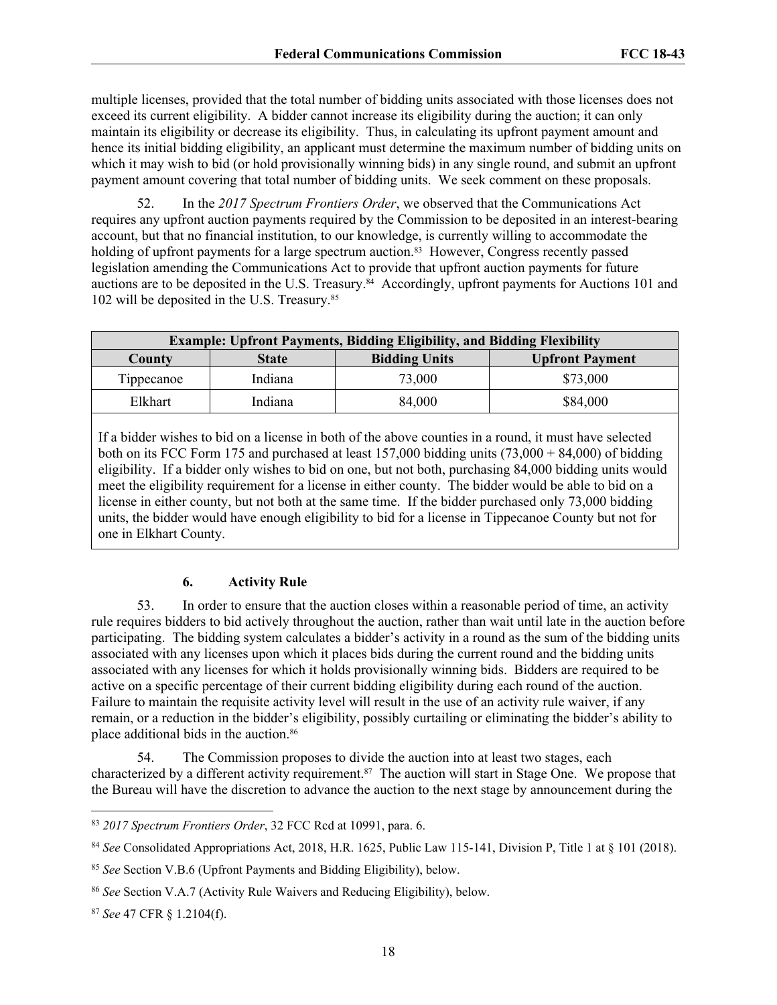multiple licenses, provided that the total number of bidding units associated with those licenses does not exceed its current eligibility. A bidder cannot increase its eligibility during the auction; it can only maintain its eligibility or decrease its eligibility. Thus, in calculating its upfront payment amount and hence its initial bidding eligibility, an applicant must determine the maximum number of bidding units on which it may wish to bid (or hold provisionally winning bids) in any single round, and submit an upfront payment amount covering that total number of bidding units. We seek comment on these proposals.

52. In the *2017 Spectrum Frontiers Order*, we observed that the Communications Act requires any upfront auction payments required by the Commission to be deposited in an interest-bearing account, but that no financial institution, to our knowledge, is currently willing to accommodate the holding of upfront payments for a large spectrum auction.<sup>83</sup> However, Congress recently passed legislation amending the Communications Act to provide that upfront auction payments for future auctions are to be deposited in the U.S. Treasury.84 Accordingly, upfront payments for Auctions 101 and 102 will be deposited in the U.S. Treasury.<sup>85</sup>

| <b>Example: Upfront Payments, Bidding Eligibility, and Bidding Flexibility</b> |                        |        |          |  |  |
|--------------------------------------------------------------------------------|------------------------|--------|----------|--|--|
| County                                                                         | <b>Upfront Payment</b> |        |          |  |  |
| Tippecanoe                                                                     | Indiana                | 73,000 | \$73,000 |  |  |
| Elkhart                                                                        | Indiana                | 84,000 | \$84,000 |  |  |

If a bidder wishes to bid on a license in both of the above counties in a round, it must have selected both on its FCC Form 175 and purchased at least 157,000 bidding units (73,000 + 84,000) of bidding eligibility. If a bidder only wishes to bid on one, but not both, purchasing 84,000 bidding units would meet the eligibility requirement for a license in either county. The bidder would be able to bid on a license in either county, but not both at the same time. If the bidder purchased only 73,000 bidding units, the bidder would have enough eligibility to bid for a license in Tippecanoe County but not for one in Elkhart County.

## **6. Activity Rule**

53. In order to ensure that the auction closes within a reasonable period of time, an activity rule requires bidders to bid actively throughout the auction, rather than wait until late in the auction before participating. The bidding system calculates a bidder's activity in a round as the sum of the bidding units associated with any licenses upon which it places bids during the current round and the bidding units associated with any licenses for which it holds provisionally winning bids. Bidders are required to be active on a specific percentage of their current bidding eligibility during each round of the auction. Failure to maintain the requisite activity level will result in the use of an activity rule waiver, if any remain, or a reduction in the bidder's eligibility, possibly curtailing or eliminating the bidder's ability to place additional bids in the auction.<sup>86</sup>

54. The Commission proposes to divide the auction into at least two stages, each characterized by a different activity requirement.87 The auction will start in Stage One. We propose that the Bureau will have the discretion to advance the auction to the next stage by announcement during the

<sup>83</sup> *2017 Spectrum Frontiers Order*, 32 FCC Rcd at 10991, para. 6.

<sup>84</sup> *See* Consolidated Appropriations Act, 2018, H.R. 1625, Public Law 115-141, Division P, Title 1 at § 101 (2018).

<sup>85</sup> *See* Section V.B.6 (Upfront Payments and Bidding Eligibility), below.

<sup>86</sup> *See* Section V.A.7 (Activity Rule Waivers and Reducing Eligibility), below.

<sup>87</sup> *See* 47 CFR § 1.2104(f).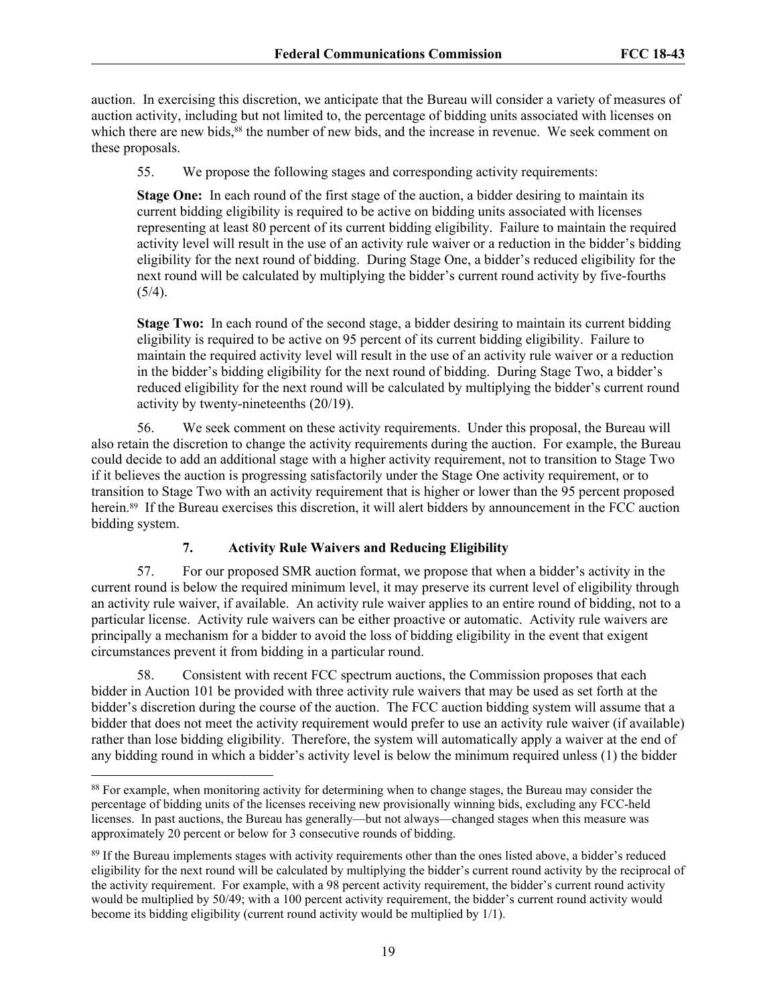auction. In exercising this discretion, we anticipate that the Bureau will consider a variety of measures of auction activity, including but not limited to, the percentage of bidding units associated with licenses on which there are new bids,<sup>88</sup> the number of new bids, and the increase in revenue. We seek comment on these proposals.

55. We propose the following stages and corresponding activity requirements:

**Stage One:** In each round of the first stage of the auction, a bidder desiring to maintain its current bidding eligibility is required to be active on bidding units associated with licenses representing at least 80 percent of its current bidding eligibility. Failure to maintain the required activity level will result in the use of an activity rule waiver or a reduction in the bidder's bidding eligibility for the next round of bidding. During Stage One, a bidder's reduced eligibility for the next round will be calculated by multiplying the bidder's current round activity by five-fourths  $(5/4).$ 

**Stage Two:** In each round of the second stage, a bidder desiring to maintain its current bidding eligibility is required to be active on 95 percent of its current bidding eligibility. Failure to maintain the required activity level will result in the use of an activity rule waiver or a reduction in the bidder's bidding eligibility for the next round of bidding. During Stage Two, a bidder's reduced eligibility for the next round will be calculated by multiplying the bidder's current round activity by twenty-nineteenths (20/19).

56. We seek comment on these activity requirements. Under this proposal, the Bureau will also retain the discretion to change the activity requirements during the auction. For example, the Bureau could decide to add an additional stage with a higher activity requirement, not to transition to Stage Two if it believes the auction is progressing satisfactorily under the Stage One activity requirement, or to transition to Stage Two with an activity requirement that is higher or lower than the 95 percent proposed herein.<sup>89</sup> If the Bureau exercises this discretion, it will alert bidders by announcement in the FCC auction bidding system.

# **7. Activity Rule Waivers and Reducing Eligibility**

57. For our proposed SMR auction format, we propose that when a bidder's activity in the current round is below the required minimum level, it may preserve its current level of eligibility through an activity rule waiver, if available. An activity rule waiver applies to an entire round of bidding, not to a particular license. Activity rule waivers can be either proactive or automatic. Activity rule waivers are principally a mechanism for a bidder to avoid the loss of bidding eligibility in the event that exigent circumstances prevent it from bidding in a particular round.

58. Consistent with recent FCC spectrum auctions, the Commission proposes that each bidder in Auction 101 be provided with three activity rule waivers that may be used as set forth at the bidder's discretion during the course of the auction. The FCC auction bidding system will assume that a bidder that does not meet the activity requirement would prefer to use an activity rule waiver (if available) rather than lose bidding eligibility. Therefore, the system will automatically apply a waiver at the end of any bidding round in which a bidder's activity level is below the minimum required unless (1) the bidder

<sup>&</sup>lt;sup>88</sup> For example, when monitoring activity for determining when to change stages, the Bureau may consider the percentage of bidding units of the licenses receiving new provisionally winning bids, excluding any FCC-held licenses. In past auctions, the Bureau has generally—but not always—changed stages when this measure was approximately 20 percent or below for 3 consecutive rounds of bidding.

<sup>89</sup> If the Bureau implements stages with activity requirements other than the ones listed above, a bidder's reduced eligibility for the next round will be calculated by multiplying the bidder's current round activity by the reciprocal of the activity requirement. For example, with a 98 percent activity requirement, the bidder's current round activity would be multiplied by 50/49; with a 100 percent activity requirement, the bidder's current round activity would become its bidding eligibility (current round activity would be multiplied by 1/1).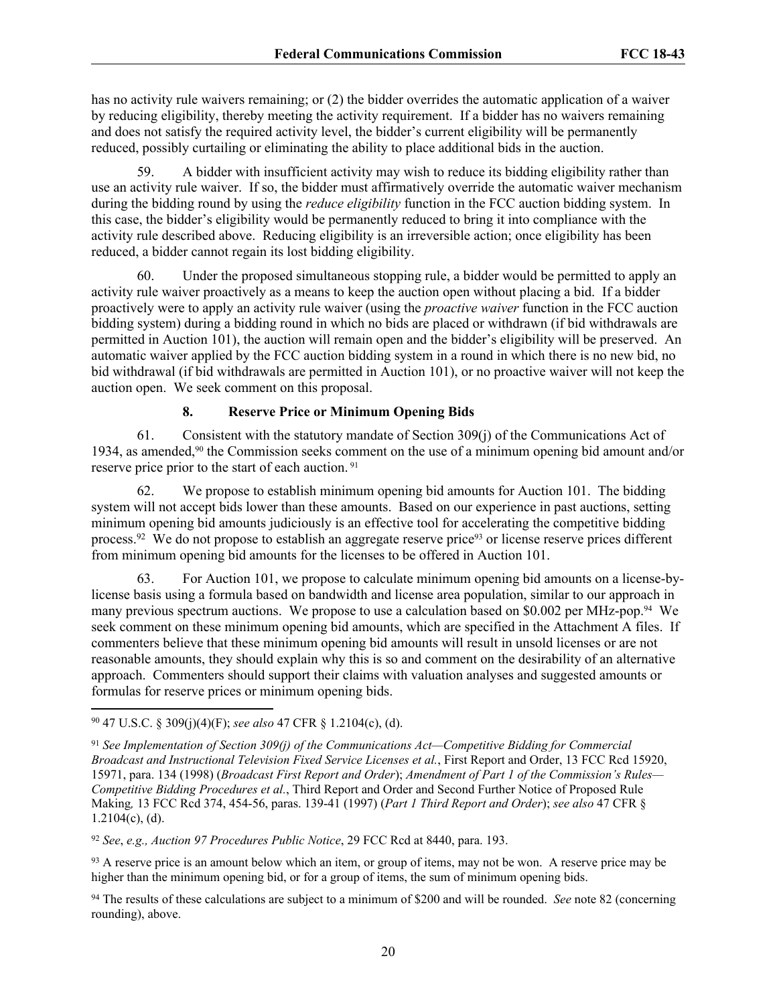has no activity rule waivers remaining; or (2) the bidder overrides the automatic application of a waiver by reducing eligibility, thereby meeting the activity requirement. If a bidder has no waivers remaining and does not satisfy the required activity level, the bidder's current eligibility will be permanently reduced, possibly curtailing or eliminating the ability to place additional bids in the auction.

59. A bidder with insufficient activity may wish to reduce its bidding eligibility rather than use an activity rule waiver. If so, the bidder must affirmatively override the automatic waiver mechanism during the bidding round by using the *reduce eligibility* function in the FCC auction bidding system. In this case, the bidder's eligibility would be permanently reduced to bring it into compliance with the activity rule described above. Reducing eligibility is an irreversible action; once eligibility has been reduced, a bidder cannot regain its lost bidding eligibility.

60. Under the proposed simultaneous stopping rule, a bidder would be permitted to apply an activity rule waiver proactively as a means to keep the auction open without placing a bid. If a bidder proactively were to apply an activity rule waiver (using the *proactive waiver* function in the FCC auction bidding system) during a bidding round in which no bids are placed or withdrawn (if bid withdrawals are permitted in Auction 101), the auction will remain open and the bidder's eligibility will be preserved. An automatic waiver applied by the FCC auction bidding system in a round in which there is no new bid, no bid withdrawal (if bid withdrawals are permitted in Auction 101), or no proactive waiver will not keep the auction open. We seek comment on this proposal.

## **8. Reserve Price or Minimum Opening Bids**

61. Consistent with the statutory mandate of Section 309(j) of the Communications Act of 1934, as amended,90 the Commission seeks comment on the use of a minimum opening bid amount and/or reserve price prior to the start of each auction.<sup>91</sup>

62. We propose to establish minimum opening bid amounts for Auction 101. The bidding system will not accept bids lower than these amounts. Based on our experience in past auctions, setting minimum opening bid amounts judiciously is an effective tool for accelerating the competitive bidding process.<sup>92</sup> We do not propose to establish an aggregate reserve price93 or license reserve prices different from minimum opening bid amounts for the licenses to be offered in Auction 101.

63. For Auction 101, we propose to calculate minimum opening bid amounts on a license-bylicense basis using a formula based on bandwidth and license area population, similar to our approach in many previous spectrum auctions. We propose to use a calculation based on \$0.002 per MHz-pop.<sup>94</sup> We seek comment on these minimum opening bid amounts, which are specified in the Attachment A files. If commenters believe that these minimum opening bid amounts will result in unsold licenses or are not reasonable amounts, they should explain why this is so and comment on the desirability of an alternative approach. Commenters should support their claims with valuation analyses and suggested amounts or formulas for reserve prices or minimum opening bids.

<sup>92</sup> *See*, *e.g., Auction 97 Procedures Public Notice*, 29 FCC Rcd at 8440, para. 193.

<sup>93</sup> A reserve price is an amount below which an item, or group of items, may not be won. A reserve price may be higher than the minimum opening bid, or for a group of items, the sum of minimum opening bids.

<sup>94</sup> The results of these calculations are subject to a minimum of \$200 and will be rounded. *See* note 82 (concerning rounding), above.

<sup>90</sup> 47 U.S.C. § 309(j)(4)(F); *see also* 47 CFR § 1.2104(c), (d).

<sup>91</sup> *See Implementation of Section 309(j) of the Communications Act—Competitive Bidding for Commercial Broadcast and Instructional Television Fixed Service Licenses et al.*, First Report and Order, 13 FCC Rcd 15920, 15971, para. 134 (1998) (*Broadcast First Report and Order*); *Amendment of Part 1 of the Commission's Rules— Competitive Bidding Procedures et al.*, Third Report and Order and Second Further Notice of Proposed Rule Making*,* 13 FCC Rcd 374, 454-56, paras. 139-41 (1997) (*Part 1 Third Report and Order*); *see also* 47 CFR §  $1.2104(c)$ , (d).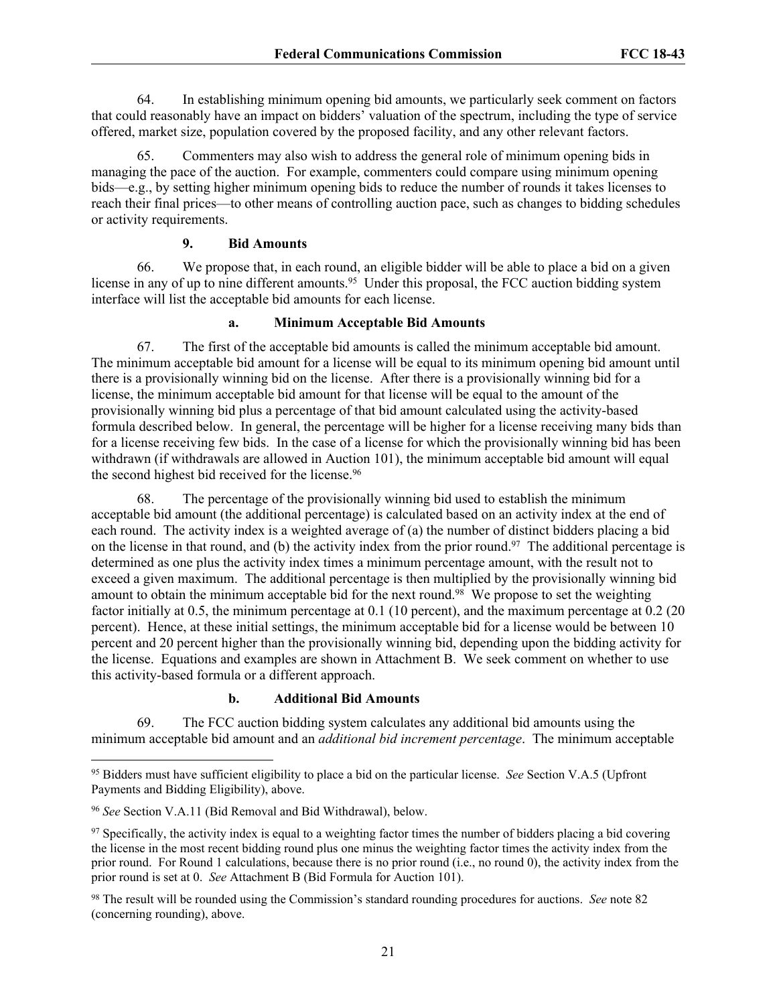64. In establishing minimum opening bid amounts, we particularly seek comment on factors that could reasonably have an impact on bidders' valuation of the spectrum, including the type of service offered, market size, population covered by the proposed facility, and any other relevant factors.

65. Commenters may also wish to address the general role of minimum opening bids in managing the pace of the auction. For example, commenters could compare using minimum opening bids—e.g., by setting higher minimum opening bids to reduce the number of rounds it takes licenses to reach their final prices—to other means of controlling auction pace, such as changes to bidding schedules or activity requirements.

## **9. Bid Amounts**

66. We propose that, in each round, an eligible bidder will be able to place a bid on a given license in any of up to nine different amounts.<sup>95</sup> Under this proposal, the FCC auction bidding system interface will list the acceptable bid amounts for each license.

#### **a. Minimum Acceptable Bid Amounts**

67. The first of the acceptable bid amounts is called the minimum acceptable bid amount. The minimum acceptable bid amount for a license will be equal to its minimum opening bid amount until there is a provisionally winning bid on the license. After there is a provisionally winning bid for a license, the minimum acceptable bid amount for that license will be equal to the amount of the provisionally winning bid plus a percentage of that bid amount calculated using the activity-based formula described below. In general, the percentage will be higher for a license receiving many bids than for a license receiving few bids. In the case of a license for which the provisionally winning bid has been withdrawn (if withdrawals are allowed in Auction 101), the minimum acceptable bid amount will equal the second highest bid received for the license.<sup>96</sup>

68. The percentage of the provisionally winning bid used to establish the minimum acceptable bid amount (the additional percentage) is calculated based on an activity index at the end of each round. The activity index is a weighted average of (a) the number of distinct bidders placing a bid on the license in that round, and (b) the activity index from the prior round.<sup>97</sup> The additional percentage is determined as one plus the activity index times a minimum percentage amount, with the result not to exceed a given maximum. The additional percentage is then multiplied by the provisionally winning bid amount to obtain the minimum acceptable bid for the next round.<sup>98</sup> We propose to set the weighting factor initially at 0.5, the minimum percentage at 0.1 (10 percent), and the maximum percentage at 0.2 (20 percent). Hence, at these initial settings, the minimum acceptable bid for a license would be between 10 percent and 20 percent higher than the provisionally winning bid, depending upon the bidding activity for the license. Equations and examples are shown in Attachment B. We seek comment on whether to use this activity-based formula or a different approach.

## **b. Additional Bid Amounts**

69. The FCC auction bidding system calculates any additional bid amounts using the minimum acceptable bid amount and an *additional bid increment percentage*. The minimum acceptable

<sup>95</sup> Bidders must have sufficient eligibility to place a bid on the particular license. *See* Section V.A.5 (Upfront Payments and Bidding Eligibility), above.

<sup>96</sup> *See* Section V.A.11 (Bid Removal and Bid Withdrawal), below.

 $97$  Specifically, the activity index is equal to a weighting factor times the number of bidders placing a bid covering the license in the most recent bidding round plus one minus the weighting factor times the activity index from the prior round. For Round 1 calculations, because there is no prior round (i.e., no round 0), the activity index from the prior round is set at 0. *See* Attachment B (Bid Formula for Auction 101).

<sup>98</sup> The result will be rounded using the Commission's standard rounding procedures for auctions. *See* note 82 (concerning rounding), above.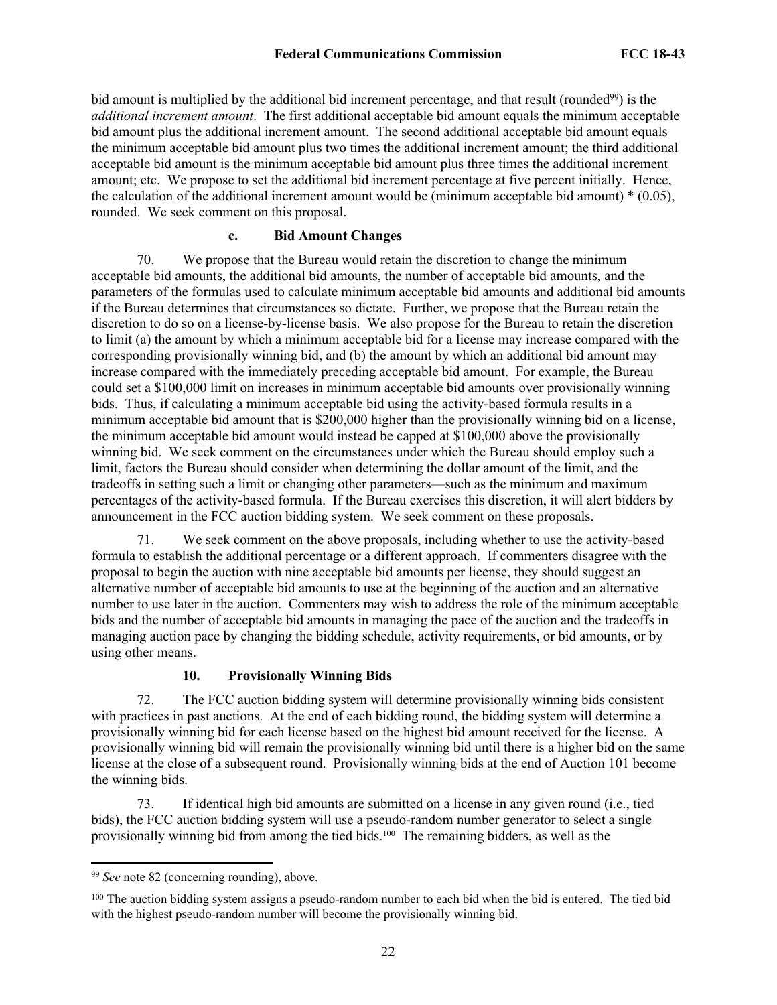bid amount is multiplied by the additional bid increment percentage, and that result (rounded<sup>99</sup>) is the *additional increment amount*. The first additional acceptable bid amount equals the minimum acceptable bid amount plus the additional increment amount. The second additional acceptable bid amount equals the minimum acceptable bid amount plus two times the additional increment amount; the third additional acceptable bid amount is the minimum acceptable bid amount plus three times the additional increment amount; etc. We propose to set the additional bid increment percentage at five percent initially. Hence, the calculation of the additional increment amount would be (minimum acceptable bid amount)  $*(0.05)$ , rounded. We seek comment on this proposal.

#### **c. Bid Amount Changes**

70. We propose that the Bureau would retain the discretion to change the minimum acceptable bid amounts, the additional bid amounts, the number of acceptable bid amounts, and the parameters of the formulas used to calculate minimum acceptable bid amounts and additional bid amounts if the Bureau determines that circumstances so dictate. Further, we propose that the Bureau retain the discretion to do so on a license-by-license basis. We also propose for the Bureau to retain the discretion to limit (a) the amount by which a minimum acceptable bid for a license may increase compared with the corresponding provisionally winning bid, and (b) the amount by which an additional bid amount may increase compared with the immediately preceding acceptable bid amount. For example, the Bureau could set a \$100,000 limit on increases in minimum acceptable bid amounts over provisionally winning bids. Thus, if calculating a minimum acceptable bid using the activity-based formula results in a minimum acceptable bid amount that is \$200,000 higher than the provisionally winning bid on a license, the minimum acceptable bid amount would instead be capped at \$100,000 above the provisionally winning bid. We seek comment on the circumstances under which the Bureau should employ such a limit, factors the Bureau should consider when determining the dollar amount of the limit, and the tradeoffs in setting such a limit or changing other parameters—such as the minimum and maximum percentages of the activity-based formula. If the Bureau exercises this discretion, it will alert bidders by announcement in the FCC auction bidding system. We seek comment on these proposals.

71. We seek comment on the above proposals, including whether to use the activity-based formula to establish the additional percentage or a different approach. If commenters disagree with the proposal to begin the auction with nine acceptable bid amounts per license, they should suggest an alternative number of acceptable bid amounts to use at the beginning of the auction and an alternative number to use later in the auction. Commenters may wish to address the role of the minimum acceptable bids and the number of acceptable bid amounts in managing the pace of the auction and the tradeoffs in managing auction pace by changing the bidding schedule, activity requirements, or bid amounts, or by using other means.

## **10. Provisionally Winning Bids**

72. The FCC auction bidding system will determine provisionally winning bids consistent with practices in past auctions. At the end of each bidding round, the bidding system will determine a provisionally winning bid for each license based on the highest bid amount received for the license. A provisionally winning bid will remain the provisionally winning bid until there is a higher bid on the same license at the close of a subsequent round. Provisionally winning bids at the end of Auction 101 become the winning bids.

73. If identical high bid amounts are submitted on a license in any given round (i.e., tied bids), the FCC auction bidding system will use a pseudo-random number generator to select a single provisionally winning bid from among the tied bids.100 The remaining bidders, as well as the

<sup>99</sup> *See* note 82 (concerning rounding), above.

<sup>&</sup>lt;sup>100</sup> The auction bidding system assigns a pseudo-random number to each bid when the bid is entered. The tied bid with the highest pseudo-random number will become the provisionally winning bid.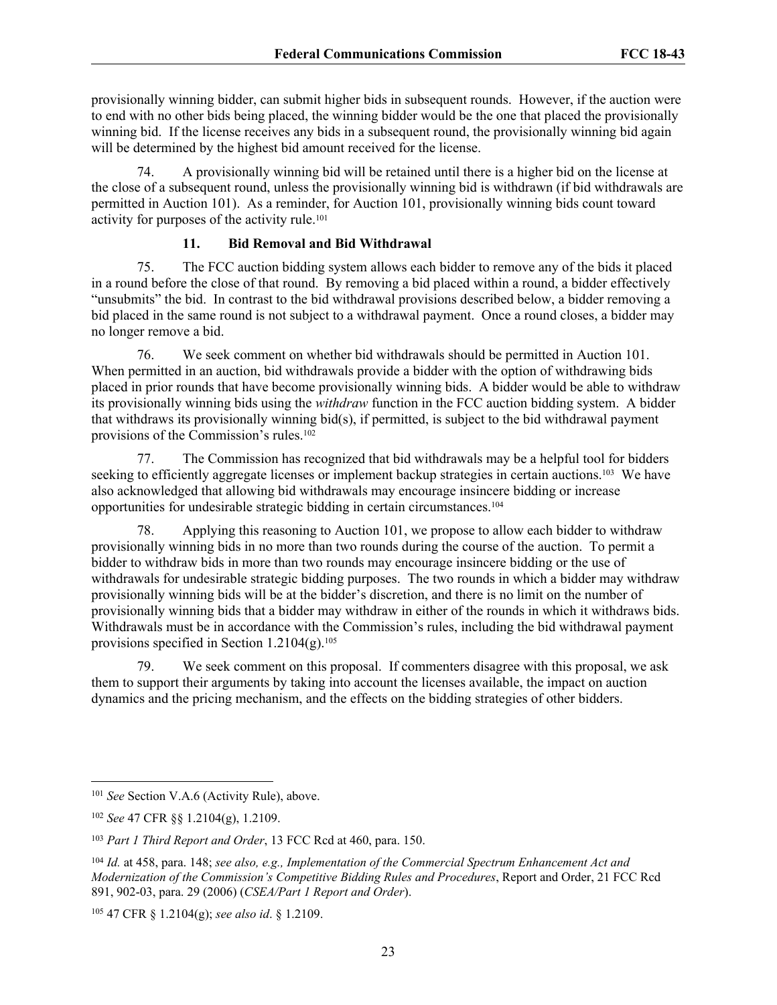provisionally winning bidder, can submit higher bids in subsequent rounds. However, if the auction were to end with no other bids being placed, the winning bidder would be the one that placed the provisionally winning bid. If the license receives any bids in a subsequent round, the provisionally winning bid again will be determined by the highest bid amount received for the license.

74. A provisionally winning bid will be retained until there is a higher bid on the license at the close of a subsequent round, unless the provisionally winning bid is withdrawn (if bid withdrawals are permitted in Auction 101). As a reminder, for Auction 101, provisionally winning bids count toward activity for purposes of the activity rule.<sup>101</sup>

#### **11. Bid Removal and Bid Withdrawal**

75. The FCC auction bidding system allows each bidder to remove any of the bids it placed in a round before the close of that round. By removing a bid placed within a round, a bidder effectively "unsubmits" the bid. In contrast to the bid withdrawal provisions described below, a bidder removing a bid placed in the same round is not subject to a withdrawal payment. Once a round closes, a bidder may no longer remove a bid.

76. We seek comment on whether bid withdrawals should be permitted in Auction 101. When permitted in an auction, bid withdrawals provide a bidder with the option of withdrawing bids placed in prior rounds that have become provisionally winning bids. A bidder would be able to withdraw its provisionally winning bids using the *withdraw* function in the FCC auction bidding system. A bidder that withdraws its provisionally winning bid(s), if permitted, is subject to the bid withdrawal payment provisions of the Commission's rules.<sup>102</sup>

77. The Commission has recognized that bid withdrawals may be a helpful tool for bidders seeking to efficiently aggregate licenses or implement backup strategies in certain auctions.<sup>103</sup> We have also acknowledged that allowing bid withdrawals may encourage insincere bidding or increase opportunities for undesirable strategic bidding in certain circumstances.<sup>104</sup>

Applying this reasoning to Auction 101, we propose to allow each bidder to withdraw provisionally winning bids in no more than two rounds during the course of the auction. To permit a bidder to withdraw bids in more than two rounds may encourage insincere bidding or the use of withdrawals for undesirable strategic bidding purposes. The two rounds in which a bidder may withdraw provisionally winning bids will be at the bidder's discretion, and there is no limit on the number of provisionally winning bids that a bidder may withdraw in either of the rounds in which it withdraws bids. Withdrawals must be in accordance with the Commission's rules, including the bid withdrawal payment provisions specified in Section  $1.2104(g).$ <sup>105</sup>

79. We seek comment on this proposal. If commenters disagree with this proposal, we ask them to support their arguments by taking into account the licenses available, the impact on auction dynamics and the pricing mechanism, and the effects on the bidding strategies of other bidders.

<sup>101</sup> *See* Section V.A.6 (Activity Rule), above.

<sup>102</sup> *See* 47 CFR §§ 1.2104(g), 1.2109.

<sup>103</sup> *Part 1 Third Report and Order*, 13 FCC Rcd at 460, para. 150.

<sup>104</sup> *Id.* at 458, para. 148; *see also, e.g., Implementation of the Commercial Spectrum Enhancement Act and Modernization of the Commission's Competitive Bidding Rules and Procedures*, Report and Order, 21 FCC Rcd 891, 902-03, para. 29 (2006) (*CSEA/Part 1 Report and Order*).

<sup>105</sup> 47 CFR § 1.2104(g); *see also id*. § 1.2109.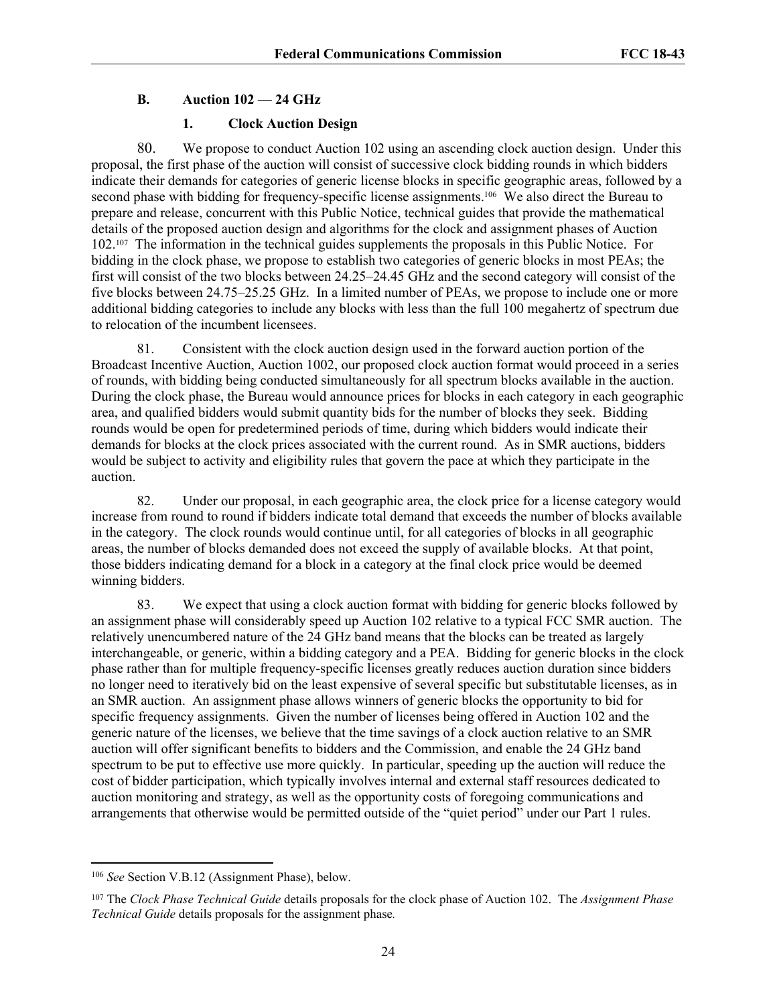# **B. Auction 102 — 24 GHz**

## **1. Clock Auction Design**

80. We propose to conduct Auction 102 using an ascending clock auction design. Under this proposal, the first phase of the auction will consist of successive clock bidding rounds in which bidders indicate their demands for categories of generic license blocks in specific geographic areas, followed by a second phase with bidding for frequency-specific license assignments.<sup>106</sup> We also direct the Bureau to prepare and release, concurrent with this Public Notice, technical guides that provide the mathematical details of the proposed auction design and algorithms for the clock and assignment phases of Auction 102.107 The information in the technical guides supplements the proposals in this Public Notice. For bidding in the clock phase, we propose to establish two categories of generic blocks in most PEAs; the first will consist of the two blocks between 24.25–24.45 GHz and the second category will consist of the five blocks between 24.75–25.25 GHz. In a limited number of PEAs, we propose to include one or more additional bidding categories to include any blocks with less than the full 100 megahertz of spectrum due to relocation of the incumbent licensees.

81. Consistent with the clock auction design used in the forward auction portion of the Broadcast Incentive Auction, Auction 1002, our proposed clock auction format would proceed in a series of rounds, with bidding being conducted simultaneously for all spectrum blocks available in the auction. During the clock phase, the Bureau would announce prices for blocks in each category in each geographic area, and qualified bidders would submit quantity bids for the number of blocks they seek. Bidding rounds would be open for predetermined periods of time, during which bidders would indicate their demands for blocks at the clock prices associated with the current round. As in SMR auctions, bidders would be subject to activity and eligibility rules that govern the pace at which they participate in the auction.

82. Under our proposal, in each geographic area, the clock price for a license category would increase from round to round if bidders indicate total demand that exceeds the number of blocks available in the category. The clock rounds would continue until, for all categories of blocks in all geographic areas, the number of blocks demanded does not exceed the supply of available blocks. At that point, those bidders indicating demand for a block in a category at the final clock price would be deemed winning bidders.

83. We expect that using a clock auction format with bidding for generic blocks followed by an assignment phase will considerably speed up Auction 102 relative to a typical FCC SMR auction. The relatively unencumbered nature of the 24 GHz band means that the blocks can be treated as largely interchangeable, or generic, within a bidding category and a PEA. Bidding for generic blocks in the clock phase rather than for multiple frequency-specific licenses greatly reduces auction duration since bidders no longer need to iteratively bid on the least expensive of several specific but substitutable licenses, as in an SMR auction. An assignment phase allows winners of generic blocks the opportunity to bid for specific frequency assignments. Given the number of licenses being offered in Auction 102 and the generic nature of the licenses, we believe that the time savings of a clock auction relative to an SMR auction will offer significant benefits to bidders and the Commission, and enable the 24 GHz band spectrum to be put to effective use more quickly. In particular, speeding up the auction will reduce the cost of bidder participation, which typically involves internal and external staff resources dedicated to auction monitoring and strategy, as well as the opportunity costs of foregoing communications and arrangements that otherwise would be permitted outside of the "quiet period" under our Part 1 rules.

<sup>106</sup> *See* Section V.B.12 (Assignment Phase), below.

<sup>107</sup> The *Clock Phase Technical Guide* details proposals for the clock phase of Auction 102. The *Assignment Phase Technical Guide* details proposals for the assignment phase*.*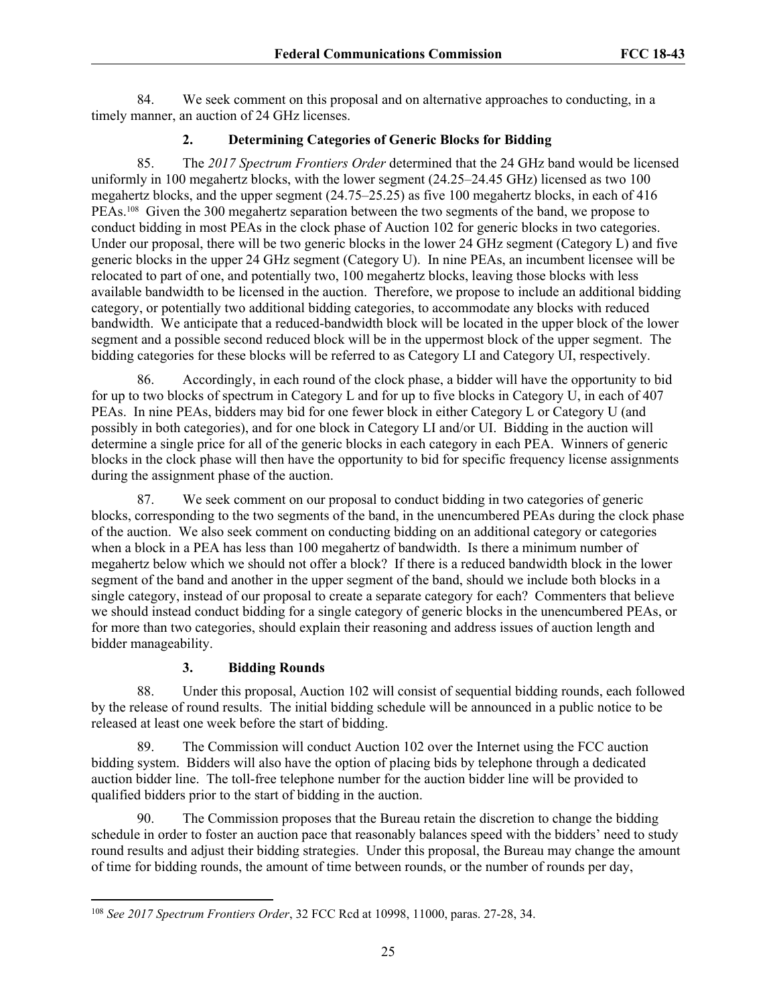84. We seek comment on this proposal and on alternative approaches to conducting, in a timely manner, an auction of 24 GHz licenses.

# **2. Determining Categories of Generic Blocks for Bidding**

85. The *2017 Spectrum Frontiers Order* determined that the 24 GHz band would be licensed uniformly in 100 megahertz blocks, with the lower segment (24.25–24.45 GHz) licensed as two 100 megahertz blocks, and the upper segment (24.75–25.25) as five 100 megahertz blocks, in each of 416 PEAs.108 Given the 300 megahertz separation between the two segments of the band, we propose to conduct bidding in most PEAs in the clock phase of Auction 102 for generic blocks in two categories. Under our proposal, there will be two generic blocks in the lower 24 GHz segment (Category L) and five generic blocks in the upper 24 GHz segment (Category U). In nine PEAs, an incumbent licensee will be relocated to part of one, and potentially two, 100 megahertz blocks, leaving those blocks with less available bandwidth to be licensed in the auction. Therefore, we propose to include an additional bidding category, or potentially two additional bidding categories, to accommodate any blocks with reduced bandwidth. We anticipate that a reduced-bandwidth block will be located in the upper block of the lower segment and a possible second reduced block will be in the uppermost block of the upper segment. The bidding categories for these blocks will be referred to as Category LI and Category UI, respectively.

86. Accordingly, in each round of the clock phase, a bidder will have the opportunity to bid for up to two blocks of spectrum in Category L and for up to five blocks in Category U, in each of 407 PEAs. In nine PEAs, bidders may bid for one fewer block in either Category L or Category U (and possibly in both categories), and for one block in Category LI and/or UI. Bidding in the auction will determine a single price for all of the generic blocks in each category in each PEA. Winners of generic blocks in the clock phase will then have the opportunity to bid for specific frequency license assignments during the assignment phase of the auction.

87. We seek comment on our proposal to conduct bidding in two categories of generic blocks, corresponding to the two segments of the band, in the unencumbered PEAs during the clock phase of the auction. We also seek comment on conducting bidding on an additional category or categories when a block in a PEA has less than 100 megahertz of bandwidth. Is there a minimum number of megahertz below which we should not offer a block? If there is a reduced bandwidth block in the lower segment of the band and another in the upper segment of the band, should we include both blocks in a single category, instead of our proposal to create a separate category for each? Commenters that believe we should instead conduct bidding for a single category of generic blocks in the unencumbered PEAs, or for more than two categories, should explain their reasoning and address issues of auction length and bidder manageability.

# **3. Bidding Rounds**

88. Under this proposal, Auction 102 will consist of sequential bidding rounds, each followed by the release of round results. The initial bidding schedule will be announced in a public notice to be released at least one week before the start of bidding.

89. The Commission will conduct Auction 102 over the Internet using the FCC auction bidding system. Bidders will also have the option of placing bids by telephone through a dedicated auction bidder line. The toll-free telephone number for the auction bidder line will be provided to qualified bidders prior to the start of bidding in the auction.

90. The Commission proposes that the Bureau retain the discretion to change the bidding schedule in order to foster an auction pace that reasonably balances speed with the bidders' need to study round results and adjust their bidding strategies. Under this proposal, the Bureau may change the amount of time for bidding rounds, the amount of time between rounds, or the number of rounds per day,

<sup>108</sup> *See 2017 Spectrum Frontiers Order*, 32 FCC Rcd at 10998, 11000, paras. 27-28, 34.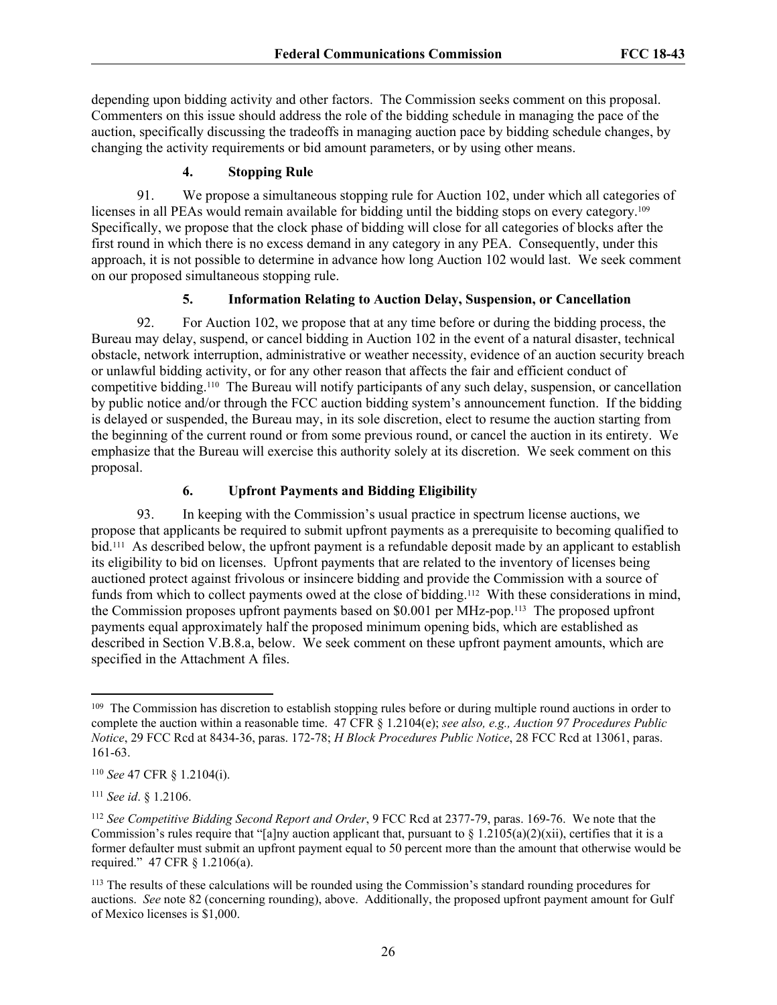depending upon bidding activity and other factors. The Commission seeks comment on this proposal. Commenters on this issue should address the role of the bidding schedule in managing the pace of the auction, specifically discussing the tradeoffs in managing auction pace by bidding schedule changes, by changing the activity requirements or bid amount parameters, or by using other means.

## **4. Stopping Rule**

91. We propose a simultaneous stopping rule for Auction 102, under which all categories of licenses in all PEAs would remain available for bidding until the bidding stops on every category.<sup>109</sup> Specifically, we propose that the clock phase of bidding will close for all categories of blocks after the first round in which there is no excess demand in any category in any PEA. Consequently, under this approach, it is not possible to determine in advance how long Auction 102 would last. We seek comment on our proposed simultaneous stopping rule.

## **5. Information Relating to Auction Delay, Suspension, or Cancellation**

92. For Auction 102, we propose that at any time before or during the bidding process, the Bureau may delay, suspend, or cancel bidding in Auction 102 in the event of a natural disaster, technical obstacle, network interruption, administrative or weather necessity, evidence of an auction security breach or unlawful bidding activity, or for any other reason that affects the fair and efficient conduct of competitive bidding.110 The Bureau will notify participants of any such delay, suspension, or cancellation by public notice and/or through the FCC auction bidding system's announcement function. If the bidding is delayed or suspended, the Bureau may, in its sole discretion, elect to resume the auction starting from the beginning of the current round or from some previous round, or cancel the auction in its entirety. We emphasize that the Bureau will exercise this authority solely at its discretion. We seek comment on this proposal.

# **6. Upfront Payments and Bidding Eligibility**

93. In keeping with the Commission's usual practice in spectrum license auctions, we propose that applicants be required to submit upfront payments as a prerequisite to becoming qualified to bid.111 As described below, the upfront payment is a refundable deposit made by an applicant to establish its eligibility to bid on licenses. Upfront payments that are related to the inventory of licenses being auctioned protect against frivolous or insincere bidding and provide the Commission with a source of funds from which to collect payments owed at the close of bidding.112 With these considerations in mind, the Commission proposes upfront payments based on \$0.001 per MHz-pop.113 The proposed upfront payments equal approximately half the proposed minimum opening bids, which are established as described in Section V.B.8.a, below. We seek comment on these upfront payment amounts, which are specified in the Attachment A files.

<sup>&</sup>lt;sup>109</sup> The Commission has discretion to establish stopping rules before or during multiple round auctions in order to complete the auction within a reasonable time. 47 CFR § 1.2104(e); *see also, e.g., Auction 97 Procedures Public Notice*, 29 FCC Rcd at 8434-36, paras. 172-78; *H Block Procedures Public Notice*, 28 FCC Rcd at 13061, paras. 161-63.

<sup>110</sup> *See* 47 CFR § 1.2104(i).

<sup>111</sup> *See id*. § 1.2106.

<sup>112</sup> *See Competitive Bidding Second Report and Order*, 9 FCC Rcd at 2377-79, paras. 169-76. We note that the Commission's rules require that "[a]ny auction applicant that, pursuant to  $\S 1.2105(a)(2)(xi)$ , certifies that it is a former defaulter must submit an upfront payment equal to 50 percent more than the amount that otherwise would be required." 47 CFR § 1.2106(a).

<sup>&</sup>lt;sup>113</sup> The results of these calculations will be rounded using the Commission's standard rounding procedures for auctions. *See* note 82 (concerning rounding), above. Additionally, the proposed upfront payment amount for Gulf of Mexico licenses is \$1,000.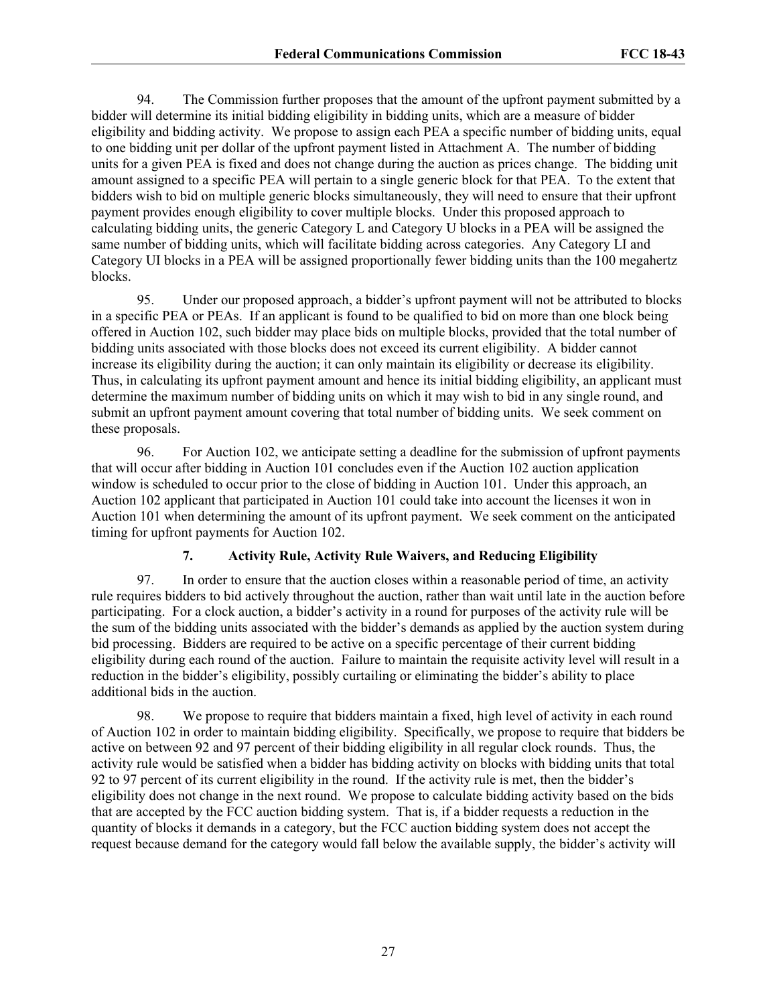94. The Commission further proposes that the amount of the upfront payment submitted by a bidder will determine its initial bidding eligibility in bidding units, which are a measure of bidder eligibility and bidding activity. We propose to assign each PEA a specific number of bidding units, equal to one bidding unit per dollar of the upfront payment listed in Attachment A. The number of bidding units for a given PEA is fixed and does not change during the auction as prices change. The bidding unit amount assigned to a specific PEA will pertain to a single generic block for that PEA. To the extent that bidders wish to bid on multiple generic blocks simultaneously, they will need to ensure that their upfront payment provides enough eligibility to cover multiple blocks. Under this proposed approach to calculating bidding units, the generic Category L and Category U blocks in a PEA will be assigned the same number of bidding units, which will facilitate bidding across categories. Any Category LI and Category UI blocks in a PEA will be assigned proportionally fewer bidding units than the 100 megahertz blocks.

95. Under our proposed approach, a bidder's upfront payment will not be attributed to blocks in a specific PEA or PEAs. If an applicant is found to be qualified to bid on more than one block being offered in Auction 102, such bidder may place bids on multiple blocks, provided that the total number of bidding units associated with those blocks does not exceed its current eligibility. A bidder cannot increase its eligibility during the auction; it can only maintain its eligibility or decrease its eligibility. Thus, in calculating its upfront payment amount and hence its initial bidding eligibility, an applicant must determine the maximum number of bidding units on which it may wish to bid in any single round, and submit an upfront payment amount covering that total number of bidding units. We seek comment on these proposals.

96. For Auction 102, we anticipate setting a deadline for the submission of upfront payments that will occur after bidding in Auction 101 concludes even if the Auction 102 auction application window is scheduled to occur prior to the close of bidding in Auction 101. Under this approach, an Auction 102 applicant that participated in Auction 101 could take into account the licenses it won in Auction 101 when determining the amount of its upfront payment. We seek comment on the anticipated timing for upfront payments for Auction 102.

## **7. Activity Rule, Activity Rule Waivers, and Reducing Eligibility**

97. In order to ensure that the auction closes within a reasonable period of time, an activity rule requires bidders to bid actively throughout the auction, rather than wait until late in the auction before participating. For a clock auction, a bidder's activity in a round for purposes of the activity rule will be the sum of the bidding units associated with the bidder's demands as applied by the auction system during bid processing. Bidders are required to be active on a specific percentage of their current bidding eligibility during each round of the auction. Failure to maintain the requisite activity level will result in a reduction in the bidder's eligibility, possibly curtailing or eliminating the bidder's ability to place additional bids in the auction.

98. We propose to require that bidders maintain a fixed, high level of activity in each round of Auction 102 in order to maintain bidding eligibility. Specifically, we propose to require that bidders be active on between 92 and 97 percent of their bidding eligibility in all regular clock rounds. Thus, the activity rule would be satisfied when a bidder has bidding activity on blocks with bidding units that total 92 to 97 percent of its current eligibility in the round. If the activity rule is met, then the bidder's eligibility does not change in the next round. We propose to calculate bidding activity based on the bids that are accepted by the FCC auction bidding system. That is, if a bidder requests a reduction in the quantity of blocks it demands in a category, but the FCC auction bidding system does not accept the request because demand for the category would fall below the available supply, the bidder's activity will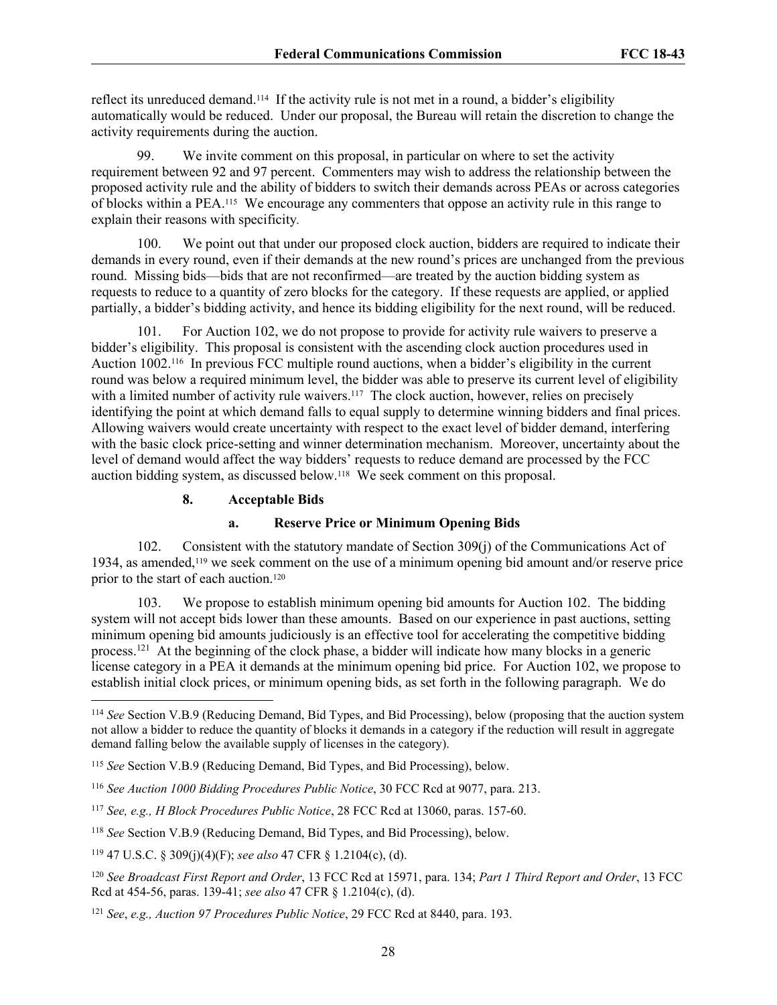reflect its unreduced demand.114 If the activity rule is not met in a round, a bidder's eligibility automatically would be reduced. Under our proposal, the Bureau will retain the discretion to change the activity requirements during the auction.

99. We invite comment on this proposal, in particular on where to set the activity requirement between 92 and 97 percent. Commenters may wish to address the relationship between the proposed activity rule and the ability of bidders to switch their demands across PEAs or across categories of blocks within a PEA.115 We encourage any commenters that oppose an activity rule in this range to explain their reasons with specificity*.* 

100. We point out that under our proposed clock auction, bidders are required to indicate their demands in every round, even if their demands at the new round's prices are unchanged from the previous round. Missing bids—bids that are not reconfirmed—are treated by the auction bidding system as requests to reduce to a quantity of zero blocks for the category. If these requests are applied, or applied partially, a bidder's bidding activity, and hence its bidding eligibility for the next round, will be reduced.

101. For Auction 102, we do not propose to provide for activity rule waivers to preserve a bidder's eligibility. This proposal is consistent with the ascending clock auction procedures used in Auction 1002.116 In previous FCC multiple round auctions, when a bidder's eligibility in the current round was below a required minimum level, the bidder was able to preserve its current level of eligibility with a limited number of activity rule waivers.<sup>117</sup> The clock auction, however, relies on precisely identifying the point at which demand falls to equal supply to determine winning bidders and final prices. Allowing waivers would create uncertainty with respect to the exact level of bidder demand, interfering with the basic clock price-setting and winner determination mechanism. Moreover, uncertainty about the level of demand would affect the way bidders' requests to reduce demand are processed by the FCC auction bidding system, as discussed below.118 We seek comment on this proposal.

#### **8. Acceptable Bids**

#### **a. Reserve Price or Minimum Opening Bids**

102. Consistent with the statutory mandate of Section 309(j) of the Communications Act of 1934, as amended,119 we seek comment on the use of a minimum opening bid amount and/or reserve price prior to the start of each auction.<sup>120</sup>

103. We propose to establish minimum opening bid amounts for Auction 102. The bidding system will not accept bids lower than these amounts. Based on our experience in past auctions, setting minimum opening bid amounts judiciously is an effective tool for accelerating the competitive bidding process.<sup>121</sup> At the beginning of the clock phase, a bidder will indicate how many blocks in a generic license category in a PEA it demands at the minimum opening bid price. For Auction 102, we propose to establish initial clock prices, or minimum opening bids, as set forth in the following paragraph. We do

<sup>114</sup> *See* Section V.B.9 (Reducing Demand, Bid Types, and Bid Processing), below (proposing that the auction system not allow a bidder to reduce the quantity of blocks it demands in a category if the reduction will result in aggregate demand falling below the available supply of licenses in the category).

<sup>115</sup> *See* Section V.B.9 (Reducing Demand, Bid Types, and Bid Processing), below.

<sup>116</sup> *See Auction 1000 Bidding Procedures Public Notice*, 30 FCC Rcd at 9077, para. 213.

<sup>117</sup> *See, e.g., H Block Procedures Public Notice*, 28 FCC Rcd at 13060, paras. 157-60.

<sup>118</sup> *See* Section V.B.9 (Reducing Demand, Bid Types, and Bid Processing), below.

<sup>119</sup> 47 U.S.C. § 309(j)(4)(F); *see also* 47 CFR § 1.2104(c), (d).

<sup>120</sup> *See Broadcast First Report and Order*, 13 FCC Rcd at 15971, para. 134; *Part 1 Third Report and Order*, 13 FCC Rcd at 454-56, paras. 139-41; *see also* 47 CFR § 1.2104(c), (d).

<sup>121</sup> *See*, *e.g., Auction 97 Procedures Public Notice*, 29 FCC Rcd at 8440, para. 193.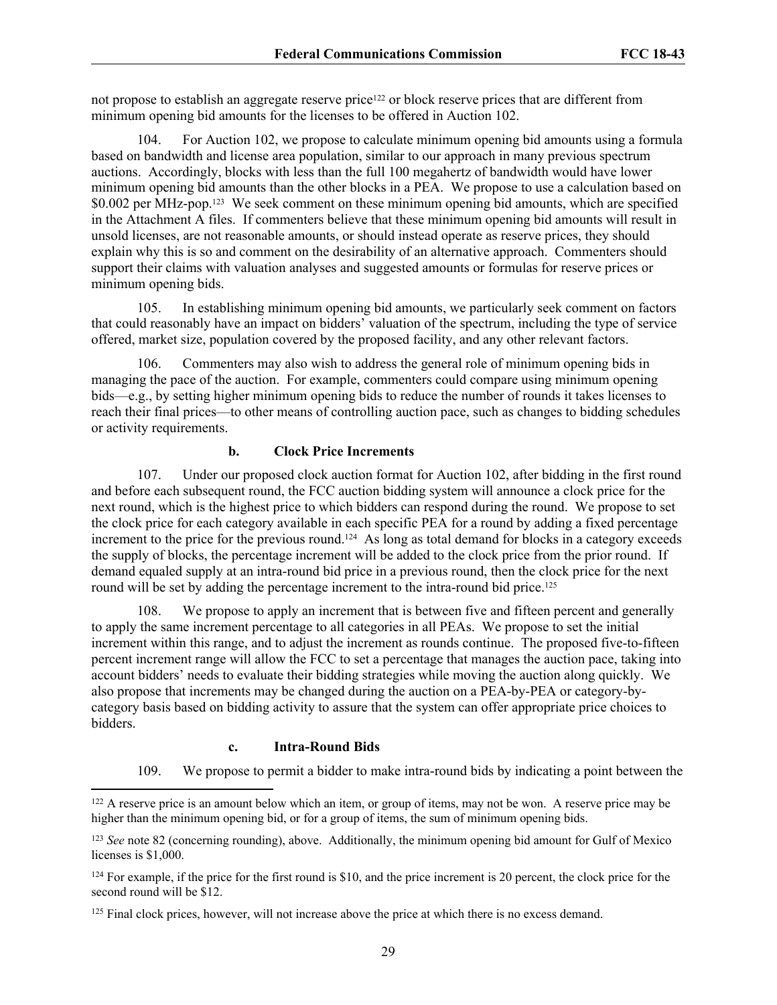not propose to establish an aggregate reserve price<sup>122</sup> or block reserve prices that are different from minimum opening bid amounts for the licenses to be offered in Auction 102.

104. For Auction 102, we propose to calculate minimum opening bid amounts using a formula based on bandwidth and license area population, similar to our approach in many previous spectrum auctions. Accordingly, blocks with less than the full 100 megahertz of bandwidth would have lower minimum opening bid amounts than the other blocks in a PEA. We propose to use a calculation based on \$0.002 per MHz-pop.123 We seek comment on these minimum opening bid amounts, which are specified in the Attachment A files. If commenters believe that these minimum opening bid amounts will result in unsold licenses, are not reasonable amounts, or should instead operate as reserve prices, they should explain why this is so and comment on the desirability of an alternative approach. Commenters should support their claims with valuation analyses and suggested amounts or formulas for reserve prices or minimum opening bids.

105. In establishing minimum opening bid amounts, we particularly seek comment on factors that could reasonably have an impact on bidders' valuation of the spectrum, including the type of service offered, market size, population covered by the proposed facility, and any other relevant factors.

106. Commenters may also wish to address the general role of minimum opening bids in managing the pace of the auction. For example, commenters could compare using minimum opening bids—e.g., by setting higher minimum opening bids to reduce the number of rounds it takes licenses to reach their final prices—to other means of controlling auction pace, such as changes to bidding schedules or activity requirements.

## **b. Clock Price Increments**

107. Under our proposed clock auction format for Auction 102, after bidding in the first round and before each subsequent round, the FCC auction bidding system will announce a clock price for the next round, which is the highest price to which bidders can respond during the round. We propose to set the clock price for each category available in each specific PEA for a round by adding a fixed percentage increment to the price for the previous round.<sup>124</sup> As long as total demand for blocks in a category exceeds the supply of blocks, the percentage increment will be added to the clock price from the prior round. If demand equaled supply at an intra-round bid price in a previous round, then the clock price for the next round will be set by adding the percentage increment to the intra-round bid price.<sup>125</sup>

108. We propose to apply an increment that is between five and fifteen percent and generally to apply the same increment percentage to all categories in all PEAs. We propose to set the initial increment within this range, and to adjust the increment as rounds continue. The proposed five-to-fifteen percent increment range will allow the FCC to set a percentage that manages the auction pace, taking into account bidders' needs to evaluate their bidding strategies while moving the auction along quickly. We also propose that increments may be changed during the auction on a PEA-by-PEA or category-bycategory basis based on bidding activity to assure that the system can offer appropriate price choices to bidders.

#### **c. Intra-Round Bids**

109. We propose to permit a bidder to make intra-round bids by indicating a point between the

<sup>&</sup>lt;sup>122</sup> A reserve price is an amount below which an item, or group of items, may not be won. A reserve price may be higher than the minimum opening bid, or for a group of items, the sum of minimum opening bids.

<sup>123</sup> *See* note 82 (concerning rounding), above. Additionally, the minimum opening bid amount for Gulf of Mexico licenses is \$1,000.

 $124$  For example, if the price for the first round is \$10, and the price increment is 20 percent, the clock price for the second round will be \$12.

<sup>&</sup>lt;sup>125</sup> Final clock prices, however, will not increase above the price at which there is no excess demand.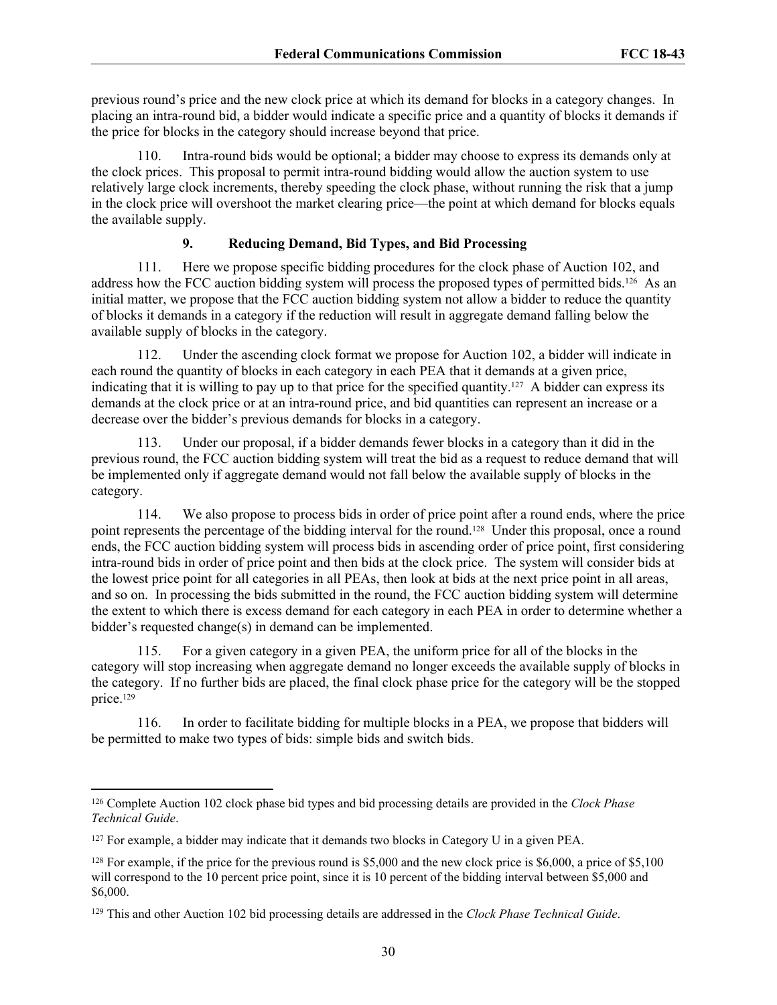previous round's price and the new clock price at which its demand for blocks in a category changes. In placing an intra-round bid, a bidder would indicate a specific price and a quantity of blocks it demands if the price for blocks in the category should increase beyond that price.

110. Intra-round bids would be optional; a bidder may choose to express its demands only at the clock prices. This proposal to permit intra-round bidding would allow the auction system to use relatively large clock increments, thereby speeding the clock phase, without running the risk that a jump in the clock price will overshoot the market clearing price—the point at which demand for blocks equals the available supply.

# **9. Reducing Demand, Bid Types, and Bid Processing**

111. Here we propose specific bidding procedures for the clock phase of Auction 102, and address how the FCC auction bidding system will process the proposed types of permitted bids.126 As an initial matter, we propose that the FCC auction bidding system not allow a bidder to reduce the quantity of blocks it demands in a category if the reduction will result in aggregate demand falling below the available supply of blocks in the category.

112. Under the ascending clock format we propose for Auction 102, a bidder will indicate in each round the quantity of blocks in each category in each PEA that it demands at a given price, indicating that it is willing to pay up to that price for the specified quantity.<sup>127</sup> A bidder can express its demands at the clock price or at an intra-round price, and bid quantities can represent an increase or a decrease over the bidder's previous demands for blocks in a category.

113. Under our proposal, if a bidder demands fewer blocks in a category than it did in the previous round, the FCC auction bidding system will treat the bid as a request to reduce demand that will be implemented only if aggregate demand would not fall below the available supply of blocks in the category.

114. We also propose to process bids in order of price point after a round ends, where the price point represents the percentage of the bidding interval for the round.<sup>128</sup> Under this proposal, once a round ends, the FCC auction bidding system will process bids in ascending order of price point, first considering intra-round bids in order of price point and then bids at the clock price. The system will consider bids at the lowest price point for all categories in all PEAs, then look at bids at the next price point in all areas, and so on. In processing the bids submitted in the round, the FCC auction bidding system will determine the extent to which there is excess demand for each category in each PEA in order to determine whether a bidder's requested change(s) in demand can be implemented.

115. For a given category in a given PEA, the uniform price for all of the blocks in the category will stop increasing when aggregate demand no longer exceeds the available supply of blocks in the category. If no further bids are placed, the final clock phase price for the category will be the stopped price.<sup>129</sup>

116. In order to facilitate bidding for multiple blocks in a PEA, we propose that bidders will be permitted to make two types of bids: simple bids and switch bids.

<sup>126</sup> Complete Auction 102 clock phase bid types and bid processing details are provided in the *Clock Phase Technical Guide*.

 $127$  For example, a bidder may indicate that it demands two blocks in Category U in a given PEA.

<sup>&</sup>lt;sup>128</sup> For example, if the price for the previous round is \$5,000 and the new clock price is \$6,000, a price of \$5,100 will correspond to the 10 percent price point, since it is 10 percent of the bidding interval between \$5,000 and \$6,000.

<sup>129</sup> This and other Auction 102 bid processing details are addressed in the *Clock Phase Technical Guide*.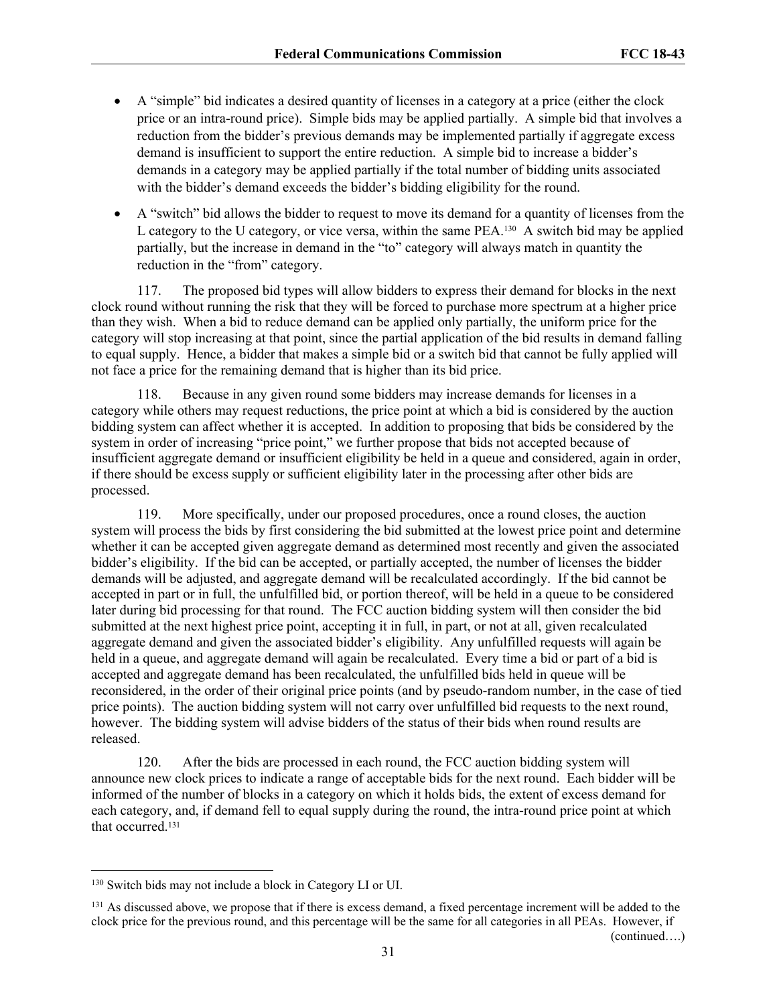- A "simple" bid indicates a desired quantity of licenses in a category at a price (either the clock price or an intra-round price). Simple bids may be applied partially. A simple bid that involves a reduction from the bidder's previous demands may be implemented partially if aggregate excess demand is insufficient to support the entire reduction. A simple bid to increase a bidder's demands in a category may be applied partially if the total number of bidding units associated with the bidder's demand exceeds the bidder's bidding eligibility for the round.
- A "switch" bid allows the bidder to request to move its demand for a quantity of licenses from the L category to the U category, or vice versa, within the same PEA.130 A switch bid may be applied partially, but the increase in demand in the "to" category will always match in quantity the reduction in the "from" category.

117. The proposed bid types will allow bidders to express their demand for blocks in the next clock round without running the risk that they will be forced to purchase more spectrum at a higher price than they wish. When a bid to reduce demand can be applied only partially, the uniform price for the category will stop increasing at that point, since the partial application of the bid results in demand falling to equal supply. Hence, a bidder that makes a simple bid or a switch bid that cannot be fully applied will not face a price for the remaining demand that is higher than its bid price.

118. Because in any given round some bidders may increase demands for licenses in a category while others may request reductions, the price point at which a bid is considered by the auction bidding system can affect whether it is accepted. In addition to proposing that bids be considered by the system in order of increasing "price point," we further propose that bids not accepted because of insufficient aggregate demand or insufficient eligibility be held in a queue and considered, again in order, if there should be excess supply or sufficient eligibility later in the processing after other bids are processed.

119. More specifically, under our proposed procedures, once a round closes, the auction system will process the bids by first considering the bid submitted at the lowest price point and determine whether it can be accepted given aggregate demand as determined most recently and given the associated bidder's eligibility. If the bid can be accepted, or partially accepted, the number of licenses the bidder demands will be adjusted, and aggregate demand will be recalculated accordingly. If the bid cannot be accepted in part or in full, the unfulfilled bid, or portion thereof, will be held in a queue to be considered later during bid processing for that round. The FCC auction bidding system will then consider the bid submitted at the next highest price point, accepting it in full, in part, or not at all, given recalculated aggregate demand and given the associated bidder's eligibility. Any unfulfilled requests will again be held in a queue, and aggregate demand will again be recalculated. Every time a bid or part of a bid is accepted and aggregate demand has been recalculated, the unfulfilled bids held in queue will be reconsidered, in the order of their original price points (and by pseudo-random number, in the case of tied price points). The auction bidding system will not carry over unfulfilled bid requests to the next round, however. The bidding system will advise bidders of the status of their bids when round results are released.

120. After the bids are processed in each round, the FCC auction bidding system will announce new clock prices to indicate a range of acceptable bids for the next round. Each bidder will be informed of the number of blocks in a category on which it holds bids, the extent of excess demand for each category, and, if demand fell to equal supply during the round, the intra-round price point at which that occurred<sup>131</sup>

(continued….)

<sup>130</sup> Switch bids may not include a block in Category LI or UI.

<sup>&</sup>lt;sup>131</sup> As discussed above, we propose that if there is excess demand, a fixed percentage increment will be added to the clock price for the previous round, and this percentage will be the same for all categories in all PEAs. However, if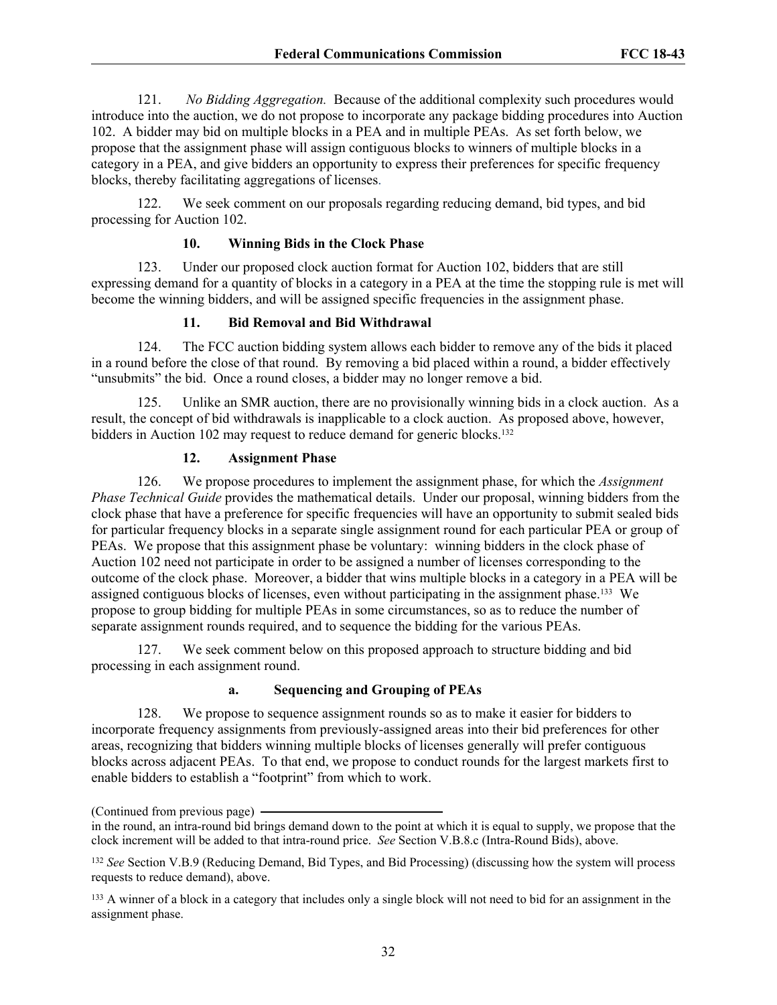121. *No Bidding Aggregation.* Because of the additional complexity such procedures would introduce into the auction, we do not propose to incorporate any package bidding procedures into Auction 102. A bidder may bid on multiple blocks in a PEA and in multiple PEAs. As set forth below, we propose that the assignment phase will assign contiguous blocks to winners of multiple blocks in a category in a PEA, and give bidders an opportunity to express their preferences for specific frequency blocks, thereby facilitating aggregations of licenses.

122. We seek comment on our proposals regarding reducing demand, bid types, and bid processing for Auction 102.

# **10. Winning Bids in the Clock Phase**

123. Under our proposed clock auction format for Auction 102, bidders that are still expressing demand for a quantity of blocks in a category in a PEA at the time the stopping rule is met will become the winning bidders, and will be assigned specific frequencies in the assignment phase.

# **11. Bid Removal and Bid Withdrawal**

124. The FCC auction bidding system allows each bidder to remove any of the bids it placed in a round before the close of that round. By removing a bid placed within a round, a bidder effectively "unsubmits" the bid. Once a round closes, a bidder may no longer remove a bid.

125. Unlike an SMR auction, there are no provisionally winning bids in a clock auction. As a result, the concept of bid withdrawals is inapplicable to a clock auction. As proposed above, however, bidders in Auction 102 may request to reduce demand for generic blocks.<sup>132</sup>

# **12. Assignment Phase**

126. We propose procedures to implement the assignment phase, for which the *Assignment Phase Technical Guide* provides the mathematical details. Under our proposal, winning bidders from the clock phase that have a preference for specific frequencies will have an opportunity to submit sealed bids for particular frequency blocks in a separate single assignment round for each particular PEA or group of PEAs. We propose that this assignment phase be voluntary: winning bidders in the clock phase of Auction 102 need not participate in order to be assigned a number of licenses corresponding to the outcome of the clock phase. Moreover, a bidder that wins multiple blocks in a category in a PEA will be assigned contiguous blocks of licenses, even without participating in the assignment phase.133 We propose to group bidding for multiple PEAs in some circumstances, so as to reduce the number of separate assignment rounds required, and to sequence the bidding for the various PEAs.

127. We seek comment below on this proposed approach to structure bidding and bid processing in each assignment round.

## **a. Sequencing and Grouping of PEAs**

128. We propose to sequence assignment rounds so as to make it easier for bidders to incorporate frequency assignments from previously-assigned areas into their bid preferences for other areas, recognizing that bidders winning multiple blocks of licenses generally will prefer contiguous blocks across adjacent PEAs. To that end, we propose to conduct rounds for the largest markets first to enable bidders to establish a "footprint" from which to work.

<sup>(</sup>Continued from previous page)

in the round, an intra-round bid brings demand down to the point at which it is equal to supply, we propose that the clock increment will be added to that intra-round price. *See* Section V.B.8.c (Intra-Round Bids), above.

<sup>132</sup> *See* Section V.B.9 (Reducing Demand, Bid Types, and Bid Processing) (discussing how the system will process requests to reduce demand), above.

<sup>&</sup>lt;sup>133</sup> A winner of a block in a category that includes only a single block will not need to bid for an assignment in the assignment phase.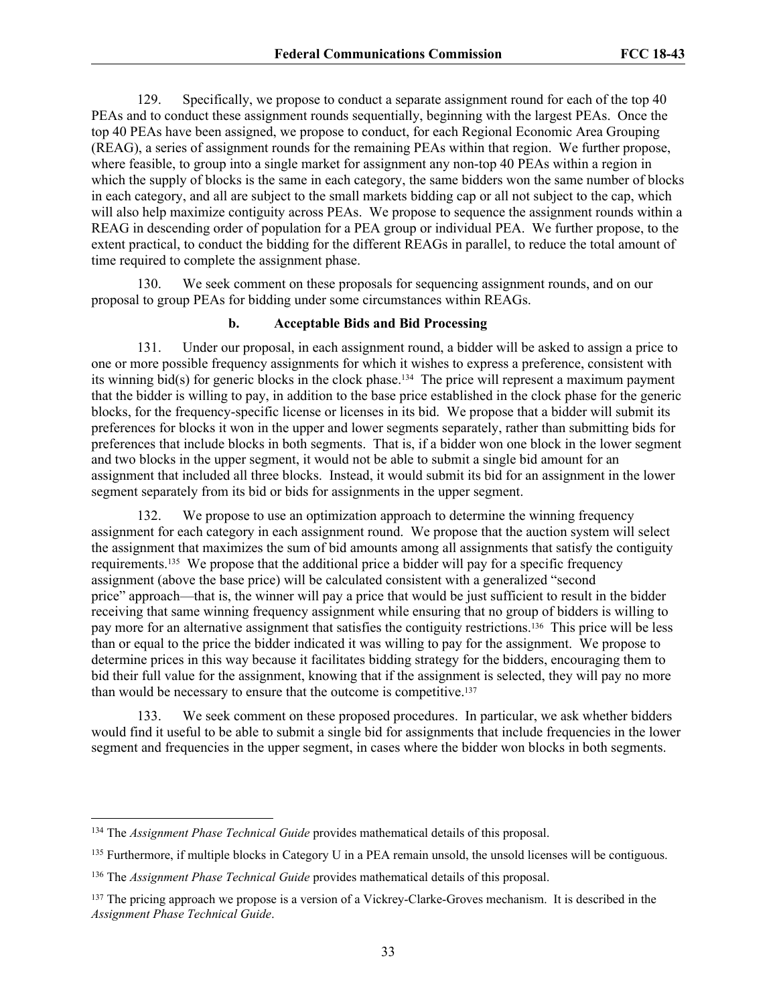129. Specifically, we propose to conduct a separate assignment round for each of the top 40 PEAs and to conduct these assignment rounds sequentially, beginning with the largest PEAs. Once the top 40 PEAs have been assigned, we propose to conduct, for each Regional Economic Area Grouping (REAG), a series of assignment rounds for the remaining PEAs within that region. We further propose, where feasible, to group into a single market for assignment any non-top 40 PEAs within a region in which the supply of blocks is the same in each category, the same bidders won the same number of blocks in each category, and all are subject to the small markets bidding cap or all not subject to the cap, which will also help maximize contiguity across PEAs. We propose to sequence the assignment rounds within a REAG in descending order of population for a PEA group or individual PEA. We further propose, to the extent practical, to conduct the bidding for the different REAGs in parallel, to reduce the total amount of time required to complete the assignment phase.

130. We seek comment on these proposals for sequencing assignment rounds, and on our proposal to group PEAs for bidding under some circumstances within REAGs.

#### **b. Acceptable Bids and Bid Processing**

131. Under our proposal, in each assignment round, a bidder will be asked to assign a price to one or more possible frequency assignments for which it wishes to express a preference, consistent with its winning bid(s) for generic blocks in the clock phase.134 The price will represent a maximum payment that the bidder is willing to pay, in addition to the base price established in the clock phase for the generic blocks, for the frequency-specific license or licenses in its bid. We propose that a bidder will submit its preferences for blocks it won in the upper and lower segments separately, rather than submitting bids for preferences that include blocks in both segments. That is, if a bidder won one block in the lower segment and two blocks in the upper segment, it would not be able to submit a single bid amount for an assignment that included all three blocks. Instead, it would submit its bid for an assignment in the lower segment separately from its bid or bids for assignments in the upper segment.

132. We propose to use an optimization approach to determine the winning frequency assignment for each category in each assignment round. We propose that the auction system will select the assignment that maximizes the sum of bid amounts among all assignments that satisfy the contiguity requirements.135 We propose that the additional price a bidder will pay for a specific frequency assignment (above the base price) will be calculated consistent with a generalized "second price" approach—that is, the winner will pay a price that would be just sufficient to result in the bidder receiving that same winning frequency assignment while ensuring that no group of bidders is willing to pay more for an alternative assignment that satisfies the contiguity restrictions.136 This price will be less than or equal to the price the bidder indicated it was willing to pay for the assignment. We propose to determine prices in this way because it facilitates bidding strategy for the bidders, encouraging them to bid their full value for the assignment, knowing that if the assignment is selected, they will pay no more than would be necessary to ensure that the outcome is competitive.<sup>137</sup>

133. We seek comment on these proposed procedures. In particular, we ask whether bidders would find it useful to be able to submit a single bid for assignments that include frequencies in the lower segment and frequencies in the upper segment, in cases where the bidder won blocks in both segments.

<sup>134</sup> The *Assignment Phase Technical Guide* provides mathematical details of this proposal.

<sup>&</sup>lt;sup>135</sup> Furthermore, if multiple blocks in Category U in a PEA remain unsold, the unsold licenses will be contiguous.

<sup>136</sup> The *Assignment Phase Technical Guide* provides mathematical details of this proposal.

<sup>&</sup>lt;sup>137</sup> The pricing approach we propose is a version of a Vickrey-Clarke-Groves mechanism. It is described in the *Assignment Phase Technical Guide*.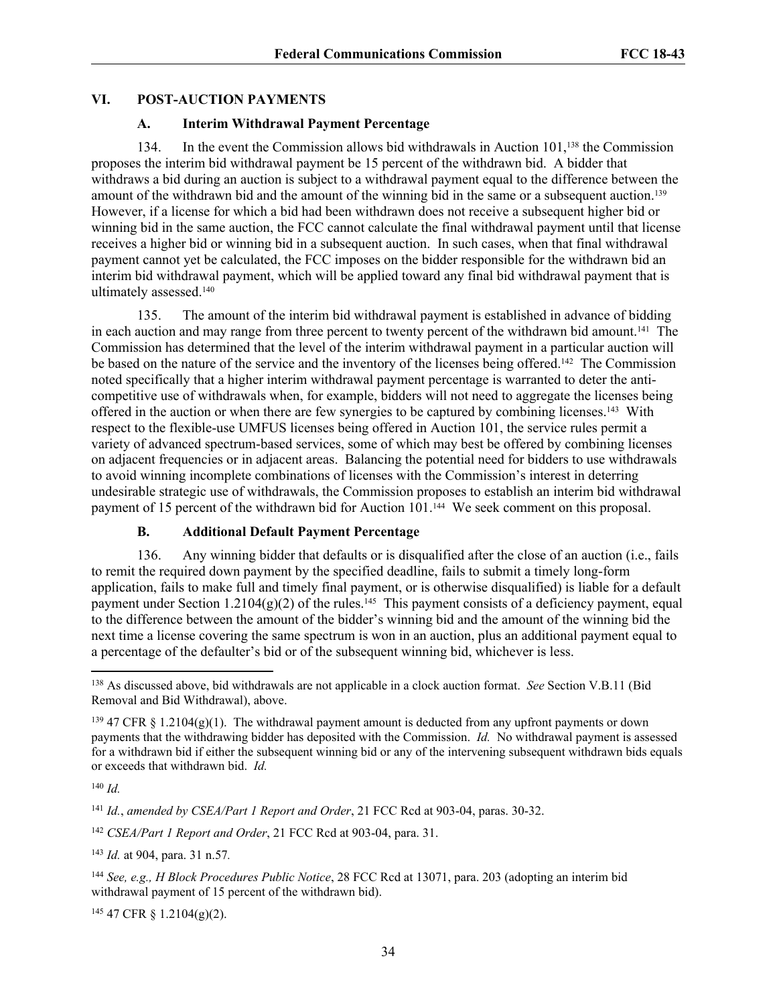#### **VI. POST-AUCTION PAYMENTS**

#### **A. Interim Withdrawal Payment Percentage**

134. In the event the Commission allows bid withdrawals in Auction 101,138 the Commission proposes the interim bid withdrawal payment be 15 percent of the withdrawn bid. A bidder that withdraws a bid during an auction is subject to a withdrawal payment equal to the difference between the amount of the withdrawn bid and the amount of the winning bid in the same or a subsequent auction.<sup>139</sup> However, if a license for which a bid had been withdrawn does not receive a subsequent higher bid or winning bid in the same auction, the FCC cannot calculate the final withdrawal payment until that license receives a higher bid or winning bid in a subsequent auction. In such cases, when that final withdrawal payment cannot yet be calculated, the FCC imposes on the bidder responsible for the withdrawn bid an interim bid withdrawal payment, which will be applied toward any final bid withdrawal payment that is ultimately assessed.<sup>140</sup>

135. The amount of the interim bid withdrawal payment is established in advance of bidding in each auction and may range from three percent to twenty percent of the withdrawn bid amount.<sup>141</sup> The Commission has determined that the level of the interim withdrawal payment in a particular auction will be based on the nature of the service and the inventory of the licenses being offered.<sup>142</sup> The Commission noted specifically that a higher interim withdrawal payment percentage is warranted to deter the anticompetitive use of withdrawals when, for example, bidders will not need to aggregate the licenses being offered in the auction or when there are few synergies to be captured by combining licenses.143 With respect to the flexible-use UMFUS licenses being offered in Auction 101, the service rules permit a variety of advanced spectrum-based services, some of which may best be offered by combining licenses on adjacent frequencies or in adjacent areas. Balancing the potential need for bidders to use withdrawals to avoid winning incomplete combinations of licenses with the Commission's interest in deterring undesirable strategic use of withdrawals, the Commission proposes to establish an interim bid withdrawal payment of 15 percent of the withdrawn bid for Auction 101.144 We seek comment on this proposal.

# **B. Additional Default Payment Percentage**

136. Any winning bidder that defaults or is disqualified after the close of an auction (i.e., fails to remit the required down payment by the specified deadline, fails to submit a timely long-form application, fails to make full and timely final payment, or is otherwise disqualified) is liable for a default payment under Section  $1.2104(g)(2)$  of the rules.<sup>145</sup> This payment consists of a deficiency payment, equal to the difference between the amount of the bidder's winning bid and the amount of the winning bid the next time a license covering the same spectrum is won in an auction, plus an additional payment equal to a percentage of the defaulter's bid or of the subsequent winning bid, whichever is less.

<sup>143</sup> *Id.* at 904, para. 31 n.57*.*

145 47 CFR § 1.2104(g)(2).

<sup>138</sup> As discussed above, bid withdrawals are not applicable in a clock auction format. *See* Section V.B.11 (Bid Removal and Bid Withdrawal), above.

 $139$  47 CFR § 1.2104(g)(1). The withdrawal payment amount is deducted from any upfront payments or down payments that the withdrawing bidder has deposited with the Commission. *Id.* No withdrawal payment is assessed for a withdrawn bid if either the subsequent winning bid or any of the intervening subsequent withdrawn bids equals or exceeds that withdrawn bid. *Id.*

<sup>140</sup> *Id.*

<sup>141</sup> *Id.*, *amended by CSEA/Part 1 Report and Order*, 21 FCC Rcd at 903-04, paras. 30-32.

<sup>142</sup> *CSEA/Part 1 Report and Order*, 21 FCC Rcd at 903-04, para. 31.

<sup>144</sup> *See, e.g., H Block Procedures Public Notice*, 28 FCC Rcd at 13071, para. 203 (adopting an interim bid withdrawal payment of 15 percent of the withdrawn bid).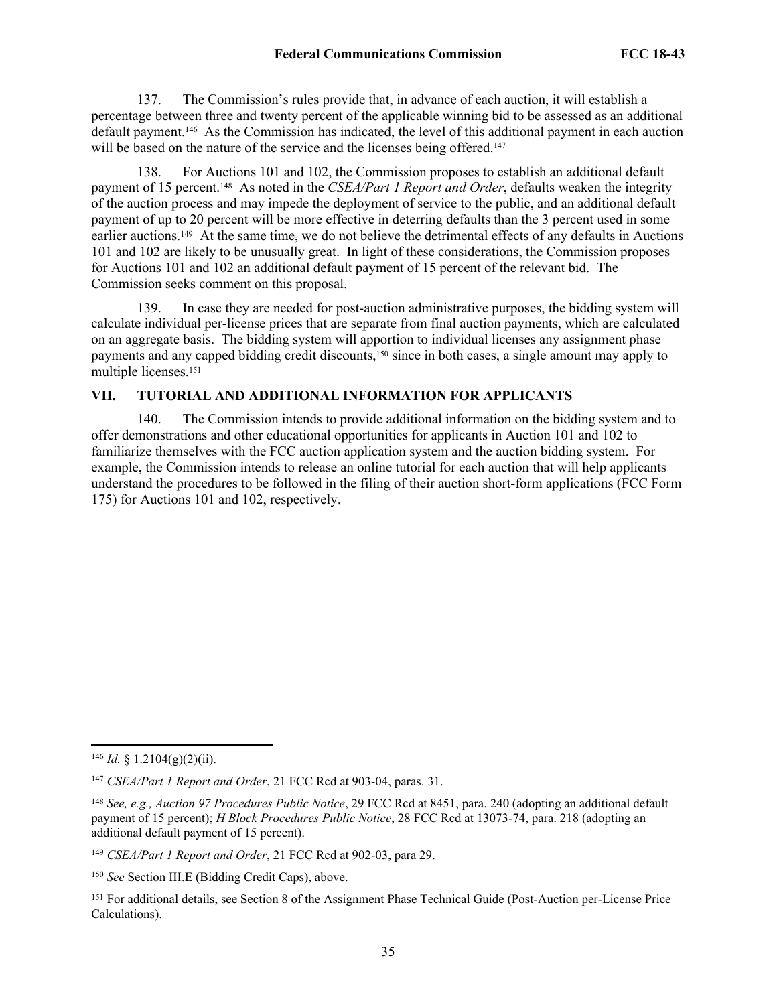137. The Commission's rules provide that, in advance of each auction, it will establish a percentage between three and twenty percent of the applicable winning bid to be assessed as an additional default payment.146 As the Commission has indicated, the level of this additional payment in each auction will be based on the nature of the service and the licenses being offered.<sup>147</sup>

138. For Auctions 101 and 102, the Commission proposes to establish an additional default payment of 15 percent.<sup>148</sup> As noted in the *CSEA/Part 1 Report and Order*, defaults weaken the integrity of the auction process and may impede the deployment of service to the public, and an additional default payment of up to 20 percent will be more effective in deterring defaults than the 3 percent used in some earlier auctions.149 At the same time, we do not believe the detrimental effects of any defaults in Auctions 101 and 102 are likely to be unusually great. In light of these considerations, the Commission proposes for Auctions 101 and 102 an additional default payment of 15 percent of the relevant bid. The Commission seeks comment on this proposal.

139. In case they are needed for post-auction administrative purposes, the bidding system will calculate individual per-license prices that are separate from final auction payments, which are calculated on an aggregate basis. The bidding system will apportion to individual licenses any assignment phase payments and any capped bidding credit discounts,<sup>150</sup> since in both cases, a single amount may apply to multiple licenses.<sup>151</sup>

#### **VII. TUTORIAL AND ADDITIONAL INFORMATION FOR APPLICANTS**

140. The Commission intends to provide additional information on the bidding system and to offer demonstrations and other educational opportunities for applicants in Auction 101 and 102 to familiarize themselves with the FCC auction application system and the auction bidding system. For example, the Commission intends to release an online tutorial for each auction that will help applicants understand the procedures to be followed in the filing of their auction short-form applications (FCC Form 175) for Auctions 101 and 102, respectively.

 $146$  *Id.* § 1.2104(g)(2)(ii).

<sup>147</sup> *CSEA/Part 1 Report and Order*, 21 FCC Rcd at 903-04, paras. 31.

<sup>148</sup> *See, e.g., Auction 97 Procedures Public Notice*, 29 FCC Rcd at 8451, para. 240 (adopting an additional default payment of 15 percent); *H Block Procedures Public Notice*, 28 FCC Rcd at 13073-74, para. 218 (adopting an additional default payment of 15 percent).

<sup>149</sup> *CSEA/Part 1 Report and Order*, 21 FCC Rcd at 902-03, para 29.

<sup>150</sup> *See* Section III.E (Bidding Credit Caps), above.

<sup>151</sup> For additional details, see Section 8 of the Assignment Phase Technical Guide (Post-Auction per-License Price Calculations).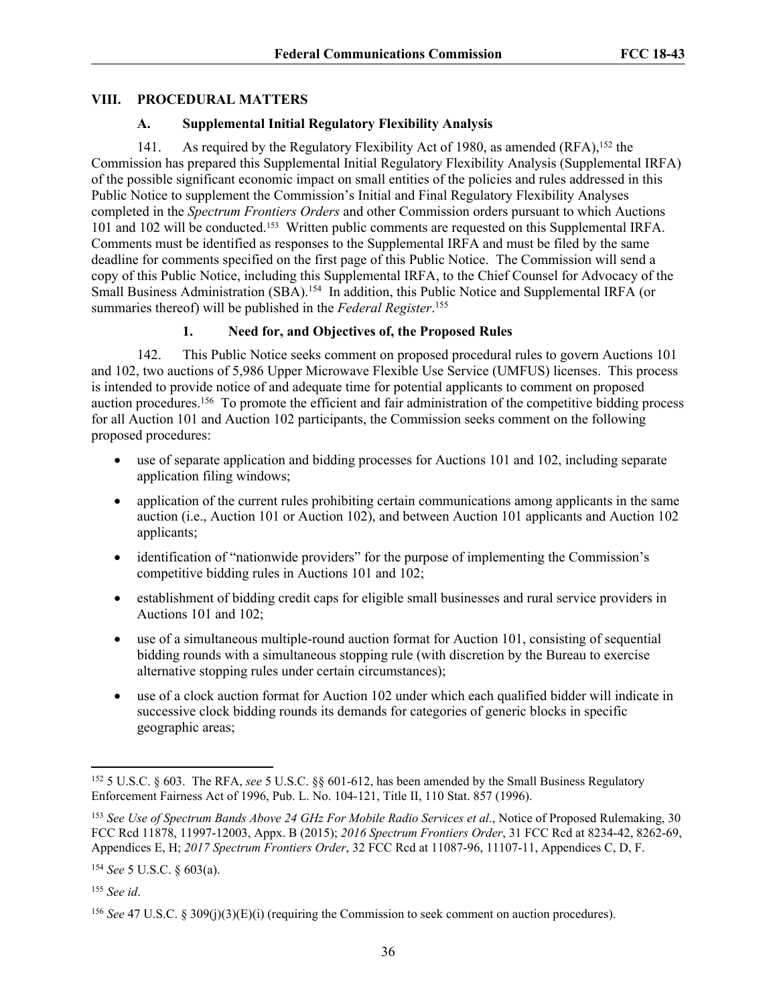## **VIII. PROCEDURAL MATTERS**

## **A. Supplemental Initial Regulatory Flexibility Analysis**

141. As required by the Regulatory Flexibility Act of 1980, as amended (RFA),<sup>152</sup> the Commission has prepared this Supplemental Initial Regulatory Flexibility Analysis (Supplemental IRFA) of the possible significant economic impact on small entities of the policies and rules addressed in this Public Notice to supplement the Commission's Initial and Final Regulatory Flexibility Analyses completed in the *Spectrum Frontiers Orders* and other Commission orders pursuant to which Auctions 101 and 102 will be conducted.<sup>153</sup> Written public comments are requested on this Supplemental IRFA. Comments must be identified as responses to the Supplemental IRFA and must be filed by the same deadline for comments specified on the first page of this Public Notice. The Commission will send a copy of this Public Notice, including this Supplemental IRFA, to the Chief Counsel for Advocacy of the Small Business Administration (SBA).<sup>154</sup> In addition, this Public Notice and Supplemental IRFA (or summaries thereof) will be published in the *Federal Register*. 155

# **1. Need for, and Objectives of, the Proposed Rules**

142. This Public Notice seeks comment on proposed procedural rules to govern Auctions 101 and 102, two auctions of 5,986 Upper Microwave Flexible Use Service (UMFUS) licenses. This process is intended to provide notice of and adequate time for potential applicants to comment on proposed auction procedures.<sup>156</sup> To promote the efficient and fair administration of the competitive bidding process for all Auction 101 and Auction 102 participants, the Commission seeks comment on the following proposed procedures:

- use of separate application and bidding processes for Auctions 101 and 102, including separate application filing windows;
- application of the current rules prohibiting certain communications among applicants in the same auction (i.e., Auction 101 or Auction 102), and between Auction 101 applicants and Auction 102 applicants;
- identification of "nationwide providers" for the purpose of implementing the Commission's competitive bidding rules in Auctions 101 and 102;
- establishment of bidding credit caps for eligible small businesses and rural service providers in Auctions 101 and 102;
- use of a simultaneous multiple-round auction format for Auction 101, consisting of sequential bidding rounds with a simultaneous stopping rule (with discretion by the Bureau to exercise alternative stopping rules under certain circumstances);
- use of a clock auction format for Auction 102 under which each qualified bidder will indicate in successive clock bidding rounds its demands for categories of generic blocks in specific geographic areas;

<sup>155</sup> *See id*.

<sup>152</sup> 5 U.S.C. § 603. The RFA, *see* 5 U.S.C. §§ 601-612, has been amended by the Small Business Regulatory Enforcement Fairness Act of 1996, Pub. L. No. 104-121, Title II, 110 Stat. 857 (1996).

<sup>153</sup> *See Use of Spectrum Bands Above 24 GHz For Mobile Radio Services et al*., Notice of Proposed Rulemaking, 30 FCC Rcd 11878, 11997-12003, Appx. B (2015); *2016 Spectrum Frontiers Order*, 31 FCC Rcd at 8234-42, 8262-69, Appendices E, H; *2017 Spectrum Frontiers Order*, 32 FCC Rcd at 11087-96, 11107-11, Appendices C, D, F.

<sup>154</sup> *See* 5 U.S.C. § 603(a).

<sup>156</sup> *See* 47 U.S.C. § 309(j)(3)(E)(i) (requiring the Commission to seek comment on auction procedures).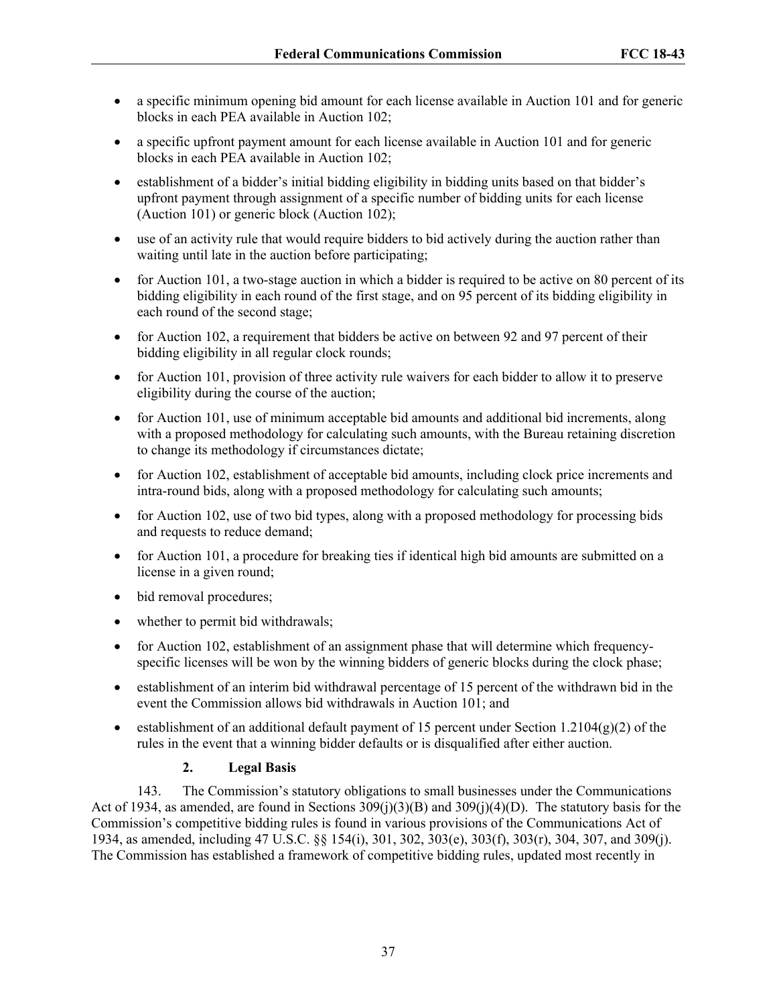- a specific minimum opening bid amount for each license available in Auction 101 and for generic blocks in each PEA available in Auction 102;
- a specific upfront payment amount for each license available in Auction 101 and for generic blocks in each PEA available in Auction 102;
- establishment of a bidder's initial bidding eligibility in bidding units based on that bidder's upfront payment through assignment of a specific number of bidding units for each license (Auction 101) or generic block (Auction 102);
- use of an activity rule that would require bidders to bid actively during the auction rather than waiting until late in the auction before participating;
- for Auction 101, a two-stage auction in which a bidder is required to be active on 80 percent of its bidding eligibility in each round of the first stage, and on 95 percent of its bidding eligibility in each round of the second stage;
- for Auction 102, a requirement that bidders be active on between 92 and 97 percent of their bidding eligibility in all regular clock rounds;
- for Auction 101, provision of three activity rule waivers for each bidder to allow it to preserve eligibility during the course of the auction;
- for Auction 101, use of minimum acceptable bid amounts and additional bid increments, along with a proposed methodology for calculating such amounts, with the Bureau retaining discretion to change its methodology if circumstances dictate;
- for Auction 102, establishment of acceptable bid amounts, including clock price increments and intra-round bids, along with a proposed methodology for calculating such amounts;
- for Auction 102, use of two bid types, along with a proposed methodology for processing bids and requests to reduce demand;
- for Auction 101, a procedure for breaking ties if identical high bid amounts are submitted on a license in a given round;
- bid removal procedures;
- whether to permit bid withdrawals;
- for Auction 102, establishment of an assignment phase that will determine which frequencyspecific licenses will be won by the winning bidders of generic blocks during the clock phase;
- establishment of an interim bid withdrawal percentage of 15 percent of the withdrawn bid in the event the Commission allows bid withdrawals in Auction 101; and
- establishment of an additional default payment of 15 percent under Section 1.2104(g)(2) of the rules in the event that a winning bidder defaults or is disqualified after either auction.

# **2. Legal Basis**

143. The Commission's statutory obligations to small businesses under the Communications Act of 1934, as amended, are found in Sections  $309(i)(3)(B)$  and  $309(i)(4)(D)$ . The statutory basis for the Commission's competitive bidding rules is found in various provisions of the Communications Act of 1934, as amended, including 47 U.S.C. §§ 154(i), 301, 302, 303(e), 303(f), 303(r), 304, 307, and 309(j). The Commission has established a framework of competitive bidding rules, updated most recently in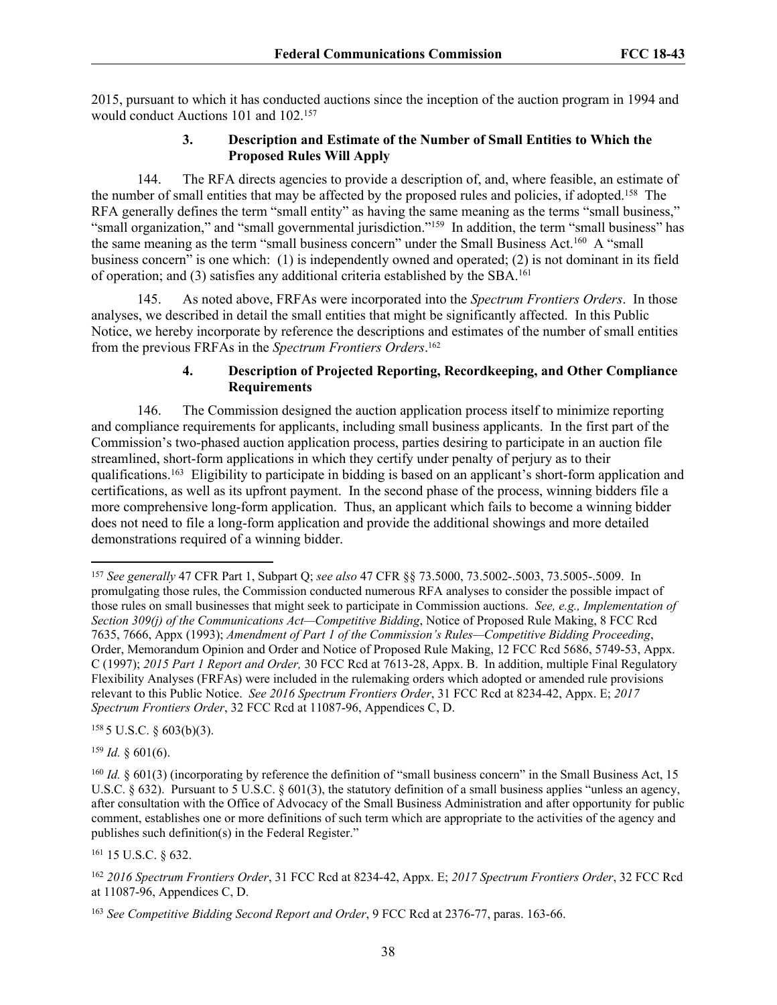2015, pursuant to which it has conducted auctions since the inception of the auction program in 1994 and would conduct Auctions 101 and 102.<sup>157</sup>

### **3. Description and Estimate of the Number of Small Entities to Which the Proposed Rules Will Apply**

144. The RFA directs agencies to provide a description of, and, where feasible, an estimate of the number of small entities that may be affected by the proposed rules and policies, if adopted.<sup>158</sup> The RFA generally defines the term "small entity" as having the same meaning as the terms "small business," "small organization," and "small governmental jurisdiction."<sup>159</sup> In addition, the term "small business" has the same meaning as the term "small business concern" under the Small Business Act.<sup>160</sup> A "small business concern" is one which: (1) is independently owned and operated; (2) is not dominant in its field of operation; and (3) satisfies any additional criteria established by the SBA.<sup>161</sup>

145. As noted above, FRFAs were incorporated into the *Spectrum Frontiers Orders*. In those analyses, we described in detail the small entities that might be significantly affected. In this Public Notice, we hereby incorporate by reference the descriptions and estimates of the number of small entities from the previous FRFAs in the *Spectrum Frontiers Orders*. 162

## **4. Description of Projected Reporting, Recordkeeping, and Other Compliance Requirements**

146. The Commission designed the auction application process itself to minimize reporting and compliance requirements for applicants, including small business applicants. In the first part of the Commission's two-phased auction application process, parties desiring to participate in an auction file streamlined, short-form applications in which they certify under penalty of perjury as to their qualifications.<sup>163</sup> Eligibility to participate in bidding is based on an applicant's short-form application and certifications, as well as its upfront payment. In the second phase of the process, winning bidders file a more comprehensive long-form application. Thus, an applicant which fails to become a winning bidder does not need to file a long-form application and provide the additional showings and more detailed demonstrations required of a winning bidder.

 $1585$  U.S.C. § 603(b)(3).

 $159$  *Id.* § 601(6).

<sup>161</sup> 15 U.S.C. § 632.

<sup>157</sup> *See generally* 47 CFR Part 1, Subpart Q; *see also* 47 CFR §§ 73.5000, 73.5002-.5003, 73.5005-.5009. In promulgating those rules, the Commission conducted numerous RFA analyses to consider the possible impact of those rules on small businesses that might seek to participate in Commission auctions. *See, e.g., Implementation of Section 309(j) of the Communications Act—Competitive Bidding*, Notice of Proposed Rule Making, 8 FCC Rcd 7635, 7666, Appx (1993); *Amendment of Part 1 of the Commission's Rules—Competitive Bidding Proceeding*, Order, Memorandum Opinion and Order and Notice of Proposed Rule Making, 12 FCC Rcd 5686, 5749-53, Appx. C (1997); *2015 Part 1 Report and Order,* 30 FCC Rcd at 7613-28, Appx. B. In addition, multiple Final Regulatory Flexibility Analyses (FRFAs) were included in the rulemaking orders which adopted or amended rule provisions relevant to this Public Notice. *See 2016 Spectrum Frontiers Order*, 31 FCC Rcd at 8234-42, Appx. E; *2017 Spectrum Frontiers Order*, 32 FCC Rcd at 11087-96, Appendices C, D.

<sup>&</sup>lt;sup>160</sup> *Id.* § 601(3) (incorporating by reference the definition of "small business concern" in the Small Business Act, 15 U.S.C. § 632). Pursuant to 5 U.S.C. § 601(3), the statutory definition of a small business applies "unless an agency, after consultation with the Office of Advocacy of the Small Business Administration and after opportunity for public comment, establishes one or more definitions of such term which are appropriate to the activities of the agency and publishes such definition(s) in the Federal Register."

<sup>162</sup> *2016 Spectrum Frontiers Order*, 31 FCC Rcd at 8234-42, Appx. E; *2017 Spectrum Frontiers Order*, 32 FCC Rcd at 11087-96, Appendices C, D.

<sup>163</sup> *See Competitive Bidding Second Report and Order*, 9 FCC Rcd at 2376-77, paras. 163-66.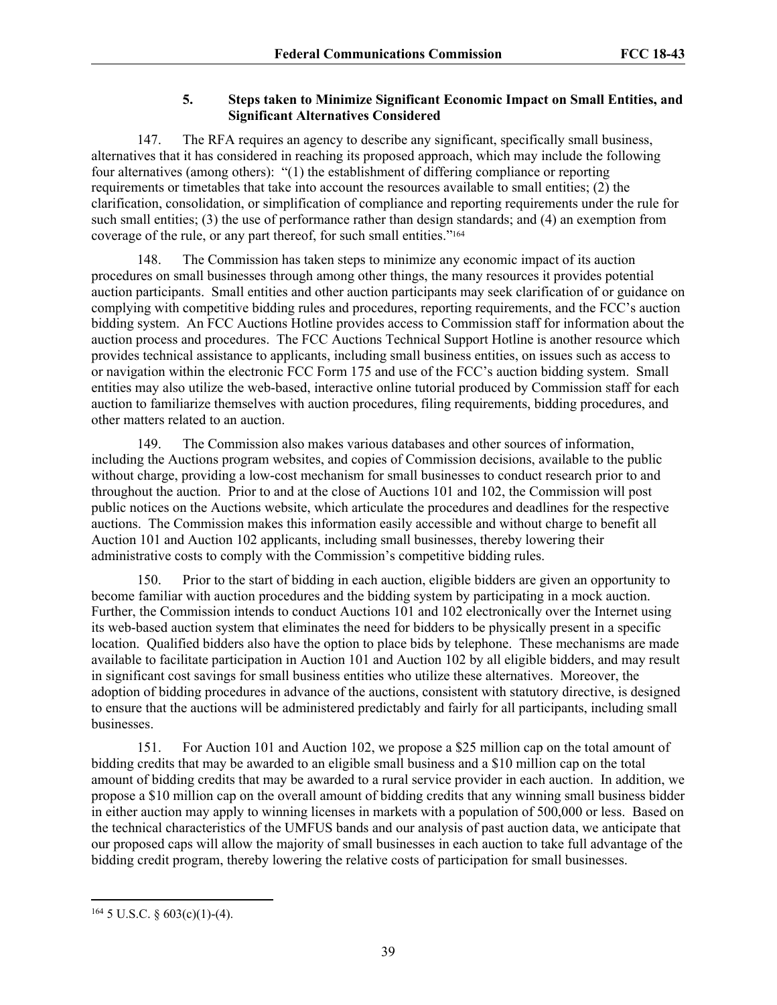# **5. Steps taken to Minimize Significant Economic Impact on Small Entities, and Significant Alternatives Considered**

147. The RFA requires an agency to describe any significant, specifically small business, alternatives that it has considered in reaching its proposed approach, which may include the following four alternatives (among others): "(1) the establishment of differing compliance or reporting requirements or timetables that take into account the resources available to small entities; (2) the clarification, consolidation, or simplification of compliance and reporting requirements under the rule for such small entities; (3) the use of performance rather than design standards; and (4) an exemption from coverage of the rule, or any part thereof, for such small entities."<sup>164</sup>

148. The Commission has taken steps to minimize any economic impact of its auction procedures on small businesses through among other things, the many resources it provides potential auction participants. Small entities and other auction participants may seek clarification of or guidance on complying with competitive bidding rules and procedures, reporting requirements, and the FCC's auction bidding system. An FCC Auctions Hotline provides access to Commission staff for information about the auction process and procedures. The FCC Auctions Technical Support Hotline is another resource which provides technical assistance to applicants, including small business entities, on issues such as access to or navigation within the electronic FCC Form 175 and use of the FCC's auction bidding system. Small entities may also utilize the web-based, interactive online tutorial produced by Commission staff for each auction to familiarize themselves with auction procedures, filing requirements, bidding procedures, and other matters related to an auction.

149. The Commission also makes various databases and other sources of information, including the Auctions program websites, and copies of Commission decisions, available to the public without charge, providing a low-cost mechanism for small businesses to conduct research prior to and throughout the auction. Prior to and at the close of Auctions 101 and 102, the Commission will post public notices on the Auctions website, which articulate the procedures and deadlines for the respective auctions. The Commission makes this information easily accessible and without charge to benefit all Auction 101 and Auction 102 applicants, including small businesses, thereby lowering their administrative costs to comply with the Commission's competitive bidding rules.

150. Prior to the start of bidding in each auction, eligible bidders are given an opportunity to become familiar with auction procedures and the bidding system by participating in a mock auction. Further, the Commission intends to conduct Auctions 101 and 102 electronically over the Internet using its web-based auction system that eliminates the need for bidders to be physically present in a specific location. Qualified bidders also have the option to place bids by telephone. These mechanisms are made available to facilitate participation in Auction 101 and Auction 102 by all eligible bidders, and may result in significant cost savings for small business entities who utilize these alternatives. Moreover, the adoption of bidding procedures in advance of the auctions, consistent with statutory directive, is designed to ensure that the auctions will be administered predictably and fairly for all participants, including small businesses.

151. For Auction 101 and Auction 102, we propose a \$25 million cap on the total amount of bidding credits that may be awarded to an eligible small business and a \$10 million cap on the total amount of bidding credits that may be awarded to a rural service provider in each auction. In addition, we propose a \$10 million cap on the overall amount of bidding credits that any winning small business bidder in either auction may apply to winning licenses in markets with a population of 500,000 or less. Based on the technical characteristics of the UMFUS bands and our analysis of past auction data, we anticipate that our proposed caps will allow the majority of small businesses in each auction to take full advantage of the bidding credit program, thereby lowering the relative costs of participation for small businesses.

 $164$  5 U.S.C. § 603(c)(1)-(4).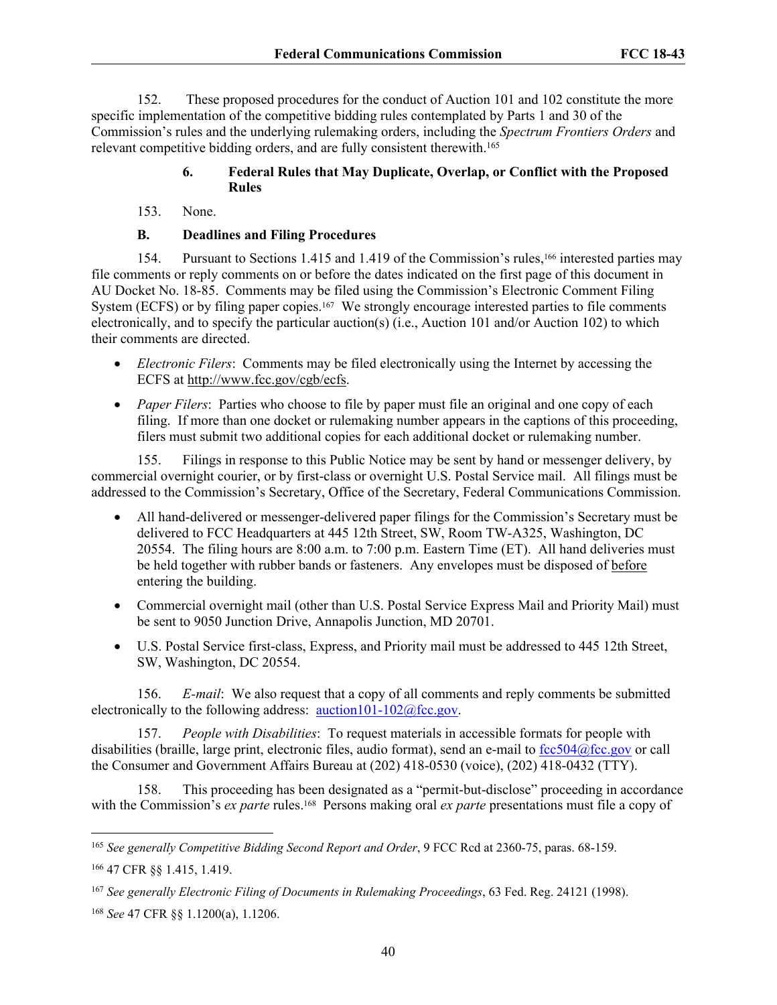152. These proposed procedures for the conduct of Auction 101 and 102 constitute the more specific implementation of the competitive bidding rules contemplated by Parts 1 and 30 of the Commission's rules and the underlying rulemaking orders, including the *Spectrum Frontiers Orders* and relevant competitive bidding orders, and are fully consistent therewith.<sup>165</sup>

#### **6. Federal Rules that May Duplicate, Overlap, or Conflict with the Proposed Rules**

153. None.

#### **B. Deadlines and Filing Procedures**

154. Pursuant to Sections 1.415 and 1.419 of the Commission's rules,166 interested parties may file comments or reply comments on or before the dates indicated on the first page of this document in AU Docket No. 18-85. Comments may be filed using the Commission's Electronic Comment Filing System (ECFS) or by filing paper copies.<sup>167</sup> We strongly encourage interested parties to file comments electronically, and to specify the particular auction(s) (i.e., Auction 101 and/or Auction 102) to which their comments are directed.

- *Electronic Filers*: Comments may be filed electronically using the Internet by accessing the ECFS at [http://www.fcc.gov/cgb/ecfs.](http://www.fcc.gov/cgb/ecfs)
- *Paper Filers*: Parties who choose to file by paper must file an original and one copy of each filing. If more than one docket or rulemaking number appears in the captions of this proceeding, filers must submit two additional copies for each additional docket or rulemaking number.

155. Filings in response to this Public Notice may be sent by hand or messenger delivery, by commercial overnight courier, or by first-class or overnight U.S. Postal Service mail. All filings must be addressed to the Commission's Secretary, Office of the Secretary, Federal Communications Commission.

- All hand-delivered or messenger-delivered paper filings for the Commission's Secretary must be delivered to FCC Headquarters at 445 12th Street, SW, Room TW-A325, Washington, DC 20554. The filing hours are 8:00 a.m. to 7:00 p.m. Eastern Time (ET). All hand deliveries must be held together with rubber bands or fasteners. Any envelopes must be disposed of before entering the building.
- Commercial overnight mail (other than U.S. Postal Service Express Mail and Priority Mail) must be sent to 9050 Junction Drive, Annapolis Junction, MD 20701.
- U.S. Postal Service first-class, Express, and Priority mail must be addressed to 445 12th Street, SW, Washington, DC 20554.

156. *E-mail*: We also request that a copy of all comments and reply comments be submitted electronically to the following address:  $\frac{\text{auction101-102@fcc.gov}}{2}$  $\frac{\text{auction101-102@fcc.gov}}{2}$  $\frac{\text{auction101-102@fcc.gov}}{2}$ .

157. *People with Disabilities*: To request materials in accessible formats for people with disabilities (braille, large print, electronic files, audio format), send an e-mail to [fcc504@fcc.gov](mailto:fcc504@fcc.gov) or call the Consumer and Government Affairs Bureau at (202) 418-0530 (voice), (202) 418-0432 (TTY).

158. This proceeding has been designated as a "permit-but-disclose" proceeding in accordance with the Commission's *ex parte* rules.<sup>168</sup> Persons making oral *ex parte* presentations must file a copy of

<sup>165</sup> *See generally Competitive Bidding Second Report and Order*, 9 FCC Rcd at 2360-75, paras. 68-159.

<sup>166</sup> 47 CFR §§ 1.415, 1.419.

<sup>167</sup> *See generally Electronic Filing of Documents in Rulemaking Proceedings*, 63 Fed. Reg. 24121 (1998).

<sup>168</sup> *See* 47 CFR §§ 1.1200(a), 1.1206.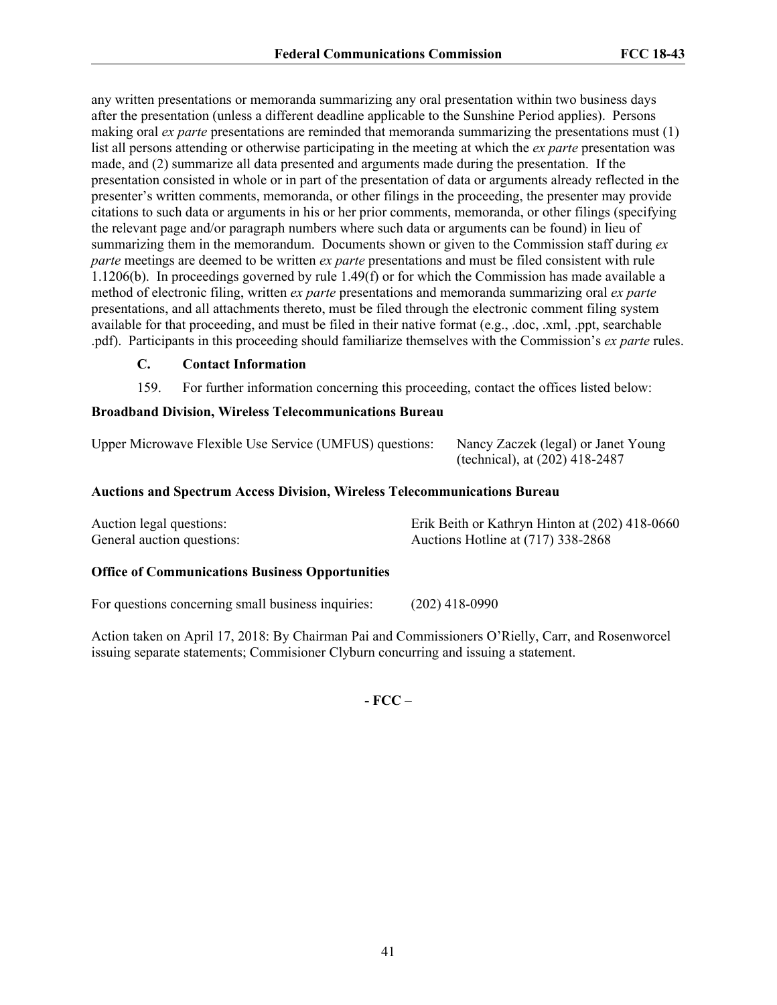any written presentations or memoranda summarizing any oral presentation within two business days after the presentation (unless a different deadline applicable to the Sunshine Period applies). Persons making oral *ex parte* presentations are reminded that memoranda summarizing the presentations must (1) list all persons attending or otherwise participating in the meeting at which the *ex parte* presentation was made, and (2) summarize all data presented and arguments made during the presentation. If the presentation consisted in whole or in part of the presentation of data or arguments already reflected in the presenter's written comments, memoranda, or other filings in the proceeding, the presenter may provide citations to such data or arguments in his or her prior comments, memoranda, or other filings (specifying the relevant page and/or paragraph numbers where such data or arguments can be found) in lieu of summarizing them in the memorandum. Documents shown or given to the Commission staff during *ex parte* meetings are deemed to be written *ex parte* presentations and must be filed consistent with rule 1.1206(b). In proceedings governed by rule 1.49(f) or for which the Commission has made available a method of electronic filing, written *ex parte* presentations and memoranda summarizing oral *ex parte*  presentations, and all attachments thereto, must be filed through the electronic comment filing system available for that proceeding, and must be filed in their native format (e.g., .doc, .xml, .ppt, searchable .pdf). Participants in this proceeding should familiarize themselves with the Commission's *ex parte* rules.

## **C. Contact Information**

159. For further information concerning this proceeding, contact the offices listed below:

# **Broadband Division, Wireless Telecommunications Bureau**

Upper Microwave Flexible Use Service (UMFUS) questions: Nancy Zaczek (legal) or Janet Young

(technical), at (202) 418-2487

## **Auctions and Spectrum Access Division, Wireless Telecommunications Bureau**

| Auction legal questions:   | Erik Beith or Kathryn Hinton at (202) 418-0660 |
|----------------------------|------------------------------------------------|
| General auction questions: | Auctions Hotline at (717) 338-2868             |

## **Office of Communications Business Opportunities**

For questions concerning small business inquiries: (202) 418-0990

Action taken on April 17, 2018: By Chairman Pai and Commissioners O'Rielly, Carr, and Rosenworcel issuing separate statements; Commisioner Clyburn concurring and issuing a statement.

**- FCC –**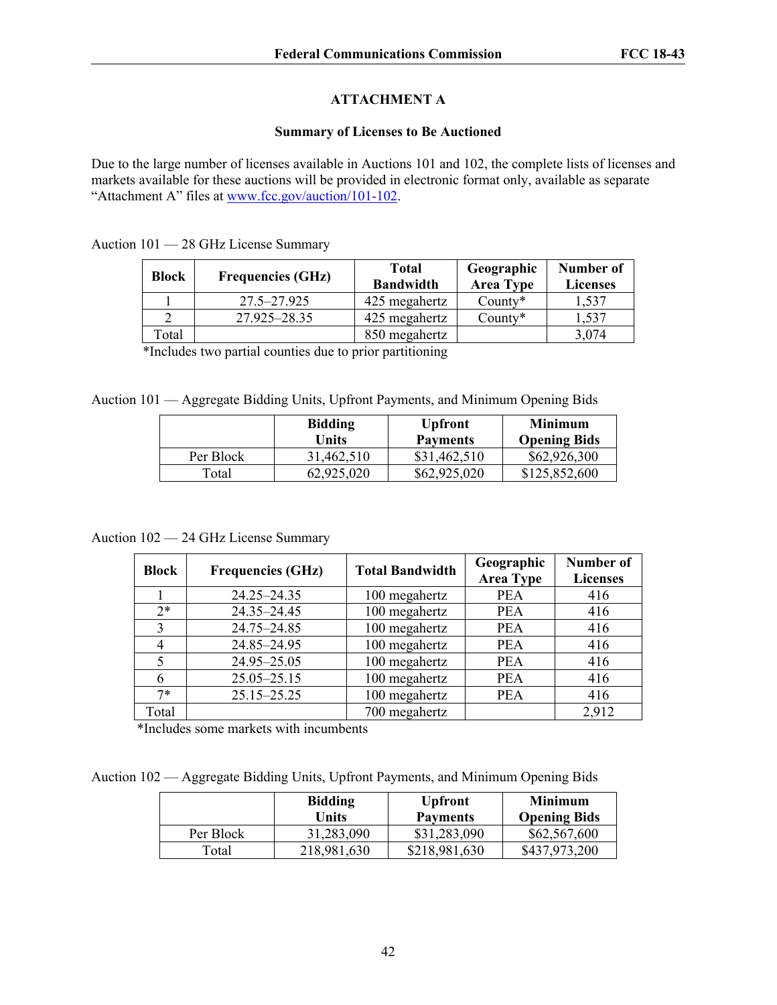# **ATTACHMENT A**

#### **Summary of Licenses to Be Auctioned**

Due to the large number of licenses available in Auctions 101 and 102, the complete lists of licenses and markets available for these auctions will be provided in electronic format only, available as separate "Attachment A" files at [www.fcc.gov/auction/101-102](https://www.fcc.gov/auction/101-102).

Auction 101 — 28 GHz License Summary

| <b>Block</b> | <b>Frequencies (GHz)</b> | <b>Total</b><br><b>Bandwidth</b> | Geographic<br><b>Area Type</b> | Number of<br><b>Licenses</b> |
|--------------|--------------------------|----------------------------------|--------------------------------|------------------------------|
|              | $27.5 - 27.925$          | 425 megahertz                    | $Countv^*$                     | .537                         |
|              | 27.925–28.35             | 425 megahertz                    | County $*$                     | 1.537                        |
| Гоtal        |                          | 850 megahertz                    |                                | 3,074                        |

\*Includes two partial counties due to prior partitioning

Auction 101 — Aggregate Bidding Units, Upfront Payments, and Minimum Opening Bids

|           | <b>Bidding</b><br>Units | <b>Upfront</b><br><b>Payments</b> | <b>Minimum</b><br><b>Opening Bids</b> |
|-----------|-------------------------|-----------------------------------|---------------------------------------|
| Per Block | 31,462,510              | \$31,462,510                      | \$62,926,300                          |
| Total     | 62,925,020              | \$62,925,020                      | \$125,852,600                         |

Auction 102 — 24 GHz License Summary

| <b>Block</b>   | <b>Frequencies (GHz)</b> | <b>Total Bandwidth</b> | Geographic<br><b>Area Type</b> | Number of<br><b>Licenses</b> |
|----------------|--------------------------|------------------------|--------------------------------|------------------------------|
|                | $24.25 - 24.35$          | 100 megahertz          | <b>PEA</b>                     | 416                          |
| $2*$           | 24.35-24.45              | 100 megahertz          | <b>PEA</b>                     | 416                          |
| 3              | 24.75-24.85              | 100 megahertz          | <b>PEA</b>                     | 416                          |
| $\overline{4}$ | 24.85-24.95              | 100 megahertz          | <b>PEA</b>                     | 416                          |
| 5              | 24.95-25.05              | 100 megahertz          | <b>PEA</b>                     | 416                          |
| 6              | $25.05 - 25.15$          | 100 megahertz          | <b>PEA</b>                     | 416                          |
| $7*$           | 25.15-25.25              | 100 megahertz          | <b>PEA</b>                     | 416                          |
| Total          |                          | 700 megahertz          |                                | 2,912                        |

\*Includes some markets with incumbents

Auction 102 — Aggregate Bidding Units, Upfront Payments, and Minimum Opening Bids

|           | <b>Bidding</b><br>Units | <b>Upfront</b><br><b>Payments</b> | Minimum<br><b>Opening Bids</b> |
|-----------|-------------------------|-----------------------------------|--------------------------------|
| Per Block | 31,283,090              | \$31,283,090                      | \$62,567,600                   |
| Total     | 218,981,630             | \$218,981,630                     | \$437,973,200                  |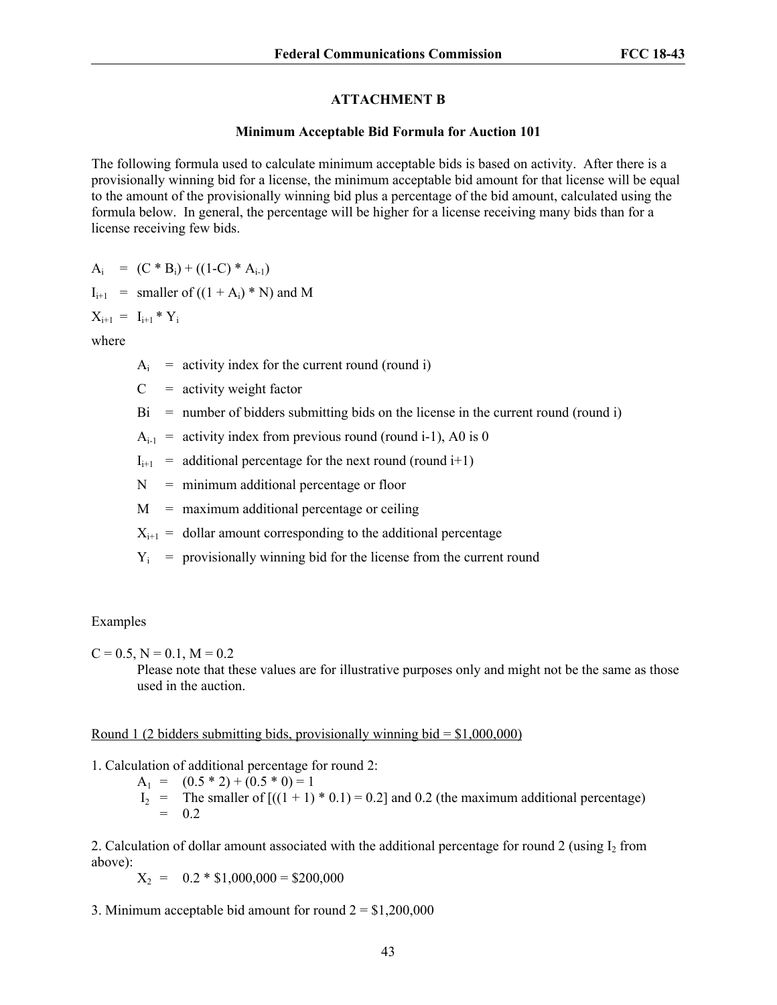## **ATTACHMENT B**

#### **Minimum Acceptable Bid Formula for Auction 101**

The following formula used to calculate minimum acceptable bids is based on activity. After there is a provisionally winning bid for a license, the minimum acceptable bid amount for that license will be equal to the amount of the provisionally winning bid plus a percentage of the bid amount, calculated using the formula below. In general, the percentage will be higher for a license receiving many bids than for a license receiving few bids.

 $A_i = (C * B_i) + ((1-C) * A_{i-1})$ 

$$
I_{i+1}
$$
 = smaller of ((1 + A<sub>i</sub>) \* N) and M

 $X_{i+1} = I_{i+1} * Y_i$ 

where

 $A_i$  = activity index for the current round (round i)

 $C =$  activity weight factor

 $Bi = number of bidders submitting bids on the license in the current round (round i)$ 

 $A_{i-1}$  = activity index from previous round (round i-1), A0 is 0

 $I_{i+1}$  = additional percentage for the next round (round i+1)

 $N =$  minimum additional percentage or floor

 $M =$  maximum additional percentage or ceiling

 $X_{i+1}$  = dollar amount corresponding to the additional percentage

 $Y_i$  = provisionally winning bid for the license from the current round

## Examples

 $C = 0.5$ ,  $N = 0.1$ ,  $M = 0.2$ 

Please note that these values are for illustrative purposes only and might not be the same as those used in the auction.

## Round 1 (2 bidders submitting bids, provisionally winning bid  $= $1,000,000$ )

1. Calculation of additional percentage for round 2:

 $A_1 = (0.5 * 2) + (0.5 * 0) = 1$ 

 $I_2$  = The smaller of  $[(1 + 1) * 0.1] = 0.2$  and 0.2 (the maximum additional percentage)  $= 0.2$ 

2. Calculation of dollar amount associated with the additional percentage for round 2 (using  $I_2$  from above):

 $X_2 = 0.2 * $1,000,000 = $200,000$ 

3. Minimum acceptable bid amount for round  $2 = $1,200,000$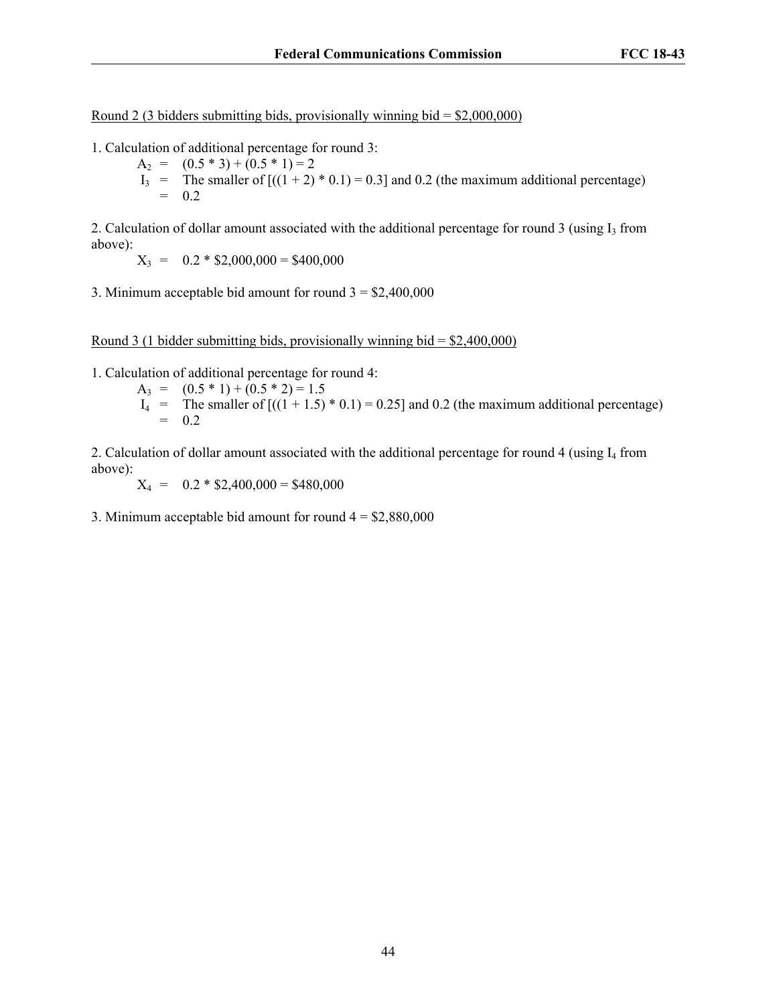Round 2 (3 bidders submitting bids, provisionally winning bid  $=$  \$2,000,000)

- 1. Calculation of additional percentage for round 3:
	- $A_2 = (0.5 * 3) + (0.5 * 1) = 2$
	- $I_3$  = The smaller of  $[((1 + 2) * 0.1) = 0.3]$  and 0.2 (the maximum additional percentage)<br>= 0.2 = 0.2

2. Calculation of dollar amount associated with the additional percentage for round  $3$  (using  $I_3$  from above):

 $X_3 = 0.2 * $2,000,000 = $400,000$ 

3. Minimum acceptable bid amount for round  $3 = $2,400,000$ 

Round 3 (1 bidder submitting bids, provisionally winning bid  $=$  \$2,400,000)

1. Calculation of additional percentage for round 4:

A<sub>3</sub> = 
$$
(0.5 * 1) + (0.5 * 2) = 1.5
$$
  
I<sub>4</sub> = The smaller of  $[(1 + 1.5) * 0.1) = 0.25$  and 0.2 (the maximum additional percentage)  
= 0.2

2. Calculation of dollar amount associated with the additional percentage for round 4 (using  $I_4$  from above):

 $X_4 = 0.2 * $2,400,000 = $480,000$ 

3. Minimum acceptable bid amount for round  $4 = $2,880,000$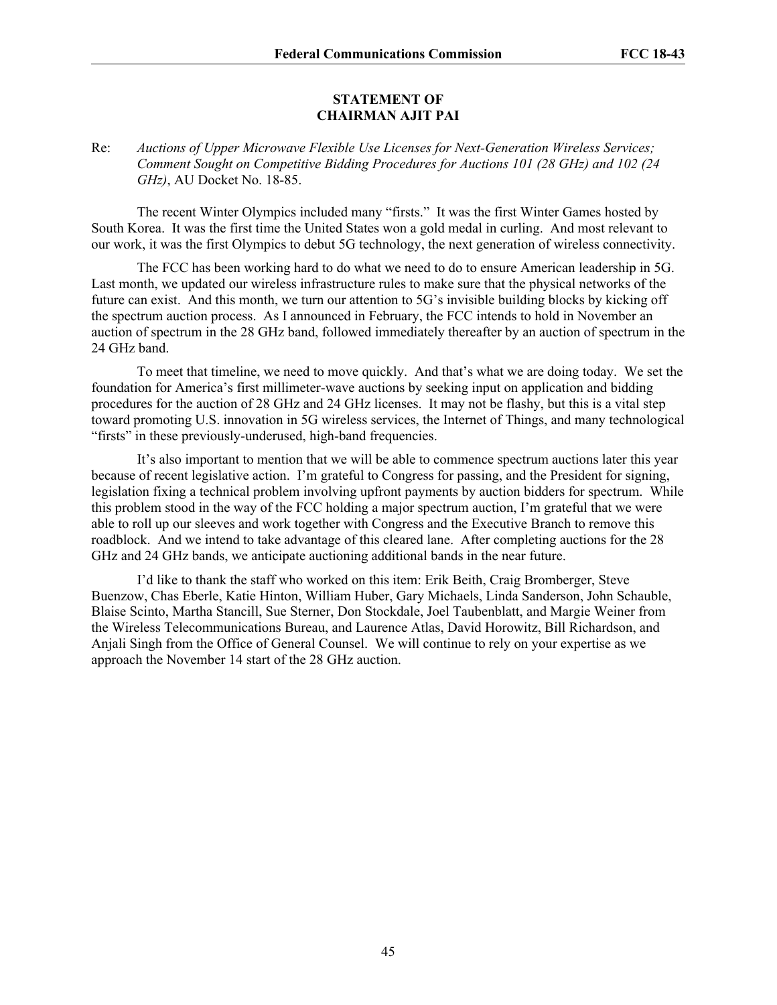#### **STATEMENT OF CHAIRMAN AJIT PAI**

Re: *Auctions of Upper Microwave Flexible Use Licenses for Next-Generation Wireless Services; Comment Sought on Competitive Bidding Procedures for Auctions 101 (28 GHz) and 102 (24 GHz)*, AU Docket No. 18-85.

The recent Winter Olympics included many "firsts." It was the first Winter Games hosted by South Korea. It was the first time the United States won a gold medal in curling. And most relevant to our work, it was the first Olympics to debut 5G technology, the next generation of wireless connectivity.

The FCC has been working hard to do what we need to do to ensure American leadership in 5G. Last month, we updated our wireless infrastructure rules to make sure that the physical networks of the future can exist. And this month, we turn our attention to 5G's invisible building blocks by kicking off the spectrum auction process. As I announced in February, the FCC intends to hold in November an auction of spectrum in the 28 GHz band, followed immediately thereafter by an auction of spectrum in the 24 GHz band.

To meet that timeline, we need to move quickly. And that's what we are doing today. We set the foundation for America's first millimeter-wave auctions by seeking input on application and bidding procedures for the auction of 28 GHz and 24 GHz licenses. It may not be flashy, but this is a vital step toward promoting U.S. innovation in 5G wireless services, the Internet of Things, and many technological "firsts" in these previously-underused, high-band frequencies.

It's also important to mention that we will be able to commence spectrum auctions later this year because of recent legislative action. I'm grateful to Congress for passing, and the President for signing, legislation fixing a technical problem involving upfront payments by auction bidders for spectrum. While this problem stood in the way of the FCC holding a major spectrum auction, I'm grateful that we were able to roll up our sleeves and work together with Congress and the Executive Branch to remove this roadblock. And we intend to take advantage of this cleared lane. After completing auctions for the 28 GHz and 24 GHz bands, we anticipate auctioning additional bands in the near future.

I'd like to thank the staff who worked on this item: Erik Beith, Craig Bromberger, Steve Buenzow, Chas Eberle, Katie Hinton, William Huber, Gary Michaels, Linda Sanderson, John Schauble, Blaise Scinto, Martha Stancill, Sue Sterner, Don Stockdale, Joel Taubenblatt, and Margie Weiner from the Wireless Telecommunications Bureau, and Laurence Atlas, David Horowitz, Bill Richardson, and Anjali Singh from the Office of General Counsel. We will continue to rely on your expertise as we approach the November 14 start of the 28 GHz auction.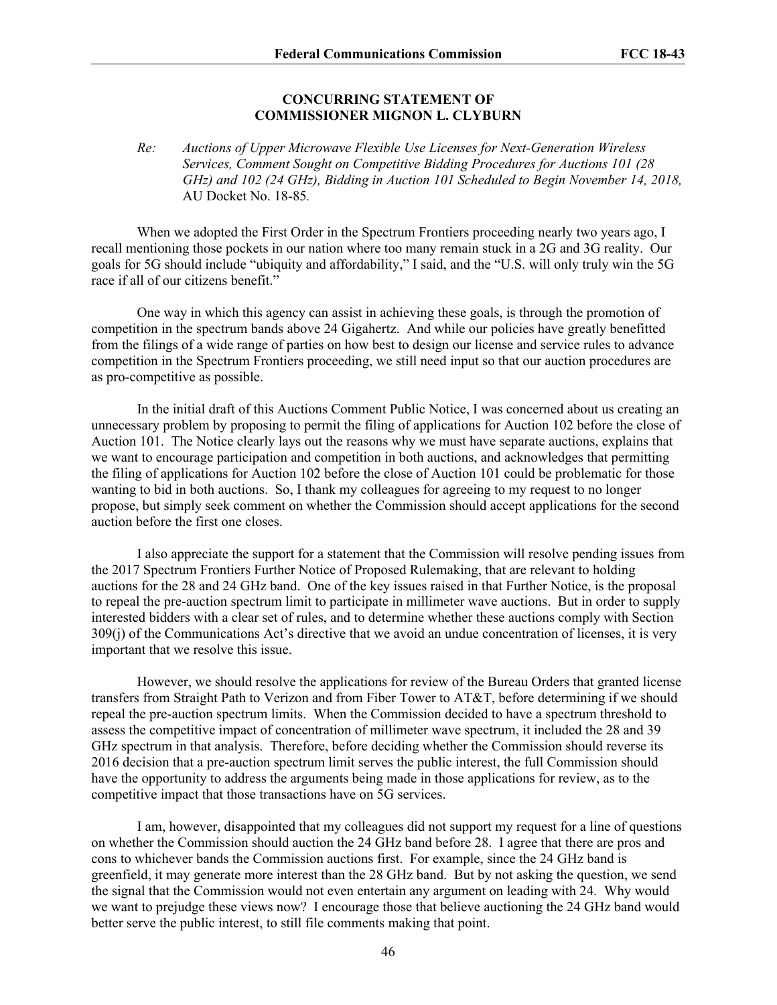#### **CONCURRING STATEMENT OF COMMISSIONER MIGNON L. CLYBURN**

*Re: Auctions of Upper Microwave Flexible Use Licenses for Next-Generation Wireless Services, Comment Sought on Competitive Bidding Procedures for Auctions 101 (28 GHz) and 102 (24 GHz), Bidding in Auction 101 Scheduled to Begin November 14, 2018,*  AU Docket No. 18-85*.* 

When we adopted the First Order in the Spectrum Frontiers proceeding nearly two years ago, I recall mentioning those pockets in our nation where too many remain stuck in a 2G and 3G reality. Our goals for 5G should include "ubiquity and affordability," I said, and the "U.S. will only truly win the 5G race if all of our citizens benefit."

One way in which this agency can assist in achieving these goals, is through the promotion of competition in the spectrum bands above 24 Gigahertz. And while our policies have greatly benefitted from the filings of a wide range of parties on how best to design our license and service rules to advance competition in the Spectrum Frontiers proceeding, we still need input so that our auction procedures are as pro-competitive as possible.

In the initial draft of this Auctions Comment Public Notice, I was concerned about us creating an unnecessary problem by proposing to permit the filing of applications for Auction 102 before the close of Auction 101. The Notice clearly lays out the reasons why we must have separate auctions, explains that we want to encourage participation and competition in both auctions, and acknowledges that permitting the filing of applications for Auction 102 before the close of Auction 101 could be problematic for those wanting to bid in both auctions. So, I thank my colleagues for agreeing to my request to no longer propose, but simply seek comment on whether the Commission should accept applications for the second auction before the first one closes.

I also appreciate the support for a statement that the Commission will resolve pending issues from the 2017 Spectrum Frontiers Further Notice of Proposed Rulemaking, that are relevant to holding auctions for the 28 and 24 GHz band. One of the key issues raised in that Further Notice, is the proposal to repeal the pre-auction spectrum limit to participate in millimeter wave auctions. But in order to supply interested bidders with a clear set of rules, and to determine whether these auctions comply with Section 309(j) of the Communications Act's directive that we avoid an undue concentration of licenses, it is very important that we resolve this issue.

However, we should resolve the applications for review of the Bureau Orders that granted license transfers from Straight Path to Verizon and from Fiber Tower to AT&T, before determining if we should repeal the pre-auction spectrum limits. When the Commission decided to have a spectrum threshold to assess the competitive impact of concentration of millimeter wave spectrum, it included the 28 and 39 GHz spectrum in that analysis. Therefore, before deciding whether the Commission should reverse its 2016 decision that a pre-auction spectrum limit serves the public interest, the full Commission should have the opportunity to address the arguments being made in those applications for review, as to the competitive impact that those transactions have on 5G services.

I am, however, disappointed that my colleagues did not support my request for a line of questions on whether the Commission should auction the 24 GHz band before 28. I agree that there are pros and cons to whichever bands the Commission auctions first. For example, since the 24 GHz band is greenfield, it may generate more interest than the 28 GHz band. But by not asking the question, we send the signal that the Commission would not even entertain any argument on leading with 24. Why would we want to prejudge these views now? I encourage those that believe auctioning the 24 GHz band would better serve the public interest, to still file comments making that point.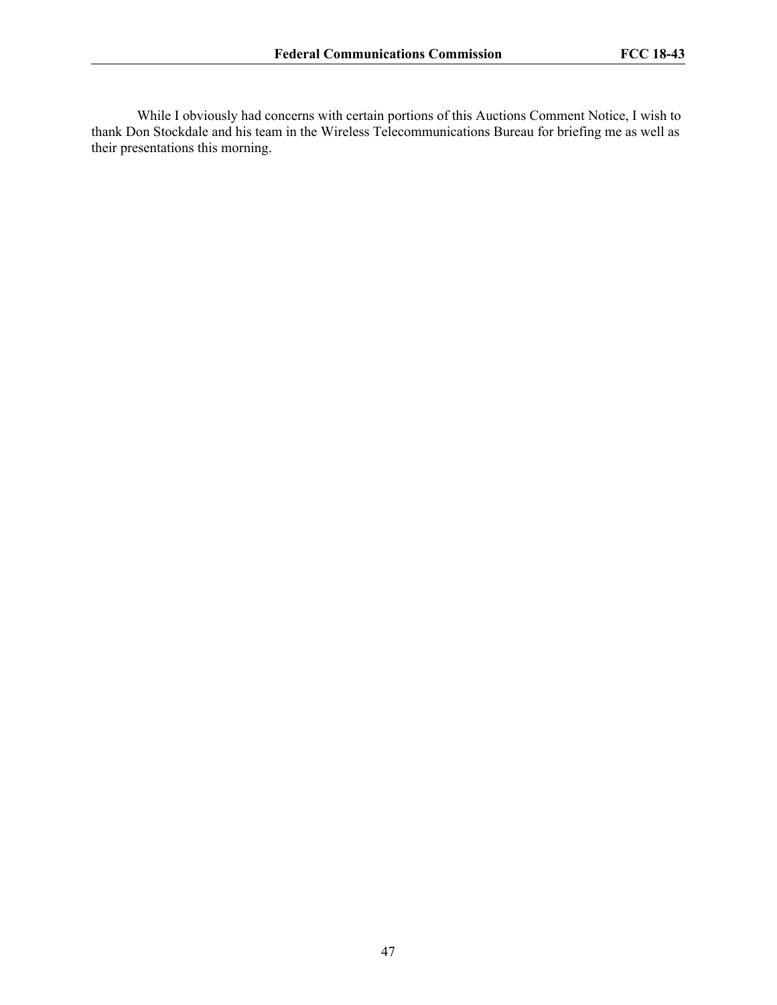While I obviously had concerns with certain portions of this Auctions Comment Notice, I wish to thank Don Stockdale and his team in the Wireless Telecommunications Bureau for briefing me as well as their presentations this morning.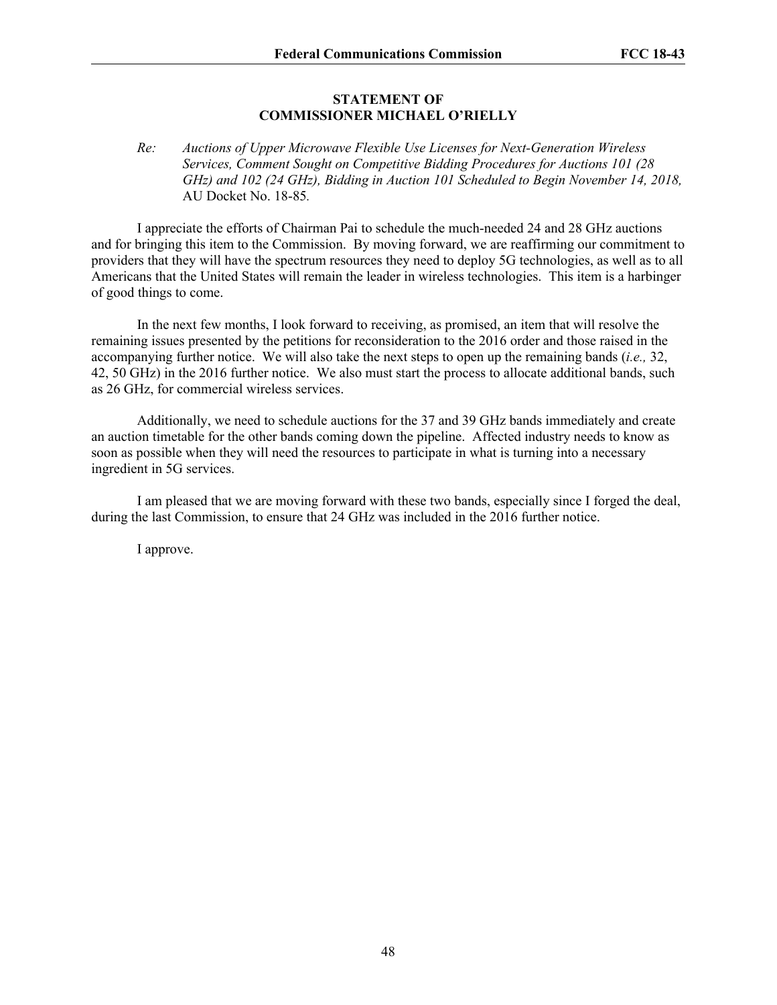#### **STATEMENT OF COMMISSIONER MICHAEL O'RIELLY**

## *Re: Auctions of Upper Microwave Flexible Use Licenses for Next-Generation Wireless Services, Comment Sought on Competitive Bidding Procedures for Auctions 101 (28 GHz) and 102 (24 GHz), Bidding in Auction 101 Scheduled to Begin November 14, 2018,*  AU Docket No. 18-85*.*

I appreciate the efforts of Chairman Pai to schedule the much-needed 24 and 28 GHz auctions and for bringing this item to the Commission. By moving forward, we are reaffirming our commitment to providers that they will have the spectrum resources they need to deploy 5G technologies, as well as to all Americans that the United States will remain the leader in wireless technologies. This item is a harbinger of good things to come.

In the next few months, I look forward to receiving, as promised, an item that will resolve the remaining issues presented by the petitions for reconsideration to the 2016 order and those raised in the accompanying further notice. We will also take the next steps to open up the remaining bands (*i.e.,* 32, 42, 50 GHz) in the 2016 further notice. We also must start the process to allocate additional bands, such as 26 GHz, for commercial wireless services.

Additionally, we need to schedule auctions for the 37 and 39 GHz bands immediately and create an auction timetable for the other bands coming down the pipeline. Affected industry needs to know as soon as possible when they will need the resources to participate in what is turning into a necessary ingredient in 5G services.

I am pleased that we are moving forward with these two bands, especially since I forged the deal, during the last Commission, to ensure that 24 GHz was included in the 2016 further notice.

I approve.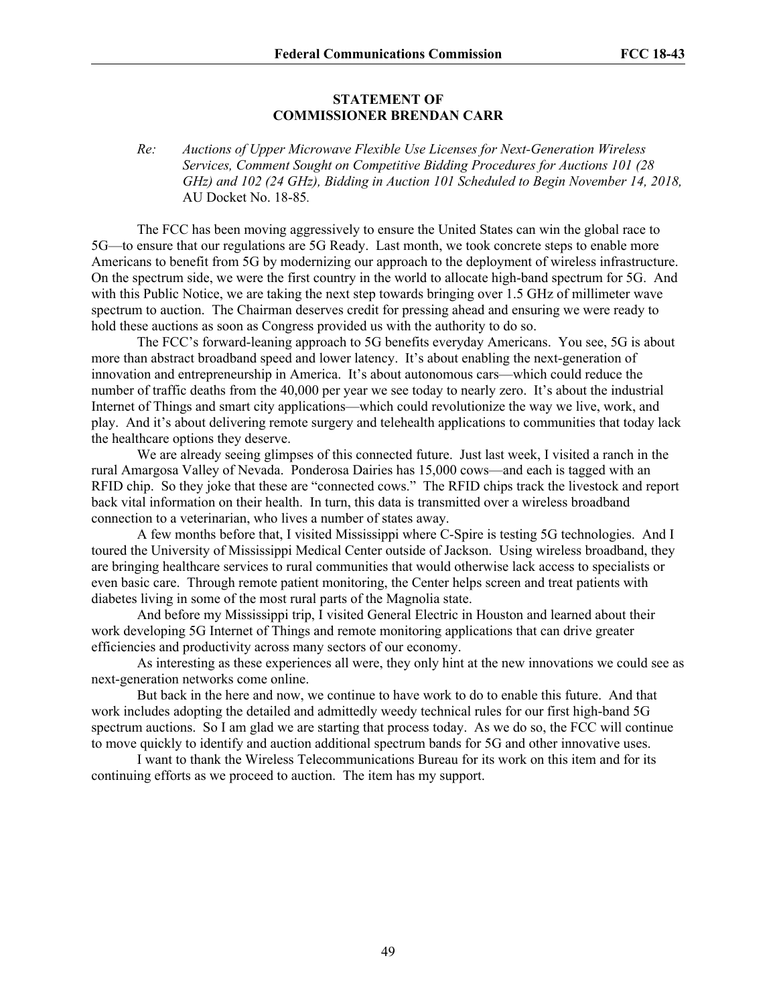#### **STATEMENT OF COMMISSIONER BRENDAN CARR**

## *Re: Auctions of Upper Microwave Flexible Use Licenses for Next-Generation Wireless Services, Comment Sought on Competitive Bidding Procedures for Auctions 101 (28 GHz) and 102 (24 GHz), Bidding in Auction 101 Scheduled to Begin November 14, 2018,*  AU Docket No. 18-85*.*

The FCC has been moving aggressively to ensure the United States can win the global race to 5G—to ensure that our regulations are 5G Ready. Last month, we took concrete steps to enable more Americans to benefit from 5G by modernizing our approach to the deployment of wireless infrastructure. On the spectrum side, we were the first country in the world to allocate high-band spectrum for 5G. And with this Public Notice, we are taking the next step towards bringing over 1.5 GHz of millimeter wave spectrum to auction. The Chairman deserves credit for pressing ahead and ensuring we were ready to hold these auctions as soon as Congress provided us with the authority to do so.

The FCC's forward-leaning approach to 5G benefits everyday Americans. You see, 5G is about more than abstract broadband speed and lower latency. It's about enabling the next-generation of innovation and entrepreneurship in America. It's about autonomous cars—which could reduce the number of traffic deaths from the 40,000 per year we see today to nearly zero. It's about the industrial Internet of Things and smart city applications—which could revolutionize the way we live, work, and play. And it's about delivering remote surgery and telehealth applications to communities that today lack the healthcare options they deserve.

We are already seeing glimpses of this connected future. Just last week, I visited a ranch in the rural Amargosa Valley of Nevada. Ponderosa Dairies has 15,000 cows—and each is tagged with an RFID chip. So they joke that these are "connected cows." The RFID chips track the livestock and report back vital information on their health. In turn, this data is transmitted over a wireless broadband connection to a veterinarian, who lives a number of states away.

A few months before that, I visited Mississippi where C-Spire is testing 5G technologies. And I toured the University of Mississippi Medical Center outside of Jackson. Using wireless broadband, they are bringing healthcare services to rural communities that would otherwise lack access to specialists or even basic care. Through remote patient monitoring, the Center helps screen and treat patients with diabetes living in some of the most rural parts of the Magnolia state.

And before my Mississippi trip, I visited General Electric in Houston and learned about their work developing 5G Internet of Things and remote monitoring applications that can drive greater efficiencies and productivity across many sectors of our economy.

As interesting as these experiences all were, they only hint at the new innovations we could see as next-generation networks come online.

But back in the here and now, we continue to have work to do to enable this future. And that work includes adopting the detailed and admittedly weedy technical rules for our first high-band 5G spectrum auctions. So I am glad we are starting that process today. As we do so, the FCC will continue to move quickly to identify and auction additional spectrum bands for 5G and other innovative uses.

I want to thank the Wireless Telecommunications Bureau for its work on this item and for its continuing efforts as we proceed to auction. The item has my support.